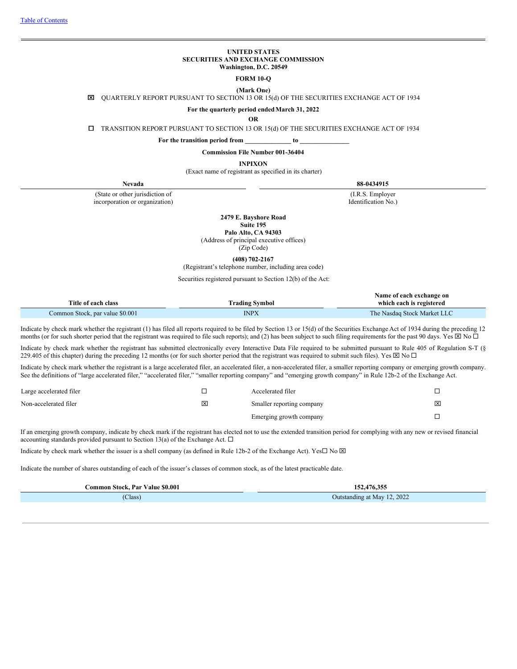#### **UNITED STATES SECURITIES AND EXCHANGE COMMISSION Washington, D.C. 20549**

**FORM 10-Q**

## **(Mark One)**

x QUARTERLY REPORT PURSUANT TO SECTION 13 OR 15(d) OF THE SECURITIES EXCHANGE ACT OF 1934

## **For the quarterly period endedMarch 31, 2022**

**OR**

¨ TRANSITION REPORT PURSUANT TO SECTION 13 OR 15(d) OF THE SECURITIES EXCHANGE ACT OF 1934

**For the transition period from \_\_\_\_\_\_\_\_\_\_\_\_\_\_ to \_\_\_\_\_\_\_\_\_\_\_\_\_\_\_**

**Commission File Number 001-36404**

**INPIXON**

(Exact name of registrant as specified in its charter)

(State or other jurisdiction of incorporation or organization)

**Nevada 88-0434915**

(I.R.S. Employer Identification No.)

**2479 E. Bayshore Road**

**Suite 195 Palo Alto, CA 94303**

(Address of principal executive offices)

(Zip Code)

**(408) 702-2167**

(Registrant's telephone number, including area code)

Securities registered pursuant to Section 12(b) of the Act:

|                                 |                       | Name of each exchange on    |
|---------------------------------|-----------------------|-----------------------------|
| Title of each class             | <b>Trading Symbol</b> | which each is registered    |
| Common Stock, par value \$0.001 | INPX                  | The Nasdaq Stock Market LLC |

Indicate by check mark whether the registrant (1) has filed all reports required to be filed by Section 13 or 15(d) of the Securities Exchange Act of 1934 during the preceding 12 months (or for such shorter period that the registrant was required to file such reports); and (2) has been subject to such filing requirements for the past 90 days. Yes  $\boxtimes$  No  $\Box$ 

Indicate by check mark whether the registrant has submitted electronically every Interactive Data File required to be submitted pursuant to Rule 405 of Regulation S-T (§ 229.405 of this chapter) during the preceding 12 months (or for such shorter period that the registrant was required to submit such files). Yes  $\boxtimes$  No  $\Box$ 

Indicate by check mark whether the registrant is a large accelerated filer, an accelerated filer, a non-accelerated filer, a smaller reporting company or emerging growth company. See the definitions of "large accelerated filer," "accelerated filer," "smaller reporting company" and "emerging growth company" in Rule 12b-2 of the Exchange Act.

| Large accelerated filer |                         | Accelerated filer         |   |
|-------------------------|-------------------------|---------------------------|---|
| Non-accelerated filer   | $\overline{\mathsf{x}}$ | Smaller reporting company | × |
|                         |                         | Emerging growth company   |   |

If an emerging growth company, indicate by check mark if the registrant has elected not to use the extended transition period for complying with any new or revised financial accounting standards provided pursuant to Section 13(a) of the Exchange Act.  $\Box$ 

Indicate by check mark whether the issuer is a shell company (as defined in Rule 12b-2 of the Exchange Act). Yes $\Box$  No  $\boxtimes$ 

Indicate the number of shares outstanding of each of the issuer's classes of common stock, as of the latest practicable date.

<span id="page-0-0"></span>

| Common Stock. Par Value \$0.001 | .476.355<br>152.                 |
|---------------------------------|----------------------------------|
| (Class)                         | 12, 2022<br>Outstanding at May 1 |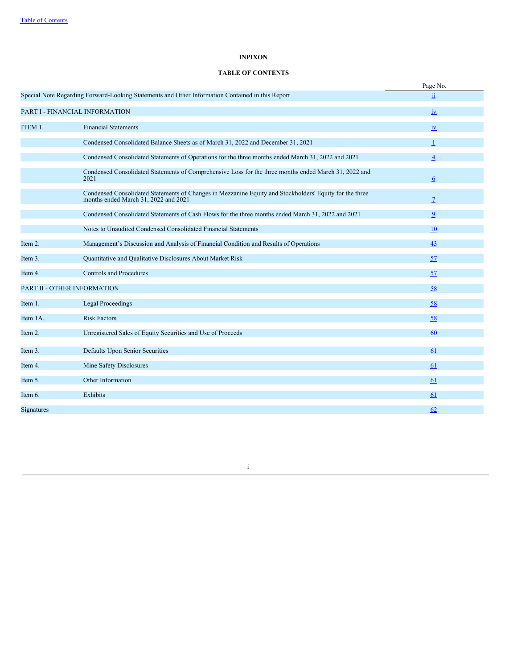## **INPIXON**

# **TABLE OF CONTENTS**

|            |                                                                                                                                                 | Page No.       |
|------------|-------------------------------------------------------------------------------------------------------------------------------------------------|----------------|
|            | Special Note Regarding Forward-Looking Statements and Other Information Contained in this Report                                                | ii             |
|            | PART I - FINANCIAL INFORMATION                                                                                                                  | iv             |
| ITEM 1.    | <b>Financial Statements</b>                                                                                                                     | i <b>v</b>     |
|            | Condensed Consolidated Balance Sheets as of March 31, 2022 and December 31, 2021                                                                | $\mathbf{1}$   |
|            | Condensed Consolidated Statements of Operations for the three months ended March 31, 2022 and 2021                                              | $\overline{4}$ |
|            | Condensed Consolidated Statements of Comprehensive Loss for the three months ended March 31, 2022 and<br>2021                                   | 6              |
|            | Condensed Consolidated Statements of Changes in Mezzanine Equity and Stockholders' Equity for the three<br>months ended March 31, 2022 and 2021 | $\overline{7}$ |
|            | Condensed Consolidated Statements of Cash Flows for the three months ended March 31, 2022 and 2021                                              | 9              |
|            | Notes to Unaudited Condensed Consolidated Financial Statements                                                                                  | <b>10</b>      |
| Item 2.    | Management's Discussion and Analysis of Financial Condition and Results of Operations                                                           | 43             |
| Item 3.    | Quantitative and Qualitative Disclosures About Market Risk                                                                                      | 57             |
| Item 4.    | <b>Controls and Procedures</b>                                                                                                                  | 57             |
|            | PART II - OTHER INFORMATION                                                                                                                     | 58             |
| Item 1.    | <b>Legal Proceedings</b>                                                                                                                        | 58             |
| Item 1A.   | <b>Risk Factors</b>                                                                                                                             | 58             |
| Item 2.    | Unregistered Sales of Equity Securities and Use of Proceeds                                                                                     | 60             |
| Item 3.    | <b>Defaults Upon Senior Securities</b>                                                                                                          | 61             |
| Item 4.    | Mine Safety Disclosures                                                                                                                         | 61             |
| Item 5.    | Other Information                                                                                                                               | 61             |
| Item 6.    | Exhibits                                                                                                                                        | 61             |
| Signatures |                                                                                                                                                 | 62             |

<span id="page-1-0"></span>i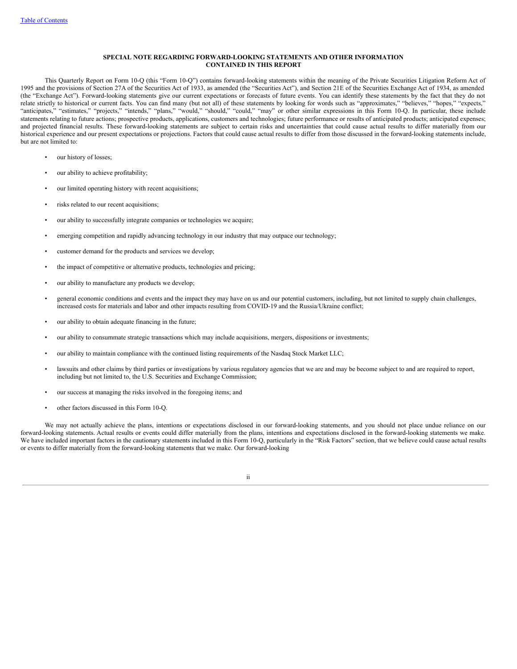#### **SPECIAL NOTE REGARDING FORWARD-LOOKING STATEMENTS AND OTHER INFORMATION CONTAINED IN THIS REPORT**

This Quarterly Report on Form 10-Q (this "Form 10-Q") contains forward-looking statements within the meaning of the Private Securities Litigation Reform Act of 1995 and the provisions of Section 27A of the Securities Act of 1933, as amended (the "Securities Act"), and Section 21E of the Securities Exchange Act of 1934, as amended (the "Exchange Act"). Forward-looking statements give our current expectations or forecasts of future events. You can identify these statements by the fact that they do not relate strictly to historical or current facts. You can find many (but not all) of these statements by looking for words such as "approximates," "believes," "hopes," "expects," "anticipates," "estimates," "projects," "intends," "plans," "would," "should," "could," "may" or other similar expressions in this Form 10-Q. In particular, these include statements relating to future actions; prospective products, applications, customers and technologies; future performance or results of anticipated products; anticipated expenses; and projected financial results. These forward-looking statements are subject to certain risks and uncertainties that could cause actual results to differ materially from our historical experience and our present expectations or projections. Factors that could cause actual results to differ from those discussed in the forward-looking statements include, but are not limited to:

- our history of losses;
- our ability to achieve profitability;
- our limited operating history with recent acquisitions;
- risks related to our recent acquisitions;
- our ability to successfully integrate companies or technologies we acquire;
- emerging competition and rapidly advancing technology in our industry that may outpace our technology;
- customer demand for the products and services we develop;
- the impact of competitive or alternative products, technologies and pricing;
- our ability to manufacture any products we develop;
- general economic conditions and events and the impact they may have on us and our potential customers, including, but not limited to supply chain challenges, increased costs for materials and labor and other impacts resulting from COVID-19 and the Russia/Ukraine conflict;
- our ability to obtain adequate financing in the future;
- our ability to consummate strategic transactions which may include acquisitions, mergers, dispositions or investments;
- our ability to maintain compliance with the continued listing requirements of the Nasdaq Stock Market LLC;
- lawsuits and other claims by third parties or investigations by various regulatory agencies that we are and may be become subject to and are required to report, including but not limited to, the U.S. Securities and Exchange Commission;
- our success at managing the risks involved in the foregoing items; and
- other factors discussed in this Form 10-Q.

We may not actually achieve the plans, intentions or expectations disclosed in our forward-looking statements, and you should not place undue reliance on our forward-looking statements. Actual results or events could differ materially from the plans, intentions and expectations disclosed in the forward-looking statements we make. We have included important factors in the cautionary statements included in this Form 10-Q, particularly in the "Risk Factors" section, that we believe could cause actual results or events to differ materially from the forward-looking statements that we make. Our forward-looking

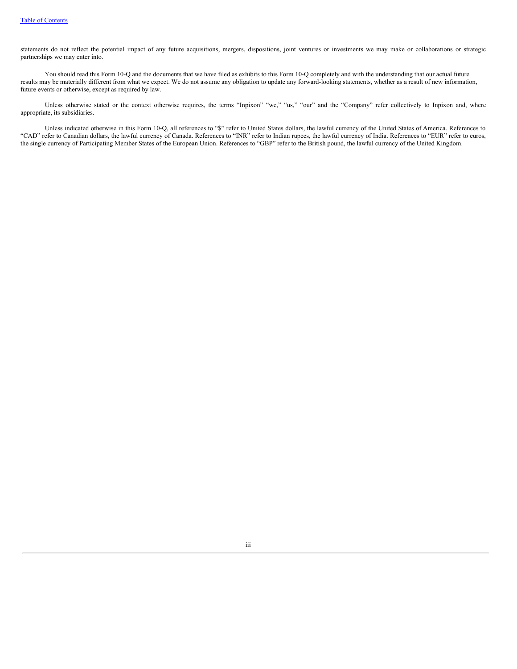statements do not reflect the potential impact of any future acquisitions, mergers, dispositions, joint ventures or investments we may make or collaborations or strategic partnerships we may enter into.

You should read this Form 10-Q and the documents that we have filed as exhibits to this Form 10-Q completely and with the understanding that our actual future results may be materially different from what we expect. We do not assume any obligation to update any forward-looking statements, whether as a result of new information, future events or otherwise, except as required by law.

Unless otherwise stated or the context otherwise requires, the terms "Inpixon" "we," "us," "our" and the "Company" refer collectively to Inpixon and, where appropriate, its subsidiaries.

Unless indicated otherwise in this Form 10-Q, all references to "\$" refer to United States dollars, the lawful currency of the United States of America. References to "CAD" refer to Canadian dollars, the lawful currency of Canada. References to "INR" refer to Indian rupees, the lawful currency of India. References to "EUR" refer to euros, the single currency of Participating Member States of the European Union. References to "GBP" refer to the British pound, the lawful currency of the United Kingdom.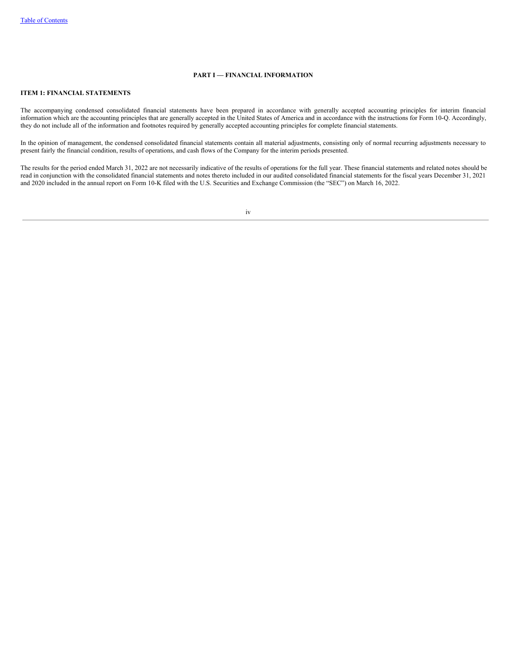## **PART I — FINANCIAL INFORMATION**

## <span id="page-4-1"></span><span id="page-4-0"></span>**ITEM 1: FINANCIAL STATEMENTS**

The accompanying condensed consolidated financial statements have been prepared in accordance with generally accepted accounting principles for interim financial information which are the accounting principles that are generally accepted in the United States of America and in accordance with the instructions for Form 10-Q. Accordingly, they do not include all of the information and footnotes required by generally accepted accounting principles for complete financial statements.

In the opinion of management, the condensed consolidated financial statements contain all material adjustments, consisting only of normal recurring adjustments necessary to present fairly the financial condition, results of operations, and cash flows of the Company for the interim periods presented.

<span id="page-4-2"></span>The results for the period ended March 31, 2022 are not necessarily indicative of the results of operations for the full year. These financial statements and related notes should be read in conjunction with the consolidated financial statements and notes thereto included in our audited consolidated financial statements for the fiscal years December 31, 2021 and 2020 included in the annual report on Form 10-K filed with the U.S. Securities and Exchange Commission (the "SEC") on March 16, 2022.

iv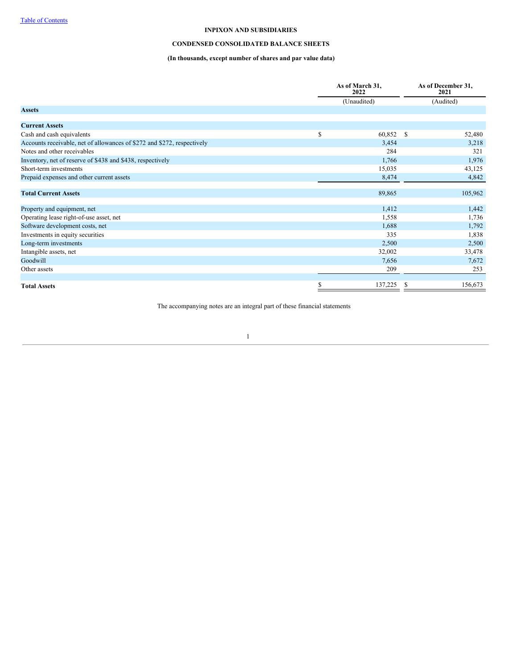## **CONDENSED CONSOLIDATED BALANCE SHEETS**

# **(In thousands, except number of shares and par value data)**

|                                                                         |    | As of March 31,<br>2022 | As of December 31,<br>2021 |
|-------------------------------------------------------------------------|----|-------------------------|----------------------------|
|                                                                         |    | (Unaudited)             | (Audited)                  |
| <b>Assets</b>                                                           |    |                         |                            |
| <b>Current Assets</b>                                                   |    |                         |                            |
| Cash and cash equivalents                                               | \$ | 60,852 \$               | 52,480                     |
| Accounts receivable, net of allowances of \$272 and \$272, respectively |    | 3,454                   | 3,218                      |
| Notes and other receivables                                             |    | 284                     | 321                        |
| Inventory, net of reserve of \$438 and \$438, respectively              |    | 1,766                   | 1,976                      |
| Short-term investments                                                  |    | 15,035                  | 43,125                     |
| Prepaid expenses and other current assets                               |    | 8,474                   | 4,842                      |
|                                                                         |    |                         |                            |
| <b>Total Current Assets</b>                                             |    | 89,865                  | 105,962                    |
| Property and equipment, net                                             |    | 1,412                   | 1,442                      |
| Operating lease right-of-use asset, net                                 |    | 1,558                   | 1,736                      |
| Software development costs, net                                         |    | 1,688                   | 1,792                      |
| Investments in equity securities                                        |    | 335                     | 1,838                      |
| Long-term investments                                                   |    | 2,500                   | 2,500                      |
| Intangible assets, net                                                  |    | 32,002                  | 33,478                     |
| Goodwill                                                                |    | 7,656                   | 7,672                      |
| Other assets                                                            |    | 209                     | 253                        |
|                                                                         |    |                         |                            |
| <b>Total Assets</b>                                                     | S  | 137,225                 | 156,673                    |

The accompanying notes are an integral part of these financial statements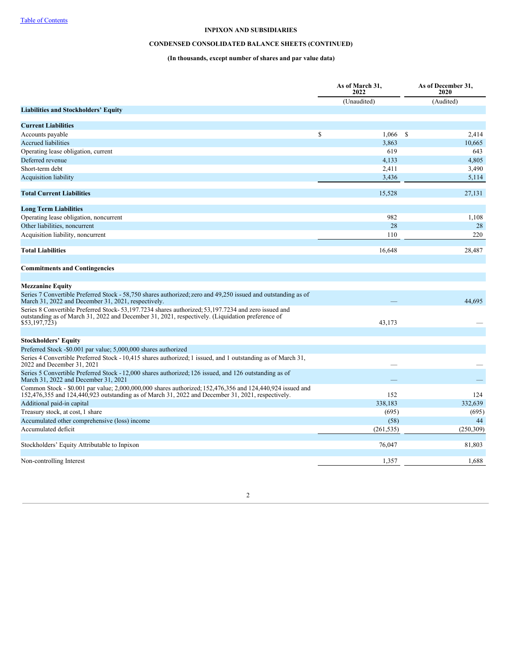# **CONDENSED CONSOLIDATED BALANCE SHEETS (CONTINUED)**

# **(In thousands, except number of shares and par value data)**

|                                                                                                                                                                                                                         | As of March 31,<br>2022 | As of December 31,<br>2020 |
|-------------------------------------------------------------------------------------------------------------------------------------------------------------------------------------------------------------------------|-------------------------|----------------------------|
|                                                                                                                                                                                                                         | (Unaudited)             | (Audited)                  |
| <b>Liabilities and Stockholders' Equity</b>                                                                                                                                                                             |                         |                            |
| <b>Current Liabilities</b>                                                                                                                                                                                              |                         |                            |
| Accounts payable                                                                                                                                                                                                        | \$<br>$1,066$ \$        | 2,414                      |
| <b>Accrued liabilities</b>                                                                                                                                                                                              | 3,863                   | 10.665                     |
| Operating lease obligation, current                                                                                                                                                                                     | 619                     | 643                        |
| Deferred revenue                                                                                                                                                                                                        | 4,133                   | 4,805                      |
| Short-term debt                                                                                                                                                                                                         | 2,411                   | 3,490                      |
| <b>Acquisition liability</b>                                                                                                                                                                                            | 3,436                   | 5,114                      |
|                                                                                                                                                                                                                         |                         |                            |
| <b>Total Current Liabilities</b>                                                                                                                                                                                        | 15,528                  | 27,131                     |
| <b>Long Term Liabilities</b>                                                                                                                                                                                            |                         |                            |
| Operating lease obligation, noncurrent                                                                                                                                                                                  | 982                     | 1,108                      |
| Other liabilities, noncurrent                                                                                                                                                                                           | 28                      | 28                         |
| Acquisition liability, noncurrent                                                                                                                                                                                       | 110                     | 220                        |
|                                                                                                                                                                                                                         |                         |                            |
| <b>Total Liabilities</b>                                                                                                                                                                                                | 16,648                  | 28,487                     |
|                                                                                                                                                                                                                         |                         |                            |
| <b>Commitments and Contingencies</b>                                                                                                                                                                                    |                         |                            |
|                                                                                                                                                                                                                         |                         |                            |
| <b>Mezzanine Equity</b>                                                                                                                                                                                                 |                         |                            |
| Series 7 Convertible Preferred Stock - 58,750 shares authorized; zero and 49,250 issued and outstanding as of<br>March 31, 2022 and December 31, 2021, respectively.                                                    |                         | 44.695                     |
| Series 8 Convertible Preferred Stock-53,197.7234 shares authorized; 53,197.7234 and zero issued and<br>outstanding as of March 31, 2022 and December 31, 2021, respectively. (Liquidation preference of<br>\$53,197,723 | 43,173                  |                            |
|                                                                                                                                                                                                                         |                         |                            |
| <b>Stockholders' Equity</b>                                                                                                                                                                                             |                         |                            |
| Preferred Stock -\$0.001 par value; 5,000,000 shares authorized                                                                                                                                                         |                         |                            |
| Series 4 Convertible Preferred Stock - 10,415 shares authorized; 1 issued, and 1 outstanding as of March 31,<br>2022 and December 31, 2021                                                                              |                         |                            |
| Series 5 Convertible Preferred Stock - 12,000 shares authorized; 126 issued, and 126 outstanding as of<br>March 31, 2022 and December 31, 2021                                                                          |                         |                            |
| Common Stock - \$0.001 par value; 2,000,000,000 shares authorized; 152,476,356 and 124,440,924 issued and<br>152,476,355 and 124,440,923 outstanding as of March 31, 2022 and December 31, 2021, respectively.          | 152                     | 124                        |
| Additional paid-in capital                                                                                                                                                                                              | 338,183                 | 332,639                    |
| Treasury stock, at cost, 1 share                                                                                                                                                                                        | (695)                   | (695)                      |
| Accumulated other comprehensive (loss) income                                                                                                                                                                           | (58)                    | 44                         |
| Accumulated deficit                                                                                                                                                                                                     | (261, 535)              | (250, 309)                 |
|                                                                                                                                                                                                                         |                         |                            |
| Stockholders' Equity Attributable to Inpixon                                                                                                                                                                            | 76,047                  | 81,803                     |
|                                                                                                                                                                                                                         |                         |                            |
| Non-controlling Interest                                                                                                                                                                                                | 1,357                   | 1,688                      |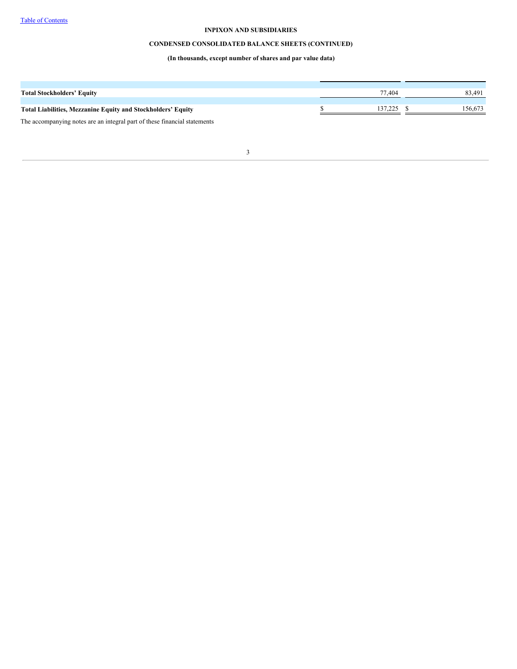# **CONDENSED CONSOLIDATED BALANCE SHEETS (CONTINUED)**

# **(In thousands, except number of shares and par value data)**

<span id="page-7-0"></span>

| <b>Total Stockholders' Equity</b>                                         | 77.404  | 83,491  |
|---------------------------------------------------------------------------|---------|---------|
|                                                                           |         |         |
| <b>Total Liabilities, Mezzanine Equity and Stockholders' Equity</b>       | 137.225 | 156,673 |
| The accompanying notes are an integral part of these financial statements |         |         |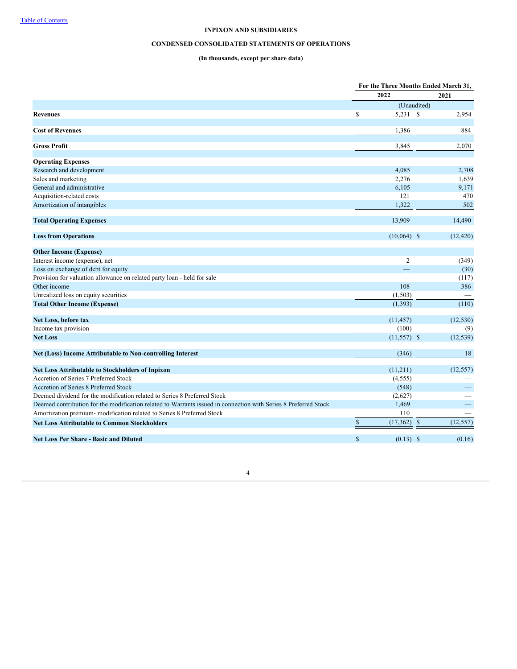# **CONDENSED CONSOLIDATED STATEMENTS OF OPERATIONS**

# **(In thousands, except per share data)**

|                                                                                                                 |              | For the Three Months Ended March 31, |              |           |
|-----------------------------------------------------------------------------------------------------------------|--------------|--------------------------------------|--------------|-----------|
|                                                                                                                 |              | 2022                                 |              | 2021      |
|                                                                                                                 |              |                                      | (Unaudited)  |           |
| <b>Revenues</b>                                                                                                 | $\mathbb{S}$ | 5,231 \$                             |              | 2,954     |
| <b>Cost of Revenues</b>                                                                                         |              | 1,386                                |              | 884       |
| <b>Gross Profit</b>                                                                                             |              | 3,845                                |              | 2,070     |
| <b>Operating Expenses</b>                                                                                       |              |                                      |              |           |
| Research and development                                                                                        |              | 4,085                                |              | 2,708     |
| Sales and marketing                                                                                             |              | 2,276                                |              | 1,639     |
| General and administrative                                                                                      |              | 6,105                                |              | 9,171     |
| Acquisition-related costs                                                                                       |              | 121                                  |              | 470       |
| Amortization of intangibles                                                                                     |              | 1,322                                |              | 502       |
| <b>Total Operating Expenses</b>                                                                                 |              | 13,909                               |              | 14,490    |
| <b>Loss from Operations</b>                                                                                     |              | $(10,064)$ \$                        |              | (12, 420) |
| <b>Other Income (Expense)</b>                                                                                   |              |                                      |              |           |
| Interest income (expense), net                                                                                  |              | $\overline{2}$                       |              | (349)     |
| Loss on exchange of debt for equity                                                                             |              | $\qquad \qquad -$                    |              | (30)      |
| Provision for valuation allowance on related party loan - held for sale                                         |              |                                      |              | (117)     |
| Other income                                                                                                    |              | 108                                  |              | 386       |
| Unrealized loss on equity securities                                                                            |              | (1, 503)                             |              |           |
| <b>Total Other Income (Expense)</b>                                                                             |              | (1, 393)                             |              | (110)     |
| Net Loss, before tax                                                                                            |              | (11, 457)                            |              | (12, 530) |
| Income tax provision                                                                                            |              | (100)                                |              | (9)       |
| <b>Net Loss</b>                                                                                                 |              | $(11,557)$ \$                        |              | (12, 539) |
| Net (Loss) Income Attributable to Non-controlling Interest                                                      |              | (346)                                |              | 18        |
| <b>Net Loss Attributable to Stockholders of Inpixon</b>                                                         |              | (11,211)                             |              | (12, 557) |
| Accretion of Series 7 Preferred Stock                                                                           |              | (4, 555)                             |              |           |
| Accretion of Series 8 Preferred Stock                                                                           |              | (548)                                |              |           |
| Deemed dividend for the modification related to Series 8 Preferred Stock                                        |              | (2,627)                              |              |           |
| Deemed contribution for the modification related to Warrants issued in connection with Series 8 Preferred Stock |              | 1,469                                |              | -         |
| Amortization premium- modification related to Series 8 Preferred Stock                                          |              | 110                                  |              |           |
| <b>Net Loss Attributable to Common Stockholders</b>                                                             | $\mathbb{S}$ | (17, 362)                            | $\mathbb{S}$ | (12, 557) |
| <b>Net Loss Per Share - Basic and Diluted</b>                                                                   | $\mathbb{S}$ | $(0.13)$ \$                          |              | (0.16)    |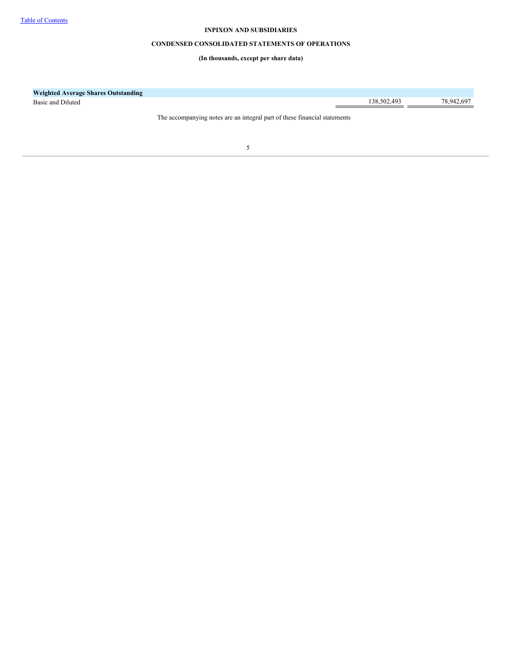## **CONDENSED CONSOLIDATED STATEMENTS OF OPERATIONS**

**(In thousands, except per share data)**

<span id="page-9-0"></span>

| <b>Weighted Average Shares Outstanding</b> |                                                                           |             |            |
|--------------------------------------------|---------------------------------------------------------------------------|-------------|------------|
| Basic and Diluted                          |                                                                           | 138,502,493 | 78,942,697 |
|                                            | The accompanying notes are an integral part of these financial statements |             |            |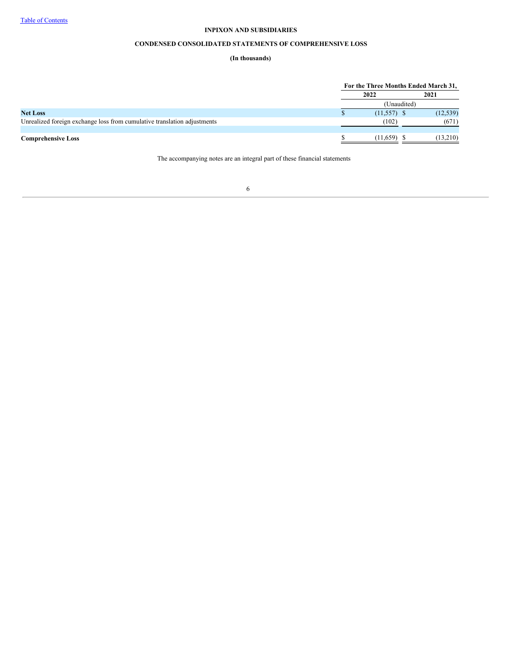# **CONDENSED CONSOLIDATED STATEMENTS OF COMPREHENSIVE LOSS**

# **(In thousands)**

<span id="page-10-0"></span>

|                                                                          | For the Three Months Ended March 31, |           |
|--------------------------------------------------------------------------|--------------------------------------|-----------|
|                                                                          | 2022                                 | 2021      |
|                                                                          | (Unaudited)                          |           |
| <b>Net Loss</b>                                                          | $(11,557)$ \$                        | (12, 539) |
| Unrealized foreign exchange loss from cumulative translation adjustments | (102)                                | (671)     |
|                                                                          |                                      |           |
| <b>Comprehensive Loss</b>                                                | $(11.659)$ \$                        | (13,210)  |

The accompanying notes are an integral part of these financial statements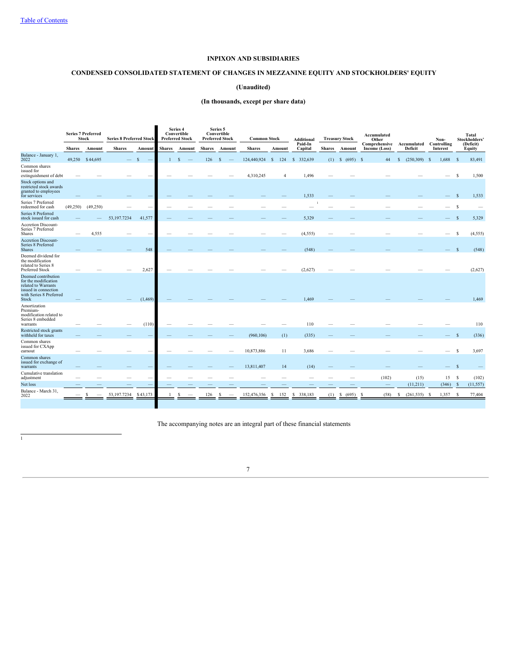# **CONDENSED CONSOLIDATED STATEMENT OF CHANGES IN MEZZANINE EQUITY AND STOCKHOLDERS' EQUITY**

## **(Unaudited)**

## **(In thousands, except per share data)**

|                                                                                                                                |               | <b>Series 7 Preferred</b><br><b>Stock</b> | <b>Series 8 Preferred Stock</b> |          |               | Series 4<br>Convertible<br><b>Preferred Stock</b> |               | Series 5<br>Convertible<br><b>Preferred Stock</b> | <b>Common Stock</b> |           | <b>Additional</b>  |               | <b>Treasury Stock</b> | Accumulated<br>Other           |                        | Non-                    |              | Total<br>Stockholders' |
|--------------------------------------------------------------------------------------------------------------------------------|---------------|-------------------------------------------|---------------------------------|----------|---------------|---------------------------------------------------|---------------|---------------------------------------------------|---------------------|-----------|--------------------|---------------|-----------------------|--------------------------------|------------------------|-------------------------|--------------|------------------------|
|                                                                                                                                | <b>Shares</b> | Amount                                    | <b>Shares</b>                   | Amount   | <b>Shares</b> | Amount                                            | <b>Shares</b> | Amount                                            | <b>Shares</b>       | Amount    | Paid-In<br>Capital | <b>Shares</b> | Amount                | Comprehensive<br>Income (Loss) | Accumulated<br>Deficit | Controlling<br>Interest |              | (Deficit)<br>Equity    |
| Balance - January 1,<br>2022                                                                                                   |               | 49,250 \$44,695                           |                                 | -8       | $\mathbf{1}$  | $\mathbf{s}$                                      | 126           | \$                                                | 124,440,924         | 124<br>-S | \$ 332,639         |               | $(1)$ \$ $(695)$ \$   | 44                             | $(250,309)$ \$<br>S    | $1,688$ \$              |              | 83,491                 |
| Common shares<br>issued for<br>extinguishment of debt                                                                          |               |                                           |                                 |          |               |                                                   |               |                                                   | 4,310,245           | 4         | 1,496              |               |                       |                                |                        |                         | S            | 1,500                  |
| Stock options and<br>restricted stock awards<br>granted to employees<br>for services                                           |               |                                           |                                 |          |               |                                                   |               |                                                   |                     |           | 1,533              |               |                       |                                |                        |                         | <sub>S</sub> | 1,533                  |
| Series 7 Preferred<br>redeemed for cash                                                                                        | (49,250)      | (49,250)                                  |                                 |          |               |                                                   |               |                                                   |                     |           |                    |               |                       |                                |                        |                         | -S           |                        |
| Series 8 Preferred<br>stock issued for cash                                                                                    |               |                                           | 53,197.7234                     | 41,577   |               |                                                   |               |                                                   |                     |           | 5,329              |               |                       |                                |                        |                         | <sub>S</sub> | 5,329                  |
| Accretion Discount-<br>Series 7 Preferred<br>Shares                                                                            |               | 4,555                                     |                                 |          |               |                                                   |               |                                                   |                     |           | (4, 555)           |               |                       |                                |                        |                         | s            | (4,555)                |
| <b>Accretion Discount-</b><br>Series 8 Preferred<br><b>Shares</b>                                                              |               |                                           |                                 | 548      |               |                                                   |               |                                                   |                     |           | (548)              |               |                       |                                |                        |                         | <b>S</b>     | (548)                  |
| Deemed dividend for<br>the modification<br>related to Series 8<br>Preferred Stock                                              |               |                                           |                                 | 2,627    |               |                                                   |               |                                                   |                     |           | (2,627)            |               |                       |                                |                        |                         |              | (2,627)                |
| Deemed contribution<br>for the modification<br>related to Warrants<br>issued in connection<br>with Series 8 Preferred<br>Stock |               |                                           |                                 | (1, 469) |               |                                                   |               |                                                   |                     |           | 1,469              |               |                       |                                |                        |                         |              | 1,469                  |
| Amortization<br>Premium-<br>modification related to<br>Series 8 embedded<br>warrants                                           |               |                                           |                                 | (110)    |               |                                                   |               |                                                   |                     |           | 110                |               |                       |                                |                        |                         |              | 110                    |
| Restricted stock grants<br>withheld for taxes                                                                                  |               |                                           |                                 |          |               |                                                   |               |                                                   | (960, 106)          | (1)       | (335)              |               |                       |                                |                        |                         | S            | (336)                  |
| Common shares<br>issued for CXApp<br>earnout                                                                                   |               |                                           |                                 |          |               |                                                   |               |                                                   | 10,873,886          | 11        | 3,686              |               |                       |                                |                        |                         | S            | 3,697                  |
| Common shares<br>issued for exchange of<br>warrants                                                                            |               |                                           |                                 |          |               |                                                   |               |                                                   | 13,811,407          | 14        | (14)               |               |                       |                                |                        |                         | S            |                        |
| Cumulative translation<br>adjustment                                                                                           |               |                                           |                                 |          |               |                                                   |               |                                                   |                     |           |                    |               |                       | (102)                          | (15)                   | 15                      | s            | (102)                  |
| Net loss                                                                                                                       |               |                                           |                                 |          |               |                                                   |               |                                                   |                     |           |                    |               |                       | $\overline{\phantom{m}}$       | (11,211)               | (346)                   | <sup>S</sup> | (11, 557)              |
| Balance - March 31,<br>2022                                                                                                    |               |                                           | 53, 197. 7234 \$43, 173         |          |               | S                                                 | 126           |                                                   | 152,476,356         | 152<br>S  | 338,183<br>-S      | (1)           | (695)<br>S            | (58)<br>-S                     | $(261, 535)$ \$<br>S   | 1,357                   | -S           | 77,404                 |
|                                                                                                                                |               |                                           |                                 |          |               |                                                   |               |                                                   |                     |           |                    |               |                       |                                |                        |                         |              |                        |

The accompanying notes are an integral part of these financial statements

7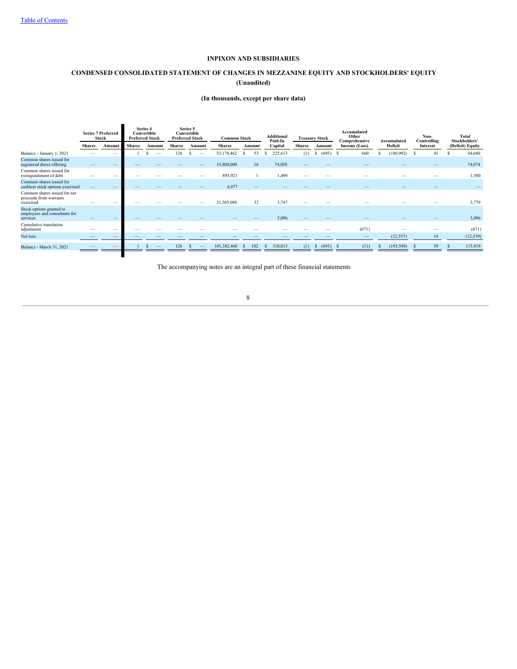# **CONDENSED CONSOLIDATED STATEMENT OF CHANGES IN MEZZANINE EQUITY AND STOCKHOLDERS' EQUITY (Unaudited)**

## **(In thousands, except per share data)**

|                                                                       | <b>Series 7 Preferred</b><br>Stock |        | Series 4<br>Convertible<br><b>Preferred Stock</b> |        |               |          | Series 5<br>Convertible<br><b>Preferred Stock</b> |           | <b>Common Stock</b>     |               | <b>Additional</b><br>Paid-In | <b>Treasury Stock</b>    |            | Accumulated<br>Other<br>Comprehensive | Accumulated      | Non-<br>Controlling | Total<br>Stockholders' |  |
|-----------------------------------------------------------------------|------------------------------------|--------|---------------------------------------------------|--------|---------------|----------|---------------------------------------------------|-----------|-------------------------|---------------|------------------------------|--------------------------|------------|---------------------------------------|------------------|---------------------|------------------------|--|
|                                                                       | <b>Shares</b>                      | Amount | <b>Shares</b>                                     | Amount | <b>Shares</b> | Amount   | <b>Shares</b>                                     | Amount    | Capital                 | <b>Shares</b> | Amount                       | Deficit<br>Income (Loss) |            | Interest                              | (Deficit) Equity |                     |                        |  |
| Balance - January 1, 2021                                             |                                    |        |                                                   | S      | 126           | <b>S</b> | 53,178,462                                        | 53        | 225,613                 | (1)           | \$ (695)                     | 660<br>- S               | (180,992)  | 41<br>-8                              | 44,680           |                     |                        |  |
| Common shares issued for<br>registered direct offering                |                                    |        |                                                   |        |               |          | 15,800,000                                        | 16        | 74,058                  | _             |                              |                          |            |                                       | 74,074           |                     |                        |  |
| Common shares issued for<br>extinguishment of debt                    |                                    |        |                                                   |        |               |          | 893,921                                           |           | 1,499                   |               |                              |                          |            |                                       | 1,500            |                     |                        |  |
| Common shares issued for<br>cashless stock options exercised          |                                    |        |                                                   |        |               |          | 4,977                                             |           |                         |               |                              |                          |            |                                       |                  |                     |                        |  |
| Common shares issued for net<br>proceeds from warrants<br>exercised   |                                    |        |                                                   |        |               |          | 31,505,088                                        | 32        | 3,747                   |               |                              |                          |            |                                       | 3,779            |                     |                        |  |
| Stock options granted to<br>employees and consultants for<br>services | _                                  |        |                                                   |        |               |          |                                                   |           | 5,096                   |               |                              |                          |            |                                       | 5,096            |                     |                        |  |
| Cumulative translation<br>adjustment                                  |                                    |        |                                                   |        |               |          |                                                   |           |                         |               |                              | (671)                    |            |                                       | (671)            |                     |                        |  |
| Net loss                                                              |                                    |        |                                                   |        |               |          |                                                   |           |                         |               |                              |                          | (12, 557)  | 18                                    | (12, 539)        |                     |                        |  |
| Balance - March 31, 2021                                              |                                    |        |                                                   | S      | 126           |          | 101,382,448                                       | 102<br>-S | 310,013<br><sup>S</sup> | (1)           | (695)<br>S                   | (11)                     | (193, 549) | 59                                    | 115,919          |                     |                        |  |
|                                                                       |                                    |        |                                                   |        |               |          |                                                   |           |                         |               |                              |                          |            |                                       |                  |                     |                        |  |

<span id="page-12-0"></span>The accompanying notes are an integral part of these financial statements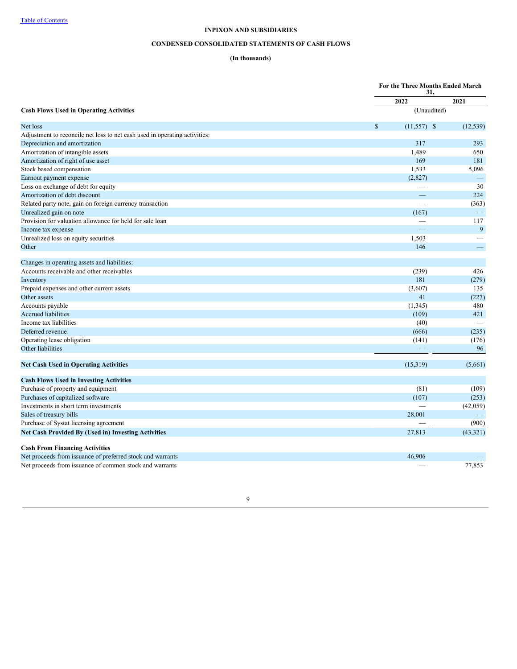# **CONDENSED CONSOLIDATED STATEMENTS OF CASH FLOWS**

## **(In thousands)**

|                                                                            |                               | For the Three Months Ended March<br>31, |  |  |  |
|----------------------------------------------------------------------------|-------------------------------|-----------------------------------------|--|--|--|
|                                                                            | 2022                          | 2021                                    |  |  |  |
| <b>Cash Flows Used in Operating Activities</b>                             |                               | (Unaudited)                             |  |  |  |
| Net loss                                                                   | $\mathbb{S}$<br>$(11,557)$ \$ | (12, 539)                               |  |  |  |
| Adjustment to reconcile net loss to net cash used in operating activities: |                               |                                         |  |  |  |
| Depreciation and amortization                                              | 317                           | 293                                     |  |  |  |
| Amortization of intangible assets                                          | 1,489                         | 650                                     |  |  |  |
| Amortization of right of use asset                                         | 169                           | 181                                     |  |  |  |
| Stock based compensation                                                   | 1,533                         | 5,096                                   |  |  |  |
| Earnout payment expense                                                    | (2,827)                       |                                         |  |  |  |
| Loss on exchange of debt for equity                                        |                               | 30                                      |  |  |  |
| Amortization of debt discount                                              |                               | 224                                     |  |  |  |
| Related party note, gain on foreign currency transaction                   |                               | (363)                                   |  |  |  |
| Unrealized gain on note                                                    | (167)                         |                                         |  |  |  |
| Provision for valuation allowance for held for sale loan                   |                               | 117                                     |  |  |  |
| Income tax expense                                                         |                               | 9                                       |  |  |  |
| Unrealized loss on equity securities                                       | 1,503                         |                                         |  |  |  |
| Other                                                                      | 146                           | $\overline{\phantom{0}}$                |  |  |  |
| Changes in operating assets and liabilities:                               |                               |                                         |  |  |  |
| Accounts receivable and other receivables                                  | (239)                         | 426                                     |  |  |  |
| Inventory                                                                  | 181                           | (279)                                   |  |  |  |
| Prepaid expenses and other current assets                                  | (3,607)                       | 135                                     |  |  |  |
| Other assets                                                               | 41                            | (227)                                   |  |  |  |
| Accounts payable                                                           | (1, 345)                      | 480                                     |  |  |  |
| <b>Accrued liabilities</b>                                                 | (109)                         | 421                                     |  |  |  |
| Income tax liabilities                                                     | (40)                          |                                         |  |  |  |
| Deferred revenue                                                           | (666)                         | (235)                                   |  |  |  |
| Operating lease obligation                                                 | (141)                         | (176)                                   |  |  |  |
| Other liabilities                                                          |                               | 96                                      |  |  |  |
| <b>Net Cash Used in Operating Activities</b>                               | (15,319)                      | (5,661)                                 |  |  |  |
| <b>Cash Flows Used in Investing Activities</b>                             |                               |                                         |  |  |  |
| Purchase of property and equipment                                         | (81)                          | (109)                                   |  |  |  |
| Purchases of capitalized software                                          | (107)                         | (253)                                   |  |  |  |
| Investments in short term investments                                      |                               | (42,059)                                |  |  |  |
| Sales of treasury bills                                                    | 28,001                        |                                         |  |  |  |
| Purchase of Systat licensing agreement                                     |                               | (900)                                   |  |  |  |
| <b>Net Cash Provided By (Used in) Investing Activities</b>                 | 27,813                        | (43, 321)                               |  |  |  |
| <b>Cash From Financing Activities</b>                                      |                               |                                         |  |  |  |
| Net proceeds from issuance of preferred stock and warrants                 | 46,906                        |                                         |  |  |  |
| Net proceeds from issuance of common stock and warrants                    |                               | 77.853                                  |  |  |  |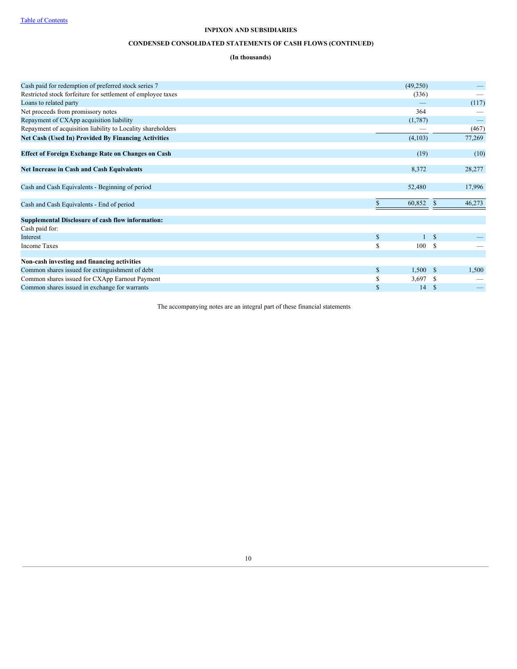# **CONDENSED CONSOLIDATED STATEMENTS OF CASH FLOWS (CONTINUED)**

## **(In thousands)**

| Cash paid for redemption of preferred stock series 7         |              | (49,250)   |               |        |
|--------------------------------------------------------------|--------------|------------|---------------|--------|
| Restricted stock forfeiture for settlement of employee taxes |              | (336)      |               |        |
| Loans to related party                                       |              |            |               | (117)  |
| Net proceeds from promissory notes                           |              | 364        |               |        |
| Repayment of CXApp acquisition liability                     |              | (1,787)    |               |        |
| Repayment of acquisition liability to Locality shareholders  |              |            |               | (467)  |
| <b>Net Cash (Used In) Provided By Financing Activities</b>   |              | (4,103)    |               | 77,269 |
| <b>Effect of Foreign Exchange Rate on Changes on Cash</b>    |              | (19)       |               | (10)   |
| <b>Net Increase in Cash and Cash Equivalents</b>             |              | 8,372      |               | 28,277 |
| Cash and Cash Equivalents - Beginning of period              |              | 52,480     |               | 17,996 |
| Cash and Cash Equivalents - End of period                    |              | 60,852     | <sup>\$</sup> | 46,273 |
| <b>Supplemental Disclosure of cash flow information:</b>     |              |            |               |        |
| Cash paid for:                                               |              |            |               |        |
| Interest                                                     | $\mathbb{S}$ |            | <sup>\$</sup> |        |
| <b>Income Taxes</b>                                          | S            | 100        | -S            |        |
| Non-cash investing and financing activities                  |              |            |               |        |
| Common shares issued for extinguishment of debt              | $\mathbb{S}$ | $1,500$ \$ |               | 1,500  |
| Common shares issued for CXApp Earnout Payment               | \$           | 3,697      | S             |        |
| Common shares issued in exchange for warrants                | \$           | 14         | S             |        |

<span id="page-14-0"></span>The accompanying notes are an integral part of these financial statements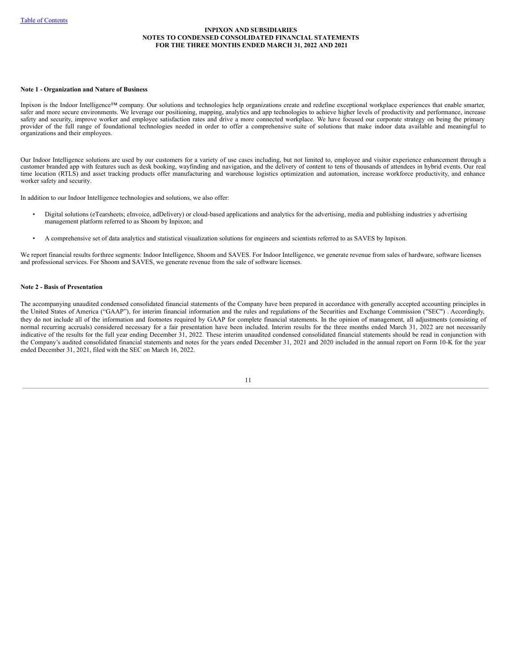#### **Note 1 - Organization and Nature of Business**

Inpixon is the Indoor Intelligence™ company. Our solutions and technologies help organizations create and redefine exceptional workplace experiences that enable smarter, safer and more secure environments. We leverage our positioning, mapping, analytics and app technologies to achieve higher levels of productivity and performance, increase safety and security, improve worker and employee satisfaction rates and drive a more connected workplace. We have focused our corporate strategy on being the primary provider of the full range of foundational technologies needed in order to offer a comprehensive suite of solutions that make indoor data available and meaningful to organizations and their employees.

Our Indoor Intelligence solutions are used by our customers for a variety of use cases including, but not limited to, employee and visitor experience enhancement through a customer branded app with features such as desk booking, wayfinding and navigation, and the delivery of content to tens of thousands of attendees in hybrid events. Our real time location (RTLS) and asset tracking products offer manufacturing and warehouse logistics optimization and automation, increase workforce productivity, and enhance worker safety and security.

In addition to our Indoor Intelligence technologies and solutions, we also offer:

- Digital solutions (eTearsheets; eInvoice, adDelivery) or cloud-based applications and analytics for the advertising, media and publishing industries y advertising management platform referred to as Shoom by Inpixon; and
- A comprehensive set of data analytics and statistical visualization solutions for engineers and scientists referred to as SAVES by Inpixon.

We report financial results forthree segments: Indoor Intelligence, Shoom and SAVES. For Indoor Intelligence, we generate revenue from sales of hardware, software licenses and professional services. For Shoom and SAVES, we generate revenue from the sale of software licenses.

### **Note 2 - Basis of Presentation**

The accompanying unaudited condensed consolidated financial statements of the Company have been prepared in accordance with generally accepted accounting principles in the United States of America ("GAAP"), for interim financial information and the rules and regulations of the Securities and Exchange Commission ("SEC") . Accordingly, they do not include all of the information and footnotes required by GAAP for complete financial statements. In the opinion of management, all adjustments (consisting of normal recurring accruals) considered necessary for a fair presentation have been included. Interim results for the three months ended March 31, 2022 are not necessarily indicative of the results for the full year ending December 31, 2022. These interim unaudited condensed consolidated financial statements should be read in conjunction with the Company's audited consolidated financial statements and notes for the years ended December 31, 2021 and 2020 included in the annual report on Form 10-K for the year ended December 31, 2021, filed with the SEC on March 16, 2022.

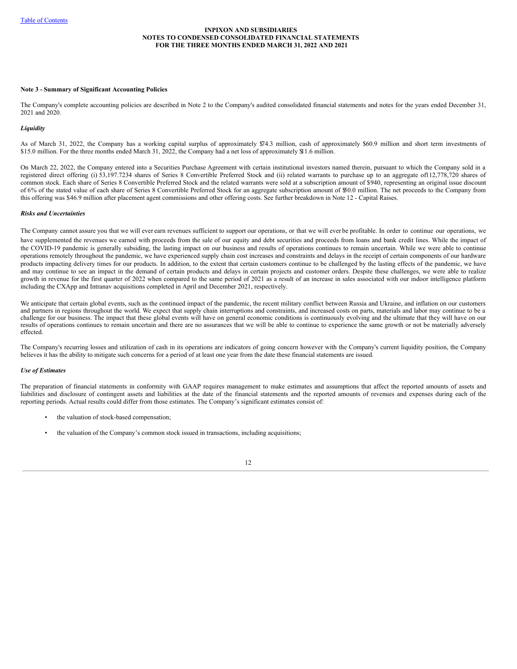### **Note 3 - Summary of Significant Accounting Policies**

The Company's complete accounting policies are described in Note 2 to the Company's audited consolidated financial statements and notes for the years ended December 31, 2021 and 2020.

#### *Liquidity*

As of March 31, 2022, the Company has a working capital surplus of approximately \$74.3 million, cash of approximately \$60.9 million and short term investments of \$15.0 million. For the three months ended March 31, 2022, the Company had a net loss of approximately \$11.6 million.

On March 22, 2022, the Company entered into a Securities Purchase Agreement with certain institutional investors named therein, pursuant to which the Company sold in a registered direct offering (i) 53,197.7234 shares of Series 8 Convertible Preferred Stock and (ii) related warrants to purchase up to an aggregate of112,778,720 shares of common stock. Each share of Series 8 Convertible Preferred Stock and the related warrants were sold at a subscription amount of \$940, representing an original issue discount of 6% of the stated value of each share of Series 8 Convertible Preferred Stock for an aggregate subscription amount of \$50.0 million. The net proceeds to the Company from this offering was \$46.9 million after placement agent commissions and other offering costs. See further breakdown in Note 12 - Capital Raises.

#### *Risks and Uncertainties*

The Company cannot assure you that we will ever earn revenues sufficient to support our operations, or that we will ever be profitable. In order to continue our operations, we have supplemented the revenues we earned with proceeds from the sale of our equity and debt securities and proceeds from loans and bank credit lines. While the impact of the COVID-19 pandemic is generally subsiding, the lasting impact on our business and results of operations continues to remain uncertain. While we were able to continue operations remotely throughout the pandemic, we have experienced supply chain cost increases and constraints and delays in the receipt of certain components of our hardware products impacting delivery times for our products. In addition, to the extent that certain customers continue to be challenged by the lasting effects of the pandemic, we have and may continue to see an impact in the demand of certain products and delays in certain projects and customer orders. Despite these challenges, we were able to realize growth in revenue for the first quarter of 2022 when compared to the same period of 2021 as a result of an increase in sales associated with our indoor intelligence platform including the CXApp and Intranav acquisitions completed in April and December 2021, respectively.

We anticipate that certain global events, such as the continued impact of the pandemic, the recent military conflict between Russia and Ukraine, and inflation on our customers and partners in regions throughout the world. We expect that supply chain interruptions and constraints, and increased costs on parts, materials and labor may continue to be a challenge for our business. The impact that these global events will have on general economic conditions is continuously evolving and the ultimate that they will have on our results of operations continues to remain uncertain and there are no assurances that we will be able to continue to experience the same growth or not be materially adversely effected.

The Company's recurring losses and utilization of cash in its operations are indicators of going concern however with the Company's current liquidity position, the Company believes it has the ability to mitigate such concerns for a period of at least one year from the date these financial statements are issued.

### *Use of Estimates*

The preparation of financial statements in conformity with GAAP requires management to make estimates and assumptions that affect the reported amounts of assets and liabilities and disclosure of contingent assets and liabilities at the date of the financial statements and the reported amounts of revenues and expenses during each of the reporting periods. Actual results could differ from those estimates. The Company's significant estimates consist of:

- the valuation of stock-based compensation;
- the valuation of the Company's common stock issued in transactions, including acquisitions;

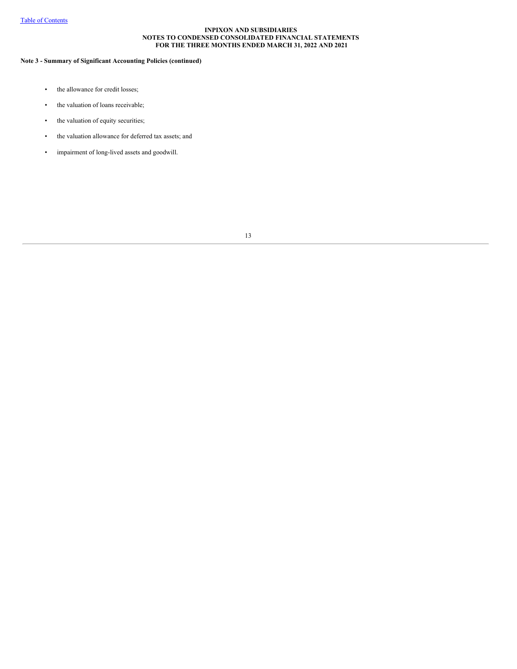## **Note 3 - Summary of Significant Accounting Policies (continued)**

- the allowance for credit losses;
- the valuation of loans receivable;
- the valuation of equity securities;
- the valuation allowance for deferred tax assets; and
- impairment of long-lived assets and goodwill.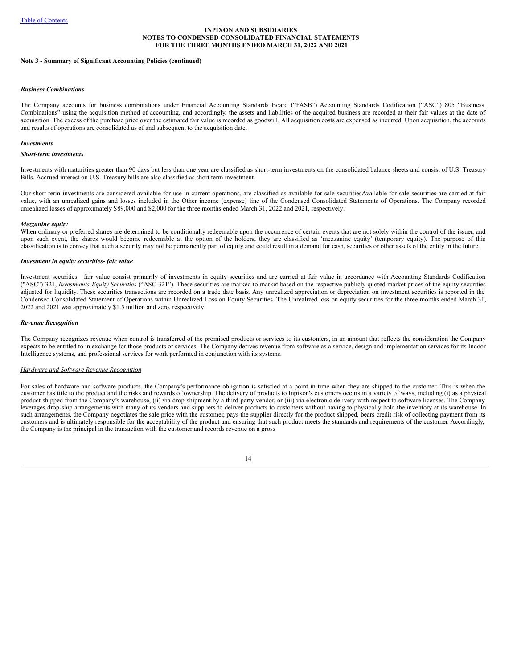#### **Note 3 - Summary of Significant Accounting Policies (continued)**

#### *Business Combinations*

The Company accounts for business combinations under Financial Accounting Standards Board ("FASB") Accounting Standards Codification ("ASC") 805 "Business Combinations" using the acquisition method of accounting, and accordingly, the assets and liabilities of the acquired business are recorded at their fair values at the date of acquisition. The excess of the purchase price over the estimated fair value is recorded as goodwill. All acquisition costs are expensed as incurred. Upon acquisition, the accounts and results of operations are consolidated as of and subsequent to the acquisition date.

#### *Investments*

### *Short-term investments*

Investments with maturities greater than 90 days but less than one year are classified as short-term investments on the consolidated balance sheets and consist of U.S. Treasury Bills. Accrued interest on U.S. Treasury bills are also classified as short term investment.

Our short-term investments are considered available for use in current operations, are classified as available-for-sale securities.Available for sale securities are carried at fair value, with an unrealized gains and losses included in the Other income (expense) line of the Condensed Consolidated Statements of Operations. The Company recorded unrealized losses of approximately \$89,000 and \$2,000 for the three months ended March 31, 2022 and 2021, respectively.

#### *Mezzanine equity*

When ordinary or preferred shares are determined to be conditionally redeemable upon the occurrence of certain events that are not solely within the control of the issuer, and upon such event, the shares would become redeemable at the option of the holders, they are classified as 'mezzanine equity' (temporary equity). The purpose of this classification is to convey that such a security may not be permanently part of equity and could result in a demand for cash, securities or other assets of the entity in the future.

#### *Investment in equity securities- fair value*

Investment securities—fair value consist primarily of investments in equity securities and are carried at fair value in accordance with Accounting Standards Codification ("ASC") 321, *Investments-Equity Securities* ("ASC 321"). These securities are marked to market based on the respective publicly quoted market prices of the equity securities adjusted for liquidity. These securities transactions are recorded on a trade date basis. Any unrealized appreciation or depreciation on investment securities is reported in the Condensed Consolidated Statement of Operations within Unrealized Loss on Equity Securities. The Unrealized loss on equity securities for the three months ended March 31, 2022 and 2021 was approximately \$1.5 million and zero, respectively.

#### *Revenue Recognition*

The Company recognizes revenue when control is transferred of the promised products or services to its customers, in an amount that reflects the consideration the Company expects to be entitled to in exchange for those products or services. The Company derives revenue from software as a service, design and implementation services for its Indoor Intelligence systems, and professional services for work performed in conjunction with its systems.

#### *Hardware and Software Revenue Recognition*

For sales of hardware and software products, the Company's performance obligation is satisfied at a point in time when they are shipped to the customer. This is when the customer has title to the product and the risks and rewards of ownership. The delivery of products to Inpixon's customers occurs in a variety of ways, including (i) as a physical product shipped from the Company's warehouse, (ii) via drop-shipment by a third-party vendor, or (iii) via electronic delivery with respect to software licenses. The Company leverages drop-ship arrangements with many of its vendors and suppliers to deliver products to customers without having to physically hold the inventory at its warehouse. In such arrangements, the Company negotiates the sale price with the customer, pays the supplier directly for the product shipped, bears credit risk of collecting payment from its customers and is ultimately responsible for the acceptability of the product and ensuring that such product meets the standards and requirements of the customer. Accordingly, the Company is the principal in the transaction with the customer and records revenue on a gross

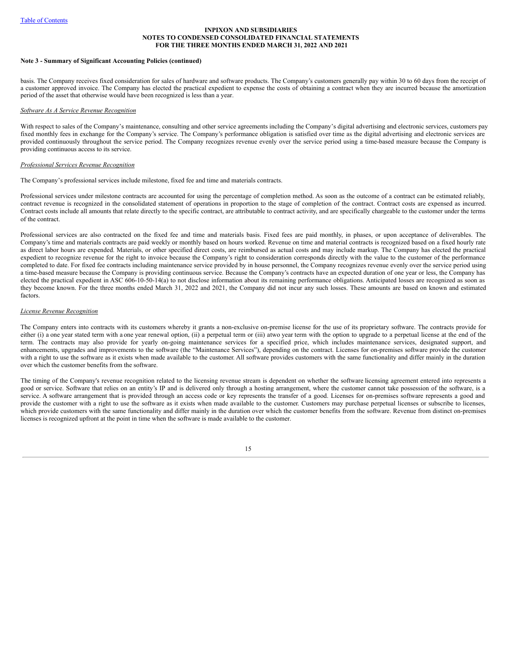#### **Note 3 - Summary of Significant Accounting Policies (continued)**

basis. The Company receives fixed consideration for sales of hardware and software products. The Company's customers generally pay within 30 to 60 days from the receipt of a customer approved invoice. The Company has elected the practical expedient to expense the costs of obtaining a contract when they are incurred because the amortization period of the asset that otherwise would have been recognized is less than a year.

#### *Software As A Service Revenue Recognition*

With respect to sales of the Company's maintenance, consulting and other service agreements including the Company's digital advertising and electronic services, customers pay fixed monthly fees in exchange for the Company's service. The Company's performance obligation is satisfied over time as the digital advertising and electronic services are provided continuously throughout the service period. The Company recognizes revenue evenly over the service period using a time-based measure because the Company is providing continuous access to its service.

#### *Professional Services Revenue Recognition*

The Company's professional services include milestone, fixed fee and time and materials contracts.

Professional services under milestone contracts are accounted for using the percentage of completion method. As soon as the outcome of a contract can be estimated reliably, contract revenue is recognized in the consolidated statement of operations in proportion to the stage of completion of the contract. Contract costs are expensed as incurred. Contract costs include all amounts that relate directly to the specific contract, are attributable to contract activity, and are specifically chargeable to the customer under the terms of the contract.

Professional services are also contracted on the fixed fee and time and materials basis. Fixed fees are paid monthly, in phases, or upon acceptance of deliverables. The Company's time and materials contracts are paid weekly or monthly based on hours worked. Revenue on time and material contracts is recognized based on a fixed hourly rate as direct labor hours are expended. Materials, or other specified direct costs, are reimbursed as actual costs and may include markup. The Company has elected the practical expedient to recognize revenue for the right to invoice because the Company's right to consideration corresponds directly with the value to the customer of the performance completed to date. For fixed fee contracts including maintenance service provided by in house personnel, the Company recognizes revenue evenly over the service period using a time-based measure because the Company is providing continuous service. Because the Company's contracts have an expected duration of one year or less, the Company has elected the practical expedient in ASC 606-10-50-14(a) to not disclose information about its remaining performance obligations. Anticipated losses are recognized as soon as they become known. For the three months ended March 31, 2022 and 2021, the Company did not incur any such losses. These amounts are based on known and estimated factors.

#### *License Revenue Recognition*

The Company enters into contracts with its customers whereby it grants a non-exclusive on-premise license for the use of its proprietary software. The contracts provide for either (i) a one year stated term with a one year renewal option, (ii) a perpetual term or (iii) atwo year term with the option to upgrade to a perpetual license at the end of the term. The contracts may also provide for yearly on-going maintenance services for a specified price, which includes maintenance services, designated support, and enhancements, upgrades and improvements to the software (the "Maintenance Services"), depending on the contract. Licenses for on-premises software provide the customer with a right to use the software as it exists when made available to the customer. All software provides customers with the same functionality and differ mainly in the duration over which the customer benefits from the software.

The timing of the Company's revenue recognition related to the licensing revenue stream is dependent on whether the software licensing agreement entered into represents a good or service. Software that relies on an entity's IP and is delivered only through a hosting arrangement, where the customer cannot take possession of the software, is a service. A software arrangement that is provided through an access code or key represents the transfer of a good. Licenses for on-premises software represents a good and provide the customer with a right to use the software as it exists when made available to the customer. Customers may purchase perpetual licenses or subscribe to licenses, which provide customers with the same functionality and differ mainly in the duration over which the customer benefits from the software. Revenue from distinct on-premises licenses is recognized upfront at the point in time when the software is made available to the customer.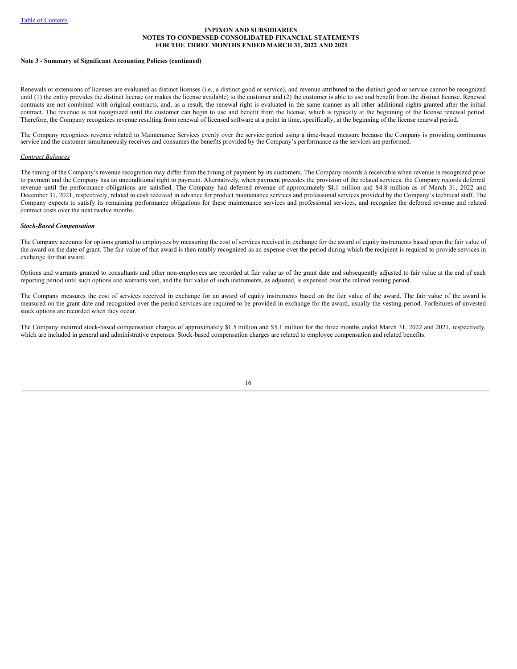#### **Note 3 - Summary of Significant Accounting Policies (continued)**

Renewals or extensions of licenses are evaluated as distinct licenses (i.e., a distinct good or service), and revenue attributed to the distinct good or service cannot be recognized until (1) the entity provides the distinct license (or makes the license available) to the customer and (2) the customer is able to use and benefit from the distinct license. Renewal contracts are not combined with original contracts, and, as a result, the renewal right is evaluated in the same manner as all other additional rights granted after the initial contract. The revenue is not recognized until the customer can begin to use and benefit from the license, which is typically at the beginning of the license renewal period. Therefore, the Company recognizes revenue resulting from renewal of licensed software at a point in time, specifically, at the beginning of the license renewal period.

The Company recognizes revenue related to Maintenance Services evenly over the service period using a time-based measure because the Company is providing continuous service and the customer simultaneously receives and consumes the benefits provided by the Company's performance as the services are performed.

#### *Contract Balances*

The timing of the Company's revenue recognition may differ from the timing of payment by its customers. The Company records a receivable when revenue is recognized prior to payment and the Company has an unconditional right to payment. Alternatively, when payment precedes the provision of the related services, the Company records deferred revenue until the performance obligations are satisfied. The Company had deferred revenue of approximately \$4.1 million and \$4.8 million as of March 31, 2022 and December 31, 2021, respectively, related to cash received in advance for product maintenance services and professional services provided by the Company's technical staff. The Company expects to satisfy its remaining performance obligations for these maintenance services and professional services, and recognize the deferred revenue and related contract costs over the next twelve months.

### *Stock-Based Compensation*

The Company accounts for options granted to employees by measuring the cost of services received in exchange for the award of equity instruments based upon the fair value of the award on the date of grant. The fair value of that award is then ratably recognized as an expense over the period during which the recipient is required to provide services in exchange for that award.

Options and warrants granted to consultants and other non-employees are recorded at fair value as of the grant date and subsequently adjusted to fair value at the end of each reporting period until such options and warrants vest, and the fair value of such instruments, as adjusted, is expensed over the related vesting period.

The Company measures the cost of services received in exchange for an award of equity instruments based on the fair value of the award. The fair value of the award is measured on the grant date and recognized over the period services are required to be provided in exchange for the award, usually the vesting period. Forfeitures of unvested stock options are recorded when they occur.

The Company incurred stock-based compensation charges of approximately \$1.5 million and \$5.1 million for the three months ended March 31, 2022 and 2021, respectively, which are included in general and administrative expenses. Stock-based compensation charges are related to employee compensation and related benefits.

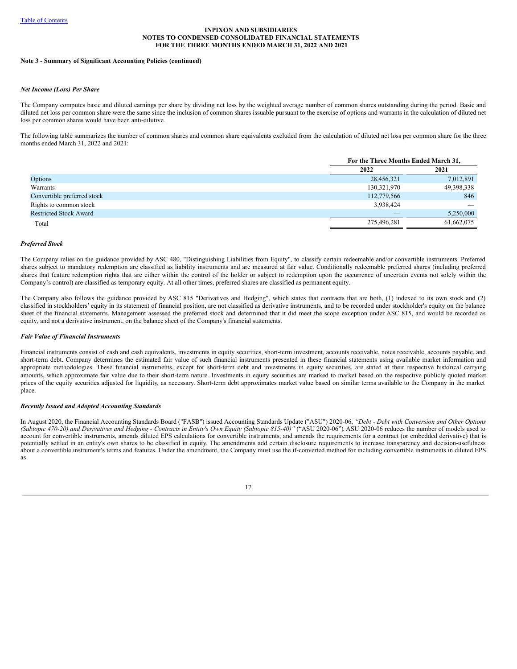#### **Note 3 - Summary of Significant Accounting Policies (continued)**

### *Net Income (Loss) Per Share*

The Company computes basic and diluted earnings per share by dividing net loss by the weighted average number of common shares outstanding during the period. Basic and diluted net loss per common share were the same since the inclusion of common shares issuable pursuant to the exercise of options and warrants in the calculation of diluted net loss per common shares would have been anti-dilutive.

The following table summarizes the number of common shares and common share equivalents excluded from the calculation of diluted net loss per common share for the three months ended March 31, 2022 and 2021:

|                               | For the Three Months Ended March 31, |            |  |  |
|-------------------------------|--------------------------------------|------------|--|--|
|                               | 2022                                 | 2021       |  |  |
| Options                       | 28,456,321                           | 7,012,891  |  |  |
| Warrants                      | 130,321,970                          | 49,398,338 |  |  |
| Convertible preferred stock   | 112,779,566                          | 846        |  |  |
| Rights to common stock        | 3,938,424                            | __         |  |  |
| <b>Restricted Stock Award</b> |                                      | 5,250,000  |  |  |
| Total                         | 275,496,281                          | 61,662,075 |  |  |

#### *Preferred Stock*

The Company relies on the guidance provided by ASC 480, "Distinguishing Liabilities from Equity", to classify certain redeemable and/or convertible instruments. Preferred shares subject to mandatory redemption are classified as liability instruments and are measured at fair value. Conditionally redeemable preferred shares (including preferred shares that feature redemption rights that are either within the control of the holder or subject to redemption upon the occurrence of uncertain events not solely within the Company's control) are classified as temporary equity. At all other times, preferred shares are classified as permanent equity.

The Company also follows the guidance provided by ASC 815 "Derivatives and Hedging", which states that contracts that are both, (1) indexed to its own stock and (2) classified in stockholders' equity in its statement of financial position, are not classified as derivative instruments, and to be recorded under stockholder's equity on the balance sheet of the financial statements. Management assessed the preferred stock and determined that it did meet the scope exception under ASC 815, and would be recorded as equity, and not a derivative instrument, on the balance sheet of the Company's financial statements.

#### *Fair Value of Financial Instruments*

Financial instruments consist of cash and cash equivalents, investments in equity securities, short-term investment, accounts receivable, notes receivable, accounts payable, and short-term debt. Company determines the estimated fair value of such financial instruments presented in these financial statements using available market information and appropriate methodologies. These financial instruments, except for short-term debt and investments in equity securities, are stated at their respective historical carrying amounts, which approximate fair value due to their short-term nature. Investments in equity securities are marked to market based on the respective publicly quoted market prices of the equity securities adjusted for liquidity, as necessary. Short-term debt approximates market value based on similar terms available to the Company in the market place.

#### *Recently Issued and Adopted Accounting Standards*

In August 2020, the Financial Accounting Standards Board ("FASB") issued Accounting Standards Update ("ASU") 2020-06, *"Debt - Debt with Conversion and Other Options* (Subtopic 470-20) and Derivatives and Hedging - Contracts in Entity's Own Equity (Subtopic 815-40)" ("ASU 2020-06"). ASU 2020-06 reduces the number of models used to account for convertible instruments, amends diluted EPS calculations for convertible instruments, and amends the requirements for a contract (or embedded derivative) that is potentially settled in an entity's own shares to be classified in equity. The amendments add certain disclosure requirements to increase transparency and decision-usefulness about a convertible instrument's terms and features. Under the amendment, the Company must use the if-converted method for including convertible instruments in diluted EPS as

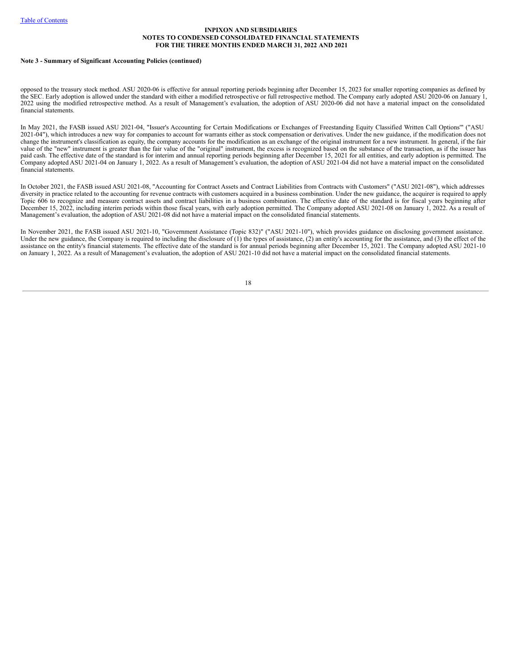#### **Note 3 - Summary of Significant Accounting Policies (continued)**

opposed to the treasury stock method. ASU 2020-06 is effective for annual reporting periods beginning after December 15, 2023 for smaller reporting companies as defined by the SEC. Early adoption is allowed under the standard with either a modified retrospective or full retrospective method. The Company early adopted ASU 2020-06 on January 1, 2022 using the modified retrospective method. As a result of Management's evaluation, the adoption of ASU 2020-06 did not have a material impact on the consolidated financial statements.

In May 2021, the FASB issued ASU 2021-04, "Issuer's Accounting for Certain Modifications or Exchanges of Freestanding Equity Classified Written Call Options'" ("ASU 2021-04"), which introduces a new way for companies to account for warrants either as stock compensation or derivatives. Under the new guidance, if the modification does not change the instrument's classification as equity, the company accounts for the modification as an exchange of the original instrument for a new instrument. In general, if the fair value of the "new" instrument is greater than the fair value of the "original" instrument, the excess is recognized based on the substance of the transaction, as if the issuer has paid cash. The effective date of the standard is for interim and annual reporting periods beginning after December 15, 2021 for all entities, and early adoption is permitted. The Company adopted ASU 2021-04 on January 1, 2022. As a result of Management's evaluation, the adoption of ASU 2021-04 did not have a material impact on the consolidated financial statements.

In October 2021, the FASB issued ASU 2021-08, "Accounting for Contract Assets and Contract Liabilities from Contracts with Customers" ("ASU 2021-08"), which addresses diversity in practice related to the accounting for revenue contracts with customers acquired in a business combination. Under the new guidance, the acquirer is required to apply Topic 606 to recognize and measure contract assets and contract liabilities in a business combination. The effective date of the standard is for fiscal years beginning after December 15, 2022, including interim periods within those fiscal years, with early adoption permitted. The Company adopted ASU 2021-08 on January 1, 2022. As a result of Management's evaluation, the adoption of ASU 2021-08 did not have a material impact on the consolidated financial statements.

In November 2021, the FASB issued ASU 2021-10, "Government Assistance (Topic 832)" ("ASU 2021-10"), which provides guidance on disclosing government assistance. Under the new guidance, the Company is required to including the disclosure of (1) the types of assistance, (2) an entity's accounting for the assistance, and (3) the effect of the assistance on the entity's financial statements. The effective date of the standard is for annual periods beginning after December 15, 2021. The Company adopted ASU 2021-10 on January 1, 2022. As a result of Management's evaluation, the adoption of ASU 2021-10 did not have a material impact on the consolidated financial statements.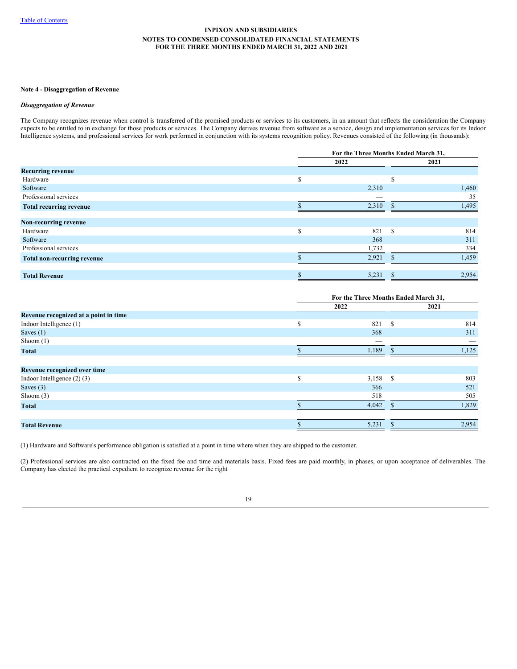#### **Note 4 - Disaggregation of Revenue**

### *Disaggregation of Revenue*

The Company recognizes revenue when control is transferred of the promised products or services to its customers, in an amount that reflects the consideration the Company expects to be entitled to in exchange for those products or services. The Company derives revenue from software as a service, design and implementation services for its Indoor Intelligence systems, and professional services for work performed in conjunction with its systems recognition policy. Revenues consisted of the following (in thousands):

|                                    |     | For the Three Months Ended March 31, |          |       |  |  |
|------------------------------------|-----|--------------------------------------|----------|-------|--|--|
|                                    |     | 2022                                 |          | 2021  |  |  |
| <b>Recurring revenue</b>           |     |                                      |          |       |  |  |
| Hardware                           | \$  | -                                    | S        |       |  |  |
| Software                           |     | 2,310                                |          | 1,460 |  |  |
| Professional services              |     |                                      |          | 35    |  |  |
| <b>Total recurring revenue</b>     |     | 2,310                                |          | 1,495 |  |  |
| Non-recurring revenue              |     |                                      |          |       |  |  |
| Hardware                           | \$. | 821                                  | <b>S</b> | 814   |  |  |
| Software                           |     | 368                                  |          | 311   |  |  |
| Professional services              |     | 1,732                                |          | 334   |  |  |
| <b>Total non-recurring revenue</b> |     | 2,921                                |          | 1,459 |  |  |
|                                    |     |                                      |          |       |  |  |
| <b>Total Revenue</b>               |     | 5,231                                |          | 2,954 |  |  |

|                                       |   | For the Three Months Ended March 31, |       |  |  |
|---------------------------------------|---|--------------------------------------|-------|--|--|
|                                       |   | 2022                                 | 2021  |  |  |
| Revenue recognized at a point in time |   |                                      |       |  |  |
| Indoor Intelligence (1)               | S | -S<br>821                            | 814   |  |  |
| Saves $(1)$                           |   | 368                                  | 311   |  |  |
| Shoom $(1)$                           |   |                                      |       |  |  |
| <b>Total</b>                          |   | 1,189                                | 1,125 |  |  |
|                                       |   |                                      |       |  |  |
| Revenue recognized over time          |   |                                      |       |  |  |
| Indoor Intelligence $(2)$ $(3)$       | S | 3,158<br>-S                          | 803   |  |  |
| Saves $(3)$                           |   | 366                                  | 521   |  |  |
| Shoom $(3)$                           |   | 518                                  | 505   |  |  |
| <b>Total</b>                          |   | 4,042                                | 1,829 |  |  |
|                                       |   |                                      |       |  |  |
| <b>Total Revenue</b>                  |   | 5,231                                | 2,954 |  |  |

(1) Hardware and Software's performance obligation is satisfied at a point in time where when they are shipped to the customer.

(2) Professional services are also contracted on the fixed fee and time and materials basis. Fixed fees are paid monthly, in phases, or upon acceptance of deliverables. The Company has elected the practical expedient to recognize revenue for the right

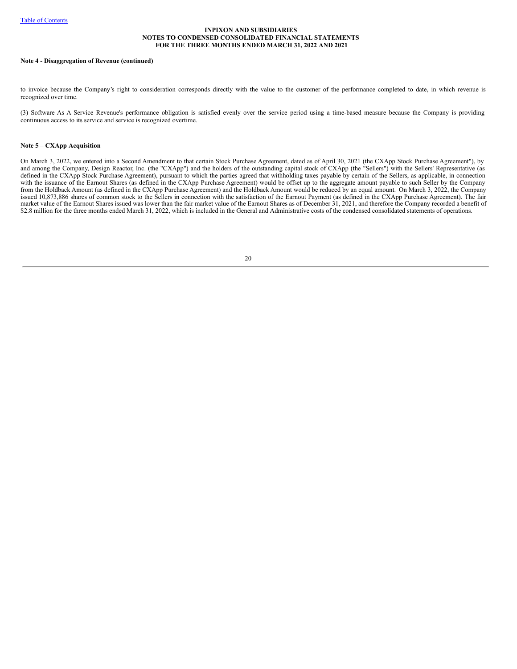#### **Note 4 - Disaggregation of Revenue (continued)**

to invoice because the Company's right to consideration corresponds directly with the value to the customer of the performance completed to date, in which revenue is recognized over time.

(3) Software As A Service Revenue's performance obligation is satisfied evenly over the service period using a time-based measure because the Company is providing continuous access to its service and service is recognized overtime.

### **Note 5 – CXApp Acquisition**

On March 3, 2022, we entered into a Second Amendment to that certain Stock Purchase Agreement, dated as of April 30, 2021 (the CXApp Stock Purchase Agreement"), by and among the Company, Design Reactor, Inc. (the "CXApp") and the holders of the outstanding capital stock of CXApp (the "Sellers") with the Sellers' Representative (as defined in the CXApp Stock Purchase Agreement), pursuant to which the parties agreed that withholding taxes payable by certain of the Sellers, as applicable, in connection with the issuance of the Earnout Shares (as defined in the CXApp Purchase Agreement) would be offset up to the aggregate amount payable to such Seller by the Company from the Holdback Amount (as defined in the CXApp Purchase Agreement) and the Holdback Amount would be reduced by an equal amount. On March 3, 2022, the Company issued 10,873,886 shares of common stock to the Sellers in connection with the satisfaction of the Earnout Payment (as defined in the CXApp Purchase Agreement). The fair market value of the Earnout Shares issued was lower than the fair market value of the Earnout Shares as of December 31, 2021, and therefore the Company recorded a benefit of \$2.8 million for the three months ended March 31, 2022, which is included in the General and Administrative costs of the condensed consolidated statements of operations.

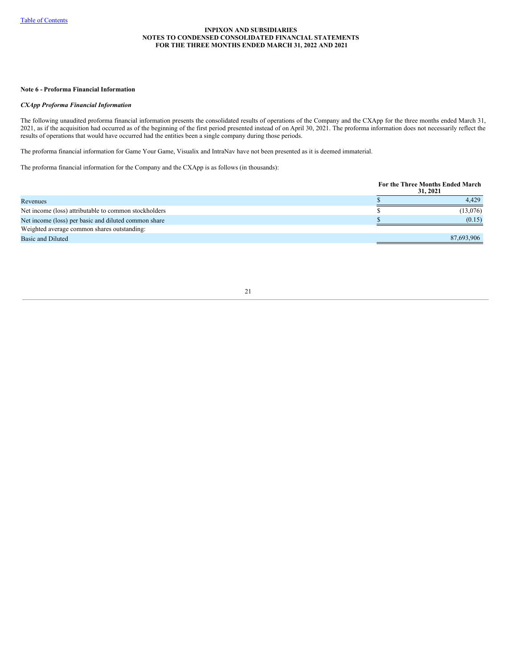#### **Note 6 - Proforma Financial Information**

#### *CXApp Proforma Financial Information*

The following unaudited proforma financial information presents the consolidated results of operations of the Company and the CXApp for the three months ended March 31, 2021, as if the acquisition had occurred as of the beginning of the first period presented instead of on April 30, 2021. The proforma information does not necessarily reflect the results of operations that would have occurred had the entities been a single company during those periods.

The proforma financial information for Game Your Game, Visualix and IntraNav have not been presented as it is deemed immaterial.

The proforma financial information for the Company and the CXApp is as follows (in thousands):

|                                                       | For the Three Months Ended March<br>31, 2021 |
|-------------------------------------------------------|----------------------------------------------|
| Revenues                                              | 4.429                                        |
| Net income (loss) attributable to common stockholders | (13,076)                                     |
| Net income (loss) per basic and diluted common share  | (0.15)                                       |
| Weighted average common shares outstanding:           |                                              |
| Basic and Diluted                                     | 87,693,906                                   |
|                                                       |                                              |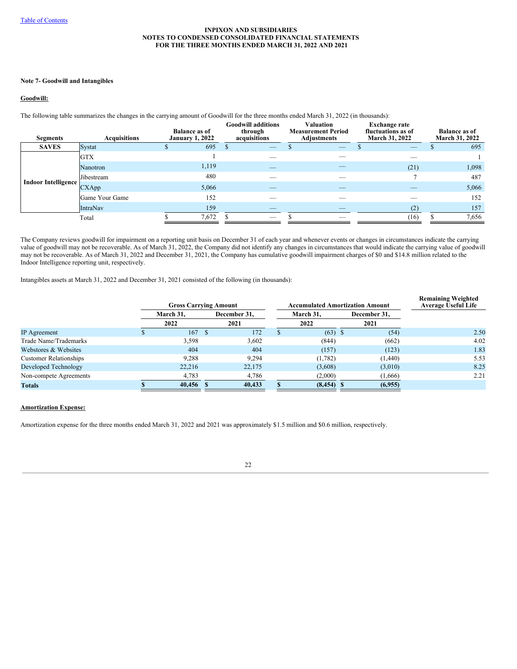### **Note 7- Goodwill and Intangibles**

## **Goodwill:**

The following table summarizes the changes in the carrying amount of Goodwill for the three months ended March 31, 2022 (in thousands):

| <b>Segments</b>            | <b>Acquisitions</b> | <b>Balance as of</b><br><b>January 1, 2022</b> | <b>Goodwill additions</b><br>through<br>acquisitions | <b>Valuation</b><br><b>Measurement Period</b><br><b>Adjustments</b> | <b>Exchange rate</b><br>fluctuations as of<br>March 31, 2022 | <b>Balance as of</b><br>March 31, 2022 |
|----------------------------|---------------------|------------------------------------------------|------------------------------------------------------|---------------------------------------------------------------------|--------------------------------------------------------------|----------------------------------------|
| <b>SAVES</b>               | Systat              | 695                                            |                                                      | $\overline{\phantom{a}}$                                            | _                                                            | 695                                    |
|                            | <b>GTX</b>          |                                                |                                                      |                                                                     |                                                              |                                        |
|                            | Nanotron            | 1,119                                          | _                                                    |                                                                     | (21)                                                         | 1,098                                  |
|                            | Jibestream          | 480                                            |                                                      |                                                                     |                                                              | 487                                    |
| <b>Indoor Intelligence</b> | CXApp               | 5,066                                          |                                                      |                                                                     |                                                              | 5,066                                  |
|                            | Game Your Game      | 152                                            |                                                      |                                                                     |                                                              | 152                                    |
|                            | IntraNav            | 159                                            | _                                                    |                                                                     | (2)                                                          | 157                                    |
|                            | Total               | 7,672                                          | _                                                    |                                                                     | (16)                                                         | 7,656                                  |

The Company reviews goodwill for impairment on a reporting unit basis on December 31 of each year and whenever events or changes in circumstances indicate the carrying value of goodwill may not be recoverable. As of March 31, 2022, the Company did not identify any changes in circumstances that would indicate the carrying value of goodwill may not be recoverable. As of March 31, 2022 and December 31, 2021, the Company has cumulative goodwill impairment charges of \$0 and \$14.8 million related to the Indoor Intelligence reporting unit, respectively.

Intangibles assets at March 31, 2022 and December 31, 2021 consisted of the following (in thousands):

|                               | <b>Gross Carrying Amount</b> |              | <b>Accumulated Amortization Amount</b> |              |  | <b>Remaining Weighted</b><br>Average Useful Life |      |
|-------------------------------|------------------------------|--------------|----------------------------------------|--------------|--|--------------------------------------------------|------|
|                               | March 31,                    | December 31, |                                        | March 31,    |  | December 31,                                     |      |
|                               | 2022                         | 2021         |                                        | 2022         |  | 2021                                             |      |
| <b>IP</b> Agreement           | 167S                         | 172          |                                        | $(63)$ \$    |  | (54)                                             | 2.50 |
| Trade Name/Trademarks         | 3,598                        | 3,602        |                                        | (844)        |  | (662)                                            | 4.02 |
| Webstores & Websites          | 404                          | 404          |                                        | (157)        |  | (123)                                            | 1.83 |
| <b>Customer Relationships</b> | 9,288                        | 9,294        |                                        | (1,782)      |  | (1, 440)                                         | 5.53 |
| Developed Technology          | 22,216                       | 22,175       |                                        | (3,608)      |  | (3,010)                                          | 8.25 |
| Non-compete Agreements        | 4,783                        | 4,786        |                                        | (2,000)      |  | (1,666)                                          | 2.21 |
| <b>Totals</b>                 | 40,456                       | 40,433       |                                        | $(8,454)$ \$ |  | (6,955)                                          |      |

## **Amortization Expense:**

Amortization expense for the three months ended March 31, 2022 and 2021 was approximately \$1.5 million and \$0.6 million, respectively.

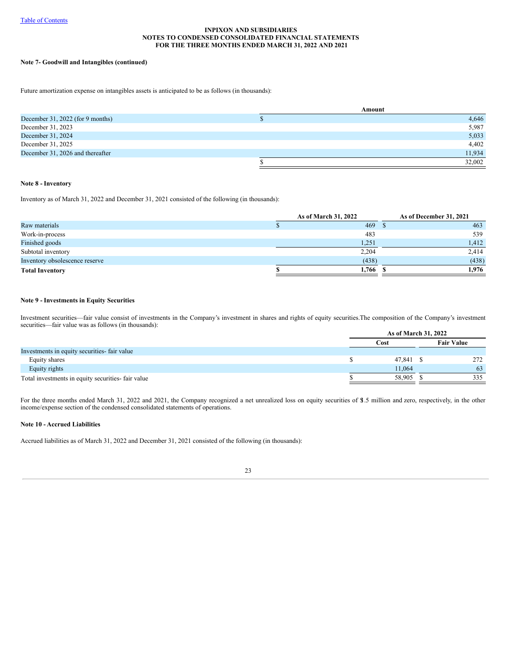## **Note 7- Goodwill and Intangibles (continued)**

Future amortization expense on intangibles assets is anticipated to be as follows (in thousands):

|                                  | Amount |  |  |  |  |
|----------------------------------|--------|--|--|--|--|
| December 31, 2022 (for 9 months) | 4,646  |  |  |  |  |
| December 31, 2023                | 5,987  |  |  |  |  |
| December 31, 2024                | 5,033  |  |  |  |  |
| December 31, 2025                | 4,402  |  |  |  |  |
| December 31, 2026 and thereafter | 11,934 |  |  |  |  |
|                                  | 32,002 |  |  |  |  |

### **Note 8 - Inventory**

Inventory as of March 31, 2022 and December 31, 2021 consisted of the following (in thousands):

|                                | As of March 31, 2022 | As of December 31, 2021 |  |  |
|--------------------------------|----------------------|-------------------------|--|--|
| Raw materials                  | 469                  | 463                     |  |  |
| Work-in-process                | 483                  | 539                     |  |  |
| Finished goods                 | 1,251                | 1,412                   |  |  |
| Subtotal inventory             | 2,204                | 2.414                   |  |  |
| Inventory obsolescence reserve | (438)                | (438)                   |  |  |
| <b>Total Inventory</b>         | 1,766                | 1.976                   |  |  |

## **Note 9 - Investments in Equity Securities**

Investment securities—fair value consist of investments in the Company's investment in shares and rights of equity securities.The composition of the Company's investment securities—fair value was as follows (in thousands):

|                                                   | As of March 31, 2022 |           |  |                   |
|---------------------------------------------------|----------------------|-----------|--|-------------------|
|                                                   |                      | Cost      |  | <b>Fair Value</b> |
| Investments in equity securities fair value       |                      |           |  |                   |
| Equity shares                                     |                      | 47,841 \$ |  | 272               |
| Equity rights                                     |                      | 11.064    |  | 63                |
| Total investments in equity securities-fair value |                      | 58.905    |  | 335               |
|                                                   |                      |           |  |                   |

For the three months ended March 31, 2022 and 2021, the Company recognized a net unrealized loss on equity securities of \$1.5 million and zero, respectively, in the other income/expense section of the condensed consolidated statements of operations.

## **Note 10 - Accrued Liabilities**

Accrued liabilities as of March 31, 2022 and December 31, 2021 consisted of the following (in thousands):

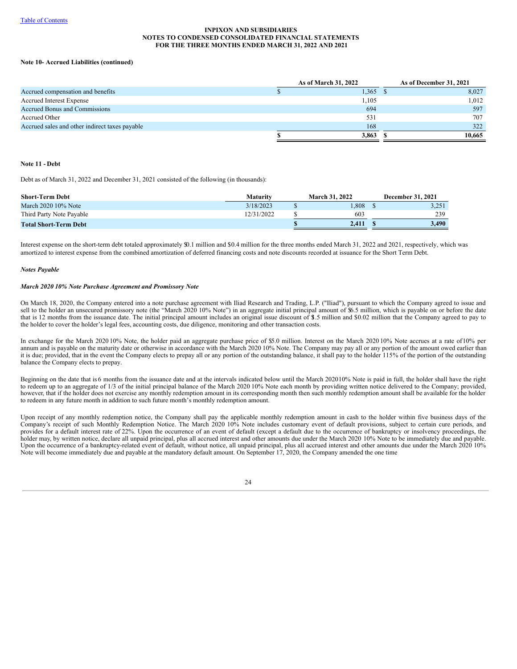## **Note 10- Accrued Liabilities (continued)**

|                                                | As of March 31, 2022 | As of December 31, 2021 |
|------------------------------------------------|----------------------|-------------------------|
| Accrued compensation and benefits              | 1,365                | 8,027                   |
| <b>Accrued Interest Expense</b>                | 1.105                | 1.012                   |
| <b>Accrued Bonus and Commissions</b>           | 694                  | 597                     |
| Accrued Other                                  | 531                  | 707                     |
| Accrued sales and other indirect taxes payable | 168                  | 322                     |
|                                                | 3,863                | 10.665                  |

### **Note 11 - Debt**

Debt as of March 31, 2022 and December 31, 2021 consisted of the following (in thousands):

| Short-Term Debt              | Maturity  | <b>March 31, 2022</b> | December 31, 2021 |
|------------------------------|-----------|-----------------------|-------------------|
| March 2020 10% Note          | 3/18/2023 | l.808                 | 3,251             |
| Third Party Note Payable     | 2/31/2022 | 603                   | 239               |
| <b>Total Short-Term Debt</b> |           | 2.411                 | 3.490             |

Interest expense on the short-term debt totaled approximately \$0.1 million and \$0.4 million for the three months ended March 31, 2022 and 2021, respectively, which was amortized to interest expense from the combined amortization of deferred financing costs and note discounts recorded at issuance for the Short Term Debt.

#### *Notes Payable*

#### *March 2020 10% Note Purchase Agreement and Promissory Note*

On March 18, 2020, the Company entered into a note purchase agreement with Iliad Research and Trading, L.P. ("Iliad"), pursuant to which the Company agreed to issue and sell to the holder an unsecured promissory note (the "March 2020 10% Note") in an aggregate initial principal amount of \$6.5 million, which is payable on or before the date that is 12 months from the issuance date. The initial principal amount includes an original issue discount of \$.5 million and \$0.02 million that the Company agreed to pay to the holder to cover the holder's legal fees, accounting costs, due diligence, monitoring and other transaction costs.

In exchange for the March 2020 10% Note, the holder paid an aggregate purchase price of \$5.0 million. Interest on the March 2020 10% Note accrues at a rate of10% per annum and is payable on the maturity date or otherwise in accordance with the March 2020 10% Note. The Company may pay all or any portion of the amount owed earlier than it is due; provided, that in the event the Company elects to prepay all or any portion of the outstanding balance, it shall pay to the holder 115% of the portion of the outstanding balance the Company elects to prepay.

Beginning on the date that is 6 months from the issuance date and at the intervals indicated below until the March 202010% Note is paid in full, the holder shall have the right to redeem up to an aggregate of 1/3 of the initial principal balance of the March 2020 10% Note each month by providing written notice delivered to the Company; provided, however, that if the holder does not exercise any monthly redemption amount in its corresponding month then such monthly redemption amount shall be available for the holder to redeem in any future month in addition to such future month's monthly redemption amount.

Upon receipt of any monthly redemption notice, the Company shall pay the applicable monthly redemption amount in cash to the holder within five business days of the Company's receipt of such Monthly Redemption Notice. The March 2020 10% Note includes customary event of default provisions, subject to certain cure periods, and provides for a default interest rate of 22%. Upon the occurrence of an event of default (except a default due to the occurrence of bankruptcy or insolvency proceedings, the holder may, by written notice, declare all unpaid principal, plus all accrued interest and other amounts due under the March 2020 10% Note to be immediately due and payable. Upon the occurrence of a bankruptcy-related event of default, without notice, all unpaid principal, plus all accrued interest and other amounts due under the March 2020 10% Note will become immediately due and payable at the mandatory default amount. On September 17, 2020, the Company amended the one time

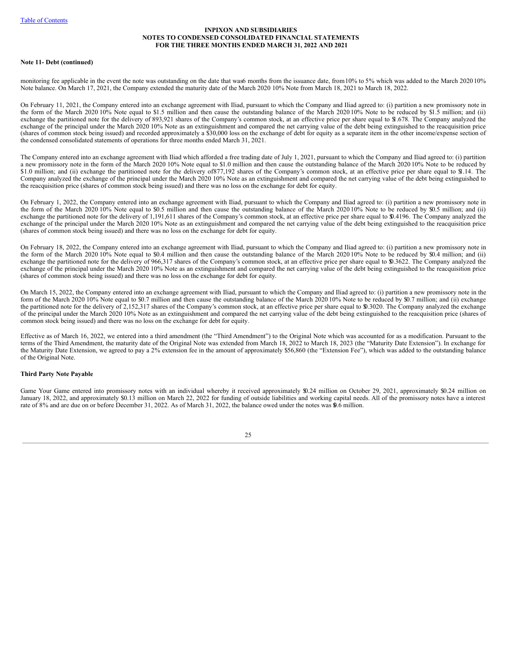#### **Note 11- Debt (continued)**

monitoring fee applicable in the event the note was outstanding on the date that was6 months from the issuance date, from 10% to 5% which was added to the March 2020 10% Note balance. On March 17, 2021, the Company extended the maturity date of the March 2020 10% Note from March 18, 2021 to March 18, 2022.

On February 11, 2021, the Company entered into an exchange agreement with Iliad, pursuant to which the Company and Iliad agreed to: (i) partition a new promissory note in the form of the March 2020 10% Note equal to \$1.5 million and then cause the outstanding balance of the March 2020 10% Note to be reduced by \$1.5 million; and (ii) exchange the partitioned note for the delivery of 893,921 shares of the Company's common stock, at an effective price per share equal to \$1.678. The Company analyzed the exchange of the principal under the March 2020 10% Note as an extinguishment and compared the net carrying value of the debt being extinguished to the reacquisition price (shares of common stock being issued) and recorded approximately a \$30,000 loss on the exchange of debt for equity as a separate item in the other income/expense section of the condensed consolidated statements of operations for three months ended March 31, 2021.

The Company entered into an exchange agreement with Iliad which afforded a free trading date of July 1, 2021, pursuant to which the Company and Iliad agreed to: (i) partition a new promissory note in the form of the March 2020 10% Note equal to \$1.0 million and then cause the outstanding balance of the March 2020 10% Note to be reduced by \$1.0 million; and (ii) exchange the partitioned note for the delivery of877,192 shares of the Company's common stock, at an effective price per share equal to \$1.14. The Company analyzed the exchange of the principal under the March 2020 10% Note as an extinguishment and compared the net carrying value of the debt being extinguished to the reacquisition price (shares of common stock being issued) and there was no loss on the exchange for debt for equity.

On February 1, 2022, the Company entered into an exchange agreement with Iliad, pursuant to which the Company and Iliad agreed to: (i) partition a new promissory note in the form of the March 2020 10% Note equal to \$0.5 million and then cause the outstanding balance of the March 2020 10% Note to be reduced by \$0.5 million; and (ii) exchange the partitioned note for the delivery of 1,191,611 shares of the Company's common stock, at an effective price per share equal to \$0.4196. The Company analyzed the exchange of the principal under the March 2020 10% Note as an extinguishment and compared the net carrying value of the debt being extinguished to the reacquisition price (shares of common stock being issued) and there was no loss on the exchange for debt for equity.

On February 18, 2022, the Company entered into an exchange agreement with Iliad, pursuant to which the Company and Iliad agreed to: (i) partition a new promissory note in the form of the March 2020 10% Note equal to \$0.4 million and then cause the outstanding balance of the March 2020 10% Note to be reduced by \$0.4 million; and (ii) exchange the partitioned note for the delivery of 966,317 shares of the Company's common stock, at an effective price per share equal to \$0.3622. The Company analyzed the exchange of the principal under the March 2020 10% Note as an extinguishment and compared the net carrying value of the debt being extinguished to the reacquisition price (shares of common stock being issued) and there was no loss on the exchange for debt for equity.

On March 15, 2022, the Company entered into an exchange agreement with Iliad, pursuant to which the Company and Iliad agreed to: (i) partition a new promissory note in the form of the March 2020 10% Note equal to \$0.7 million and then cause the outstanding balance of the March 2020 10% Note to be reduced by \$0.7 million; and (ii) exchange the partitioned note for the delivery of 2,152,317 shares of the Company's common stock, at an effective price per share equal to \$0.3020. The Company analyzed the exchange of the principal under the March 2020 10% Note as an extinguishment and compared the net carrying value of the debt being extinguished to the reacquisition price (shares of common stock being issued) and there was no loss on the exchange for debt for equity.

Effective as of March 16, 2022, we entered into a third amendment (the "Third Amendment") to the Original Note which was accounted for as a modification. Pursuant to the terms of the Third Amendment, the maturity date of the Original Note was extended from March 18, 2022 to March 18, 2023 (the "Maturity Date Extension"). In exchange for the Maturity Date Extension, we agreed to pay a 2% extension fee in the amount of approximately \$56,860 (the "Extension Fee"), which was added to the outstanding balance of the Original Note.

### **Third Party Note Payable**

Game Your Game entered into promissory notes with an individual whereby it received approximately \$0.24 million on October 29, 2021, approximately \$0.24 million on January 18, 2022, and approximately \$0.13 million on March 22, 2022 for funding of outside liabilities and working capital needs. All of the promissory notes have a interest rate of 8% and are due on or before December 31, 2022. As of March 31, 2022, the balance owed under the notes was \$0.6 million.

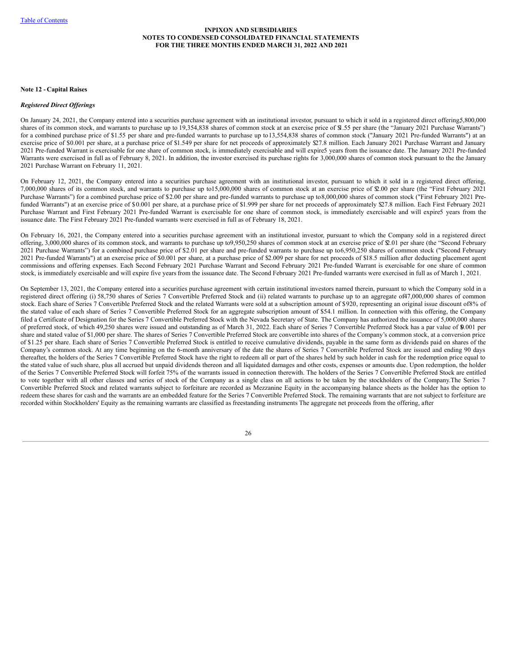#### **Note 12 - Capital Raises**

#### *Registered Direct Of erings*

On January 24, 2021, the Company entered into a securities purchase agreement with an institutional investor, pursuant to which it sold in a registered direct offering,5,800,000 shares of its common stock, and warrants to purchase up to 19,354,838 shares of common stock at an exercise price of \$1.55 per share (the "January 2021 Purchase Warrants") for a combined purchase price of \$1.55 per share and pre-funded warrants to purchase up to13,554,838 shares of common stock ("January 2021 Pre-funded Warrants") at an exercise price of \$0.001 per share, at a purchase price of \$1.549 per share for net proceeds of approximately \$27.8 million. Each January 2021 Purchase Warrant and January 2021 Pre-funded Warrant is exercisable for one share of common stock, is immediately exercisable and will expire5 years from the issuance date. The January 2021 Pre-funded Warrants were exercised in full as of February 8, 2021. In addition, the investor exercised its purchase rights for 3,000,000 shares of common stock pursuant to the the January 2021 Purchase Warrant on February 11, 2021.

On February 12, 2021, the Company entered into a securities purchase agreement with an institutional investor, pursuant to which it sold in a registered direct offering, 7,000,000 shares of its common stock, and warrants to purchase up to15,000,000 shares of common stock at an exercise price of \$2.00 per share (the "First February 2021 Purchase Warrants") for a combined purchase price of \$2.00 per share and pre-funded warrants to purchase up to 8,000,000 shares of common stock ("First February 2021 Prefunded Warrants") at an exercise price of \$0.001 per share, at a purchase price of \$1.999 per share for net proceeds of approximately \$27.8 million. Each First February 2021 Purchase Warrant and First February 2021 Pre-funded Warrant is exercisable for one share of common stock, is immediately exercisable and will expire5 years from the issuance date. The First February 2021 Pre-funded warrants were exercised in full as of February 18, 2021.

On February 16, 2021, the Company entered into a securities purchase agreement with an institutional investor, pursuant to which the Company sold in a registered direct offering, 3,000,000 shares of its common stock, and warrants to purchase up to9,950,250 shares of common stock at an exercise price of \$2.01 per share (the "Second February 2021 Purchase Warrants") for a combined purchase price of \$2.01 per share and pre-funded warrants to purchase up to6,950,250 shares of common stock ("Second February 2021 Pre-funded Warrants") at an exercise price of \$0.001 per share, at a purchase price of \$2.009 per share for net proceeds of \$18.5 million after deducting placement agent commissions and offering expenses. Each Second February 2021 Purchase Warrant and Second February 2021 Pre-funded Warrant is exercisable for one share of common stock, is immediately exercisable and will expire five yearsfrom the issuance date. The Second February 2021 Pre-funded warrants were exercised in full as of March 1, 2021.

On September 13, 2021, the Company entered into a securities purchase agreement with certain institutional investors named therein, pursuant to which the Company sold in a registered direct offering (i) 58,750 shares of Series 7 Convertible Preferred Stock and (ii) related warrants to purchase up to an aggregate of47,000,000 shares of common stock. Each share of Series 7 Convertible Preferred Stock and the related Warrants were sold at a subscription amount of \$920, representing an original issue discount of8% of the stated value of each share of Series 7 Convertible Preferred Stock for an aggregate subscription amount of \$54.1 million. In connection with this offering, the Company filed a Certificate of Designation for the Series 7 Convertible Preferred Stock with the Nevada Secretary of State. The Company has authorized the issuance of 5,000,000 shares of preferred stock, of which 49,250 shares were issued and outstanding as of March 31, 2022. Each share of Series 7 Convertible Preferred Stock has a par value of \$0.001 per share and stated value of \$1,000 per share. The shares of Series 7 Convertible Preferred Stock are convertible into shares of the Company's common stock, at a conversion price of \$1.25 per share. Each share of Series 7 Convertible Preferred Stock is entitled to receive cumulative dividends, payable in the same form as dividends paid on shares of the Company's common stock. At any time beginning on the 6-month anniversary of the date the shares of Series 7 Convertible Preferred Stock are issued and ending 90 days thereafter, the holders of the Series 7 Convertible Preferred Stock have the right to redeem all or part of the shares held by such holder in cash for the redemption price equal to the stated value of such share, plus all accrued but unpaid dividends thereon and all liquidated damages and other costs, expenses or amounts due. Upon redemption, the holder of the Series 7 Convertible Preferred Stock will forfeit 75% of the warrants issued in connection therewith. The holders of the Series 7 Convertible Preferred Stock are entitled to vote together with all other classes and series of stock of the Company as a single class on all actions to be taken by the stockholders of the Company.The Series 7 Convertible Preferred Stock and related warrants subject to forfeiture are recorded as Mezzanine Equity in the accompanying balance sheets as the holder has the option to redeem these shares for cash and the warrants are an embedded feature for the Series 7 Convertible Preferred Stock. The remaining warrants that are not subject to forfeiture are recorded within Stockholders' Equity as the remaining warrants are classified as freestanding instruments The aggregate net proceeds from the offering, after

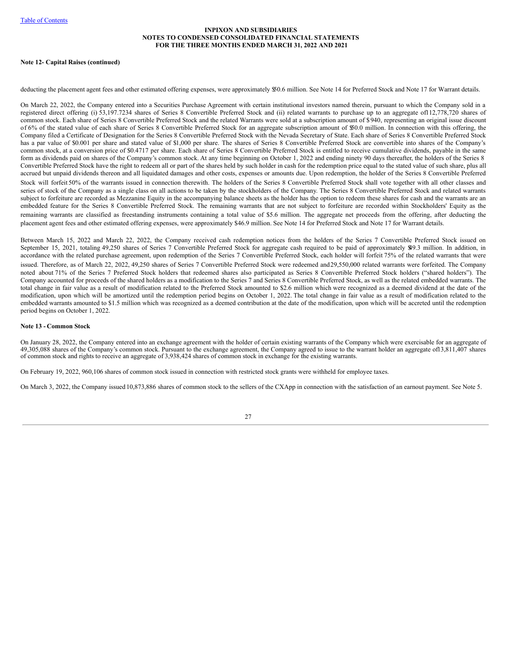#### **Note 12- Capital Raises (continued)**

deducting the placement agent fees and other estimated offering expenses, were approximately \$50.6 million. See [Note](#page-32-0) 14 for Preferred Stock and Note 17 for Warrant details.

On March 22, 2022, the Company entered into a Securities Purchase Agreement with certain institutional investors named therein, pursuant to which the Company sold in a registered direct offering (i) 53,197.7234 shares of Series 8 Convertible Preferred Stock and (ii) related warrants to purchase up to an aggregate of112,778,720 shares of common stock. Each share of Series 8 Convertible Preferred Stock and the related Warrants were sold at a subscription amount of \$940, representing an original issue discount of 6% of the stated value of each share of Series 8 Convertible Preferred Stock for an aggregate subscription amount of \$50.0 million. In connection with this offering, the Company filed a Certificate of Designation for the Series 8 Convertible Preferred Stock with the Nevada Secretary of State. Each share of Series 8 Convertible Preferred Stock has a par value of \$0.001 per share and stated value of \$1,000 per share. The shares of Series 8 Convertible Preferred Stock are convertible into shares of the Company's common stock, at a conversion price of \$0.4717 per share. Each share of Series 8 Convertible Preferred Stock is entitled to receive cumulative dividends, payable in the same form as dividends paid on shares of the Company's common stock. At any time beginning on October 1, 2022 and ending ninety 90 days thereafter, the holders of the Series 8 Convertible Preferred Stock have the right to redeem all or part of the shares held by such holder in cash for the redemption price equal to the stated value of such share, plus all accrued but unpaid dividends thereon and all liquidated damages and other costs, expenses or amounts due. Upon redemption, the holder of the Series 8 Convertible Preferred Stock will forfeit 50% of the warrants issued in connection therewith. The holders of the Series 8 Convertible Preferred Stock shall vote together with all other classes and series of stock of the Company as a single class on all actions to be taken by the stockholders of the Company. The Series 8 Convertible Preferred Stock and related warrants subject to forfeiture are recorded as Mezzanine Equity in the accompanying balance sheets as the holder has the option to redeem these shares for cash and the warrants are an embedded feature for the Series 8 Convertible Preferred Stock. The remaining warrants that are not subject to forfeiture are recorded within Stockholders' Equity as the remaining warrants are classified as freestanding instruments containing a total value of \$5.6 million. The aggregate net proceeds from the offering, after deducting the placement agent fees and other estimated offering expenses, were approximately \$46.9 million. See Note 14 for Preferred Stock and Note 17 for Warrant details.

Between March 15, 2022 and March 22, 2022, the Company received cash redemption notices from the holders of the Series 7 Convertible Preferred Stock issued on September 15, 2021, totaling 49,250 shares of Series 7 Convertible Preferred Stock for aggregate cash required to be paid of approximately \$49.3 million. In addition, in accordance with the related purchase agreement, upon redemption of the Series 7 Convertible Preferred Stock, each holder will forfeit 75% of the related warrants that were issued. Therefore, as of March 22, 2022, 49,250 shares of Series 7 Convertible Preferred Stock were redeemed and29,550,000 related warrants were forfeited. The Company noted about 71% of the Series 7 Preferred Stock holders that redeemed shares also participated as Series 8 Convertible Preferred Stock holders ("shared holders"). The Company accounted for proceeds of the shared holders as a modification to the Series 7 and Series 8 Convertible Preferred Stock, as well as the related embedded warrants. The total change in fair value as a result of modification related to the Preferred Stock amounted to \$2.6 million which were recognized as a deemed dividend at the date of the modification, upon which will be amortized until the redemption period begins on October 1, 2022. The total change in fair value as a result of modification related to the embedded warrants amounted to \$1.5 million which was recognized as a deemed contribution at the date of the modification, upon which will be accreted until the redemption period begins on October 1, 2022.

#### **Note 13 - Common Stock**

On January 28, 2022, the Company entered into an exchange agreement with the holder of certain existing warrants of the Company which were exercisable for an aggregate of 49,305,088 shares of the Company's common stock. Pursuant to the exchange agreement, the Company agreed to issue to the warrant holder an aggregate of13,811,407 shares of common stock and rights to receive an aggregate of 3,938,424 shares of common stock in exchange for the existing warrants.

On February 19, 2022, 960,106 shares of common stock issued in connection with restricted stock grants were withheld for employee taxes.

On March 3, 2022, the Company issued 10,873,886 shares of common stock to the sellers of the CXApp in connection with the satisfaction of an earnout payment. See Note 5.

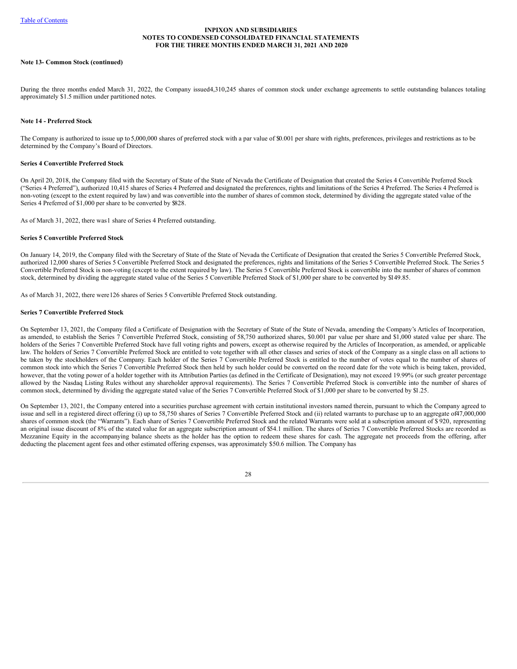#### **Note 13- Common Stock (continued)**

During the three months ended March 31, 2022, the Company issued4,310,245 shares of common stock under exchange agreements to settle outstanding balances totaling approximately \$1.5 million under partitioned notes.

#### <span id="page-32-0"></span>**[Note](#page-32-0) 14 - Preferred Stock**

The Company is authorized to issue up to 5,000,000 shares of preferred stock with a par value of \$0.001 per share with rights, preferences, privileges and restrictions as to be determined by the Company's Board of Directors.

### **Series 4 Convertible Preferred Stock**

On April 20, 2018, the Company filed with the Secretary of State of the State of Nevada the Certificate of Designation that created the Series 4 Convertible Preferred Stock ("Series 4 Preferred"), authorized 10,415 shares of Series 4 Preferred and designated the preferences, rights and limitations of the Series 4 Preferred. The Series 4 Preferred is non-voting (except to the extent required by law) and was convertible into the number of shares of common stock, determined by dividing the aggregate stated value of the Series 4 Preferred of \$1,000 per share to be converted by \$828.

As of March 31, 2022, there was1 share of Series 4 Preferred outstanding.

#### **Series 5 Convertible Preferred Stock**

On January 14, 2019, the Company filed with the Secretary of State of the State of Nevada the Certificate of Designation that created the Series 5 Convertible Preferred Stock, authorized 12,000 shares of Series 5 Convertible Preferred Stock and designated the preferences, rights and limitations of the Series 5 Convertible Preferred Stock. The Series 5 Convertible Preferred Stock is non-voting (except to the extent required by law). The Series 5 Convertible Preferred Stock is convertible into the number of shares of common stock, determined by dividing the aggregate stated value of the Series 5 Convertible Preferred Stock of \$1,000 per share to be converted by \$149.85.

As of March 31, 2022, there were126 shares of Series 5 Convertible Preferred Stock outstanding.

#### **Series 7 Convertible Preferred Stock**

On September 13, 2021, the Company filed a Certificate of Designation with the Secretary of State of the State of Nevada, amending the Company's Articles of Incorporation, as amended, to establish the Series 7 Convertible Preferred Stock, consisting of 58,750 authorized shares, \$0.001 par value per share and \$1,000 stated value per share. The holders of the Series 7 Convertible Preferred Stock have full voting rights and powers, except as otherwise required by the Articles of Incorporation, as amended, or applicable law. The holders of Series 7 Convertible Preferred Stock are entitled to vote together with all other classes and series of stock of the Company as a single class on all actions to be taken by the stockholders of the Company. Each holder of the Series 7 Convertible Preferred Stock is entitled to the number of votes equal to the number of shares of common stock into which the Series 7 Convertible Preferred Stock then held by such holder could be converted on the record date for the vote which is being taken, provided, however, that the voting power of a holder together with its Attribution Parties (as defined in the Certificate of Designation), may not exceed 19.99% (or such greater percentage allowed by the Nasdaq Listing Rules without any shareholder approval requirements). The Series 7 Convertible Preferred Stock is convertible into the number of shares of common stock, determined by dividing the aggregate stated value of the Series 7 Convertible Preferred Stock of \$1,000 per share to be converted by \$1.25.

On September 13, 2021, the Company entered into a securities purchase agreement with certain institutional investors named therein, pursuant to which the Company agreed to issue and sell in a registered direct offering (i) up to 58,750 shares of Series 7 Convertible Preferred Stock and (ii) related warrants to purchase up to an aggregate of47,000,000 shares of common stock (the "Warrants"). Each share of Series 7 Convertible Preferred Stock and the related Warrants were sold at a subscription amount of \$ 920, representing an original issue discount of 8% of the stated value for an aggregate subscription amount of \$54.1 million. The shares of Series 7 Convertible Preferred Stocks are recorded as Mezzanine Equity in the accompanying balance sheets as the holder has the option to redeem these shares for cash. The aggregate net proceeds from the offering, after deducting the placement agent fees and other estimated offering expenses, was approximately \$50.6 million. The Company has

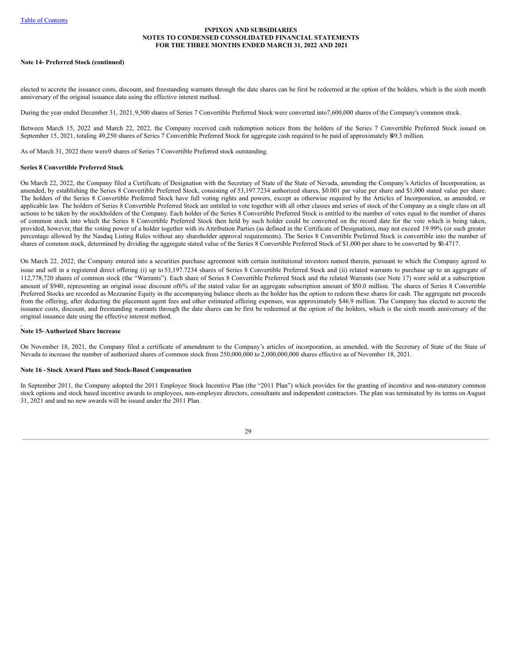#### **Note 14- Preferred Stock (continued)**

elected to accrete the issuance costs, discount, and freestanding warrants through the date shares can be first be redeemed at the option of the holders, which is the sixth month anniversary of the original issuance date using the effective interest method.

During the year ended December 31, 2021,9,500 shares of Series 7 Convertible Preferred Stock were converted into7,600,000 shares of the Company's common stock.

Between March 15, 2022 and March 22, 2022, the Company received cash redemption notices from the holders of the Series 7 Convertible Preferred Stock issued on September 15, 2021, totaling 49,250 shares of Series 7 Convertible Preferred Stock for aggregate cash required to be paid of approximately \$49.3 million.

As of March 31, 2022 there were0 shares of Series 7 Convertible Preferred stock outstanding.

### **Series 8 Convertible Preferred Stock**

On March 22, 2022, the Company filed a Certificate of Designation with the Secretary of State of the State of Nevada, amending the Company's Articles of Incorporation, as amended, by establishing the Series 8 Convertible Preferred Stock, consisting of 53,197.7234 authorized shares, \$0.001 par value per share and \$1,000 stated value per share. The holders of the Series 8 Convertible Preferred Stock have full voting rights and powers, except as otherwise required by the Articles of Incorporation, as amended, or applicable law. The holders of Series 8 Convertible Preferred Stock are entitled to vote together with all other classes and series of stock of the Company as a single class on all actions to be taken by the stockholders of the Company. Each holder of the Series 8 Convertible Preferred Stock is entitled to the number of votes equal to the number of shares of common stock into which the Series 8 Convertible Preferred Stock then held by such holder could be converted on the record date for the vote which is being taken, provided, however, that the voting power of a holder together with its Attribution Parties (as defined in the Certificate of Designation), may not exceed 19.99% (or such greater percentage allowed by the Nasdaq Listing Rules without any shareholder approval requirements). The Series 8 Convertible Preferred Stock is convertible into the number of shares of common stock, determined by dividing the aggregate stated value of the Series 8 Convertible Preferred Stock of \$1,000 per share to be converted by \$0.4717.

On March 22, 2022, the Company entered into a securities purchase agreement with certain institutional investors named therein, pursuant to which the Company agreed to issue and sell in a registered direct offering (i) up to 53,197.7234 shares of Series 8 Convertible Preferred Stock and (ii) related warrants to purchase up to an aggregate of 112,778,720 shares of common stock (the "Warrants"). Each share of Series 8 Convertible Preferred Stock and the related Warrants (see Note 17) were sold at a subscription amount of \$940, representing an original issue discount of6% of the stated value for an aggregate subscription amount of \$50.0 million. The shares of Series 8 Convertible Preferred Stocks are recorded as Mezzanine Equity in the accompanying balance sheets as the holder has the option to redeem these shares for cash. The aggregate net proceeds from the offering, after deducting the placement agent fees and other estimated offering expenses, was approximately \$46.9 million. The Company has elected to accrete the issuance costs, discount, and freestanding warrants through the date shares can be first be redeemed at the option of the holders, which is the sixth month anniversary of the original issuance date using the effective interest method.

#### . **Note 15- Authorized Share Increase**

On November 18, 2021, the Company filed a certificate of amendment to the Company's articles of incorporation, as amended, with the Secretary of State of the State of Nevada to increase the number of authorized shares of common stock from 250,000,000 to 2,000,000,000 shares effective as of November 18, 2021.

### **Note 16 - Stock Award Plans and Stock-Based Compensation**

In September 2011, the Company adopted the 2011 Employee Stock Incentive Plan (the "2011 Plan") which provides for the granting of incentive and non-statutory common stock options and stock based incentive awards to employees, non-employee directors, consultants and independent contractors. The plan was terminated by its terms on August 31, 2021 and and no new awards will be issued under the 2011 Plan.

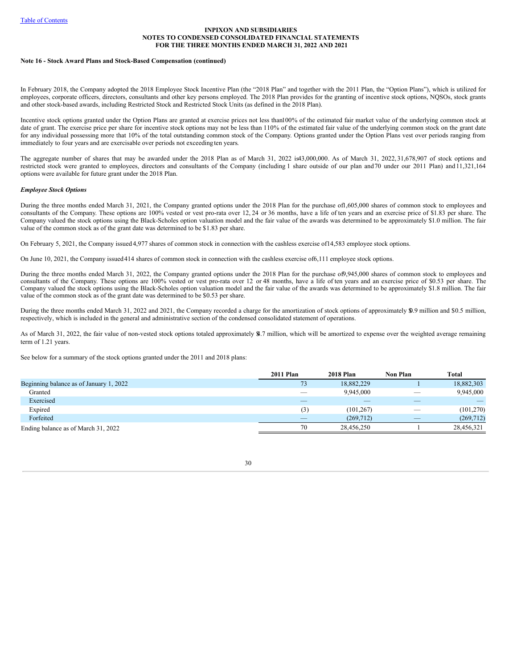#### **Note 16 - Stock Award Plans and Stock-Based Compensation (continued)**

In February 2018, the Company adopted the 2018 Employee Stock Incentive Plan (the "2018 Plan" and together with the 2011 Plan, the "Option Plans"), which is utilized for employees, corporate officers, directors, consultants and other key persons employed. The 2018 Plan provides for the granting of incentive stock options, NQSOs, stock grants and other stock-based awards, including Restricted Stock and Restricted Stock Units (as defined in the 2018 Plan).

Incentive stock options granted under the Option Plans are granted at exercise prices not less than100% of the estimated fair market value of the underlying common stock at date of grant. The exercise price per share for incentive stock options may not be less than 110% of the estimated fair value of the underlying common stock on the grant date for any individual possessing more that 10% of the total outstanding common stock of the Company. Options granted under the Option Plans vest over periods ranging from immediately to four years and are exercisable over periods not exceeding ten years.

The aggregate number of shares that may be awarded under the 2018 Plan as of March 31, 2022 is43,000,000. As of March 31, 2022, 31,678,907 of stock options and restricted stock were granted to employees, directors and consultants of the Company (including 1 share outside of our plan and70 under our 2011 Plan) and 11,321,164 options were available for future grant under the 2018 Plan.

### *Employee Stock Options*

During the three months ended March 31, 2021, the Company granted options under the 2018 Plan for the purchase of1,605,000 shares of common stock to employees and consultants of the Company. These options are 100% vested or vest pro-rata over 12, 24 or 36 months, have a life of ten years and an exercise price of \$1.83 per share. The Company valued the stock options using the Black-Scholes option valuation model and the fair value of the awards was determined to be approximately \$1.0 million. The fair value of the common stock as of the grant date was determined to be \$1.83 per share.

On February 5, 2021, the Company issued 4,977 shares of common stock in connection with the cashless exercise of14,583 employee stock options.

On June 10, 2021, the Company issued414 shares of common stock in connection with the cashless exercise of6,111 employee stock options.

During the three months ended March 31, 2022, the Company granted options under the 2018 Plan for the purchase of 945,000 shares of common stock to employees and consultants of the Company. These options are 100% vested or vest pro-rata over 12 or 48 months, have a life of ten years and an exercise price of \$0.53 per share. The Company valued the stock options using the Black-Scholes option valuation model and the fair value of the awards was determined to be approximately \$1.8 million. The fair value of the common stock as of the grant date was determined to be \$0.53 per share.

During the three months ended March 31, 2022 and 2021, the Company recorded a charge for the amortization of stock options of approximately \$0.9 million and \$0.5 million, respectively, which is included in the general and administrative section of the condensed consolidated statement of operations.

As of March 31, 2022, the fair value of non-vested stock options totaled approximately \$4.7 million, which will be amortized to expense over the weighted average remaining term of 1.21 years.

See below for a summary of the stock options granted under the 2011 and 2018 plans:

|                                         | 2011 Plan                | <b>2018 Plan</b> | Non Plan                 | Total      |
|-----------------------------------------|--------------------------|------------------|--------------------------|------------|
| Beginning balance as of January 1, 2022 | 73                       | 18,882,229       |                          | 18,882,303 |
| Granted                                 | $\overline{\phantom{a}}$ | 9.945.000        | $\overline{\phantom{a}}$ | 9,945,000  |
| Exercised                               | _                        | _                | __                       |            |
| Expired                                 | (3)                      | (101, 267)       | $\overline{\phantom{a}}$ | (101, 270) |
| Forfeited                               | _                        | (269, 712)       | _                        | (269, 712) |
| Ending balance as of March 31, 2022     | 70                       | 28.456.250       |                          | 28,456,321 |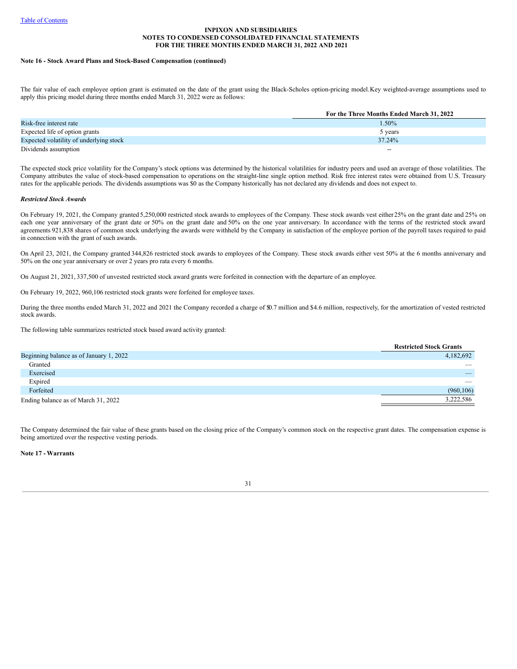#### **Note 16 - Stock Award Plans and Stock-Based Compensation (continued)**

The fair value of each employee option grant is estimated on the date of the grant using the Black-Scholes option-pricing model.Key weighted-average assumptions used to apply this pricing model during three months ended March 31, 2022 were as follows:

|                                         | For the Three Months Ended March 31, 2022 |
|-----------------------------------------|-------------------------------------------|
| Risk-free interest rate                 | 1.50%                                     |
| Expected life of option grants          | 5 years                                   |
| Expected volatility of underlying stock | 37.24%                                    |
| Dividends assumption                    | $- -$                                     |

The expected stock price volatility for the Company's stock options was determined by the historical volatilities for industry peers and used an average of those volatilities. The Company attributes the value of stock-based compensation to operations on the straight-line single option method. Risk free interest rates were obtained from U.S. Treasury rates for the applicable periods. The dividends assumptions was \$0 as the Company historically has not declared any dividends and does not expect to.

### *Restricted Stock Awards*

On February 19, 2021, the Company granted 5,250,000 restricted stock awards to employees of the Company. These stock awards vest either25% on the grant date and 25% on each one year anniversary of the grant date or 50% on the grant date and 50% on the one year anniversary. In accordance with the terms of the restricted stock award agreements 921,838 shares of common stock underlying the awards were withheld by the Company in satisfaction of the employee portion of the payroll taxes required to paid in connection with the grant of such awards.

On April 23, 2021, the Company granted 344,826 restricted stock awards to employees of the Company. These stock awards either vest 50% at the 6 months anniversary and 50% on the one year anniversary or over 2 years pro rata every 6 months.

On August 21, 2021, 337,500 of unvested restricted stock award grants were forfeited in connection with the departure of an employee.

On February 19, 2022, 960,106 restricted stock grants were forfeited for employee taxes.

During the three months ended March 31, 2022 and 2021 the Company recorded a charge of  $\mathfrak{D}$ .7 million and \$4.6 million, respectively, for the amortization of vested restricted stock awards.

The following table summarizes restricted stock based award activity granted:

|                                         | <b>Restricted Stock Grants</b> |
|-----------------------------------------|--------------------------------|
| Beginning balance as of January 1, 2022 | 4,182,692                      |
| Granted                                 | __                             |
| Exercised                               |                                |
| Expired                                 | _                              |
| Forfeited                               | (960, 106)                     |
| Ending balance as of March 31, 2022     | 3,222,586                      |

The Company determined the fair value of these grants based on the closing price of the Company's common stock on the respective grant dates. The compensation expense is being amortized over the respective vesting periods.

**Note 17 - Warrants**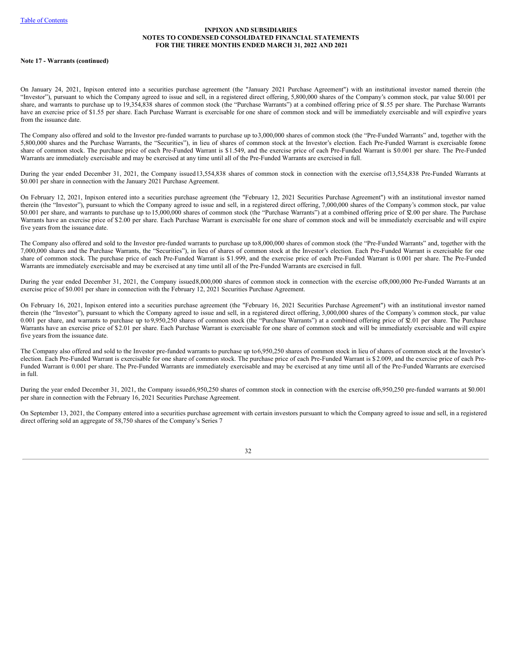### **Note 17 - Warrants (continued)**

On January 24, 2021, Inpixon entered into a securities purchase agreement (the "January 2021 Purchase Agreement") with an institutional investor named therein (the "Investor"), pursuant to which the Company agreed to issue and sell, in a registered direct offering, 5,800,000 shares of the Company's common stock, par value \$0.001 per share, and warrants to purchase up to 19,354,838 shares of common stock (the "Purchase Warrants") at a combined offering price of \$1.55 per share. The Purchase Warrants have an exercise price of \$1.55 per share. Each Purchase Warrant is exercisable for one share of common stock and will be immediately exercisable and will expirefive years from the issuance date.

The Company also offered and sold to the Investor pre-funded warrants to purchase up to3,000,000 shares of common stock (the "Pre-Funded Warrants" and, together with the 5,800,000 shares and the Purchase Warrants, the "Securities"), in lieu of shares of common stock at the Investor's election. Each Pre-Funded Warrant is exercisable forone share of common stock. The purchase price of each Pre-Funded Warrant is \$1.549, and the exercise price of each Pre-Funded Warrant is \$0.001 per share. The Pre-Funded Warrants are immediately exercisable and may be exercised at any time until all of the Pre-Funded Warrants are exercised in full.

During the year ended December 31, 2021, the Company issued13,554,838 shares of common stock in connection with the exercise of13,554,838 Pre-Funded Warrants at \$0.001 per share in connection with the January 2021 Purchase Agreement.

On February 12, 2021, Inpixon entered into a securities purchase agreement (the "February 12, 2021 Securities Purchase Agreement") with an institutional investor named therein (the "Investor"), pursuant to which the Company agreed to issue and sell, in a registered direct offering, 7,000,000 shares of the Company's common stock, par value \$0.001 per share, and warrants to purchase up to 15,000,000 shares of common stock (the "Purchase Warrants") at a combined offering price of \$2.00 per share. The Purchase Warrants have an exercise price of \$2.00 per share. Each Purchase Warrant is exercisable for one share of common stock and will be immediately exercisable and will expire five years from the issuance date.

The Company also offered and sold to the Investor pre-funded warrants to purchase up to8,000,000 shares of common stock (the "Pre-Funded Warrants" and, together with the 7,000,000 shares and the Purchase Warrants, the "Securities"), in lieu of shares of common stock at the Investor's election. Each Pre-Funded Warrant is exercisable for one share of common stock. The purchase price of each Pre-Funded Warrant is \$1.999, and the exercise price of each Pre-Funded Warrant is 0.001 per share. The Pre-Funded Warrants are immediately exercisable and may be exercised at any time until all of the Pre-Funded Warrants are exercised in full.

During the year ended December 31, 2021, the Company issued8,000,000 shares of common stock in connection with the exercise of8,000,000 Pre-Funded Warrants at an exercise price of \$0.001 per share in connection with the February 12, 2021 Securities Purchase Agreement.

On February 16, 2021, Inpixon entered into a securities purchase agreement (the "February 16, 2021 Securities Purchase Agreement") with an institutional investor named therein (the "Investor"), pursuant to which the Company agreed to issue and sell, in a registered direct offering, 3,000,000 shares of the Company's common stock, par value 0.001 per share, and warrants to purchase up to 9,950,250 shares of common stock (the "Purchase Warrants") at a combined offering price of \$2.01 per share. The Purchase Warrants have an exercise price of \$2.01 per share. Each Purchase Warrant is exercisable for one share of common stock and will be immediately exercisable and will expire five years from the issuance date.

The Company also offered and sold to the Investor pre-funded warrants to purchase up to6,950,250 shares of common stock in lieu of shares of common stock at the Investor's election. Each Pre-Funded Warrant is exercisable for one share of common stock. The purchase price of each Pre-Funded Warrant is \$ 2.009, and the exercise price of each Pre-Funded Warrant is 0.001 per share. The Pre-Funded Warrants are immediately exercisable and may be exercised at any time until all of the Pre-Funded Warrants are exercised in full.

During the year ended December 31, 2021, the Company issued6,950,250 shares of common stock in connection with the exercise of6,950,250 pre-funded warrants at \$0.001 per share in connection with the February 16, 2021 Securities Purchase Agreement.

On September 13, 2021, the Company entered into a securities purchase agreement with certain investors pursuant to which the Company agreed to issue and sell, in a registered direct offering sold an aggregate of 58,750 shares of the Company's Series 7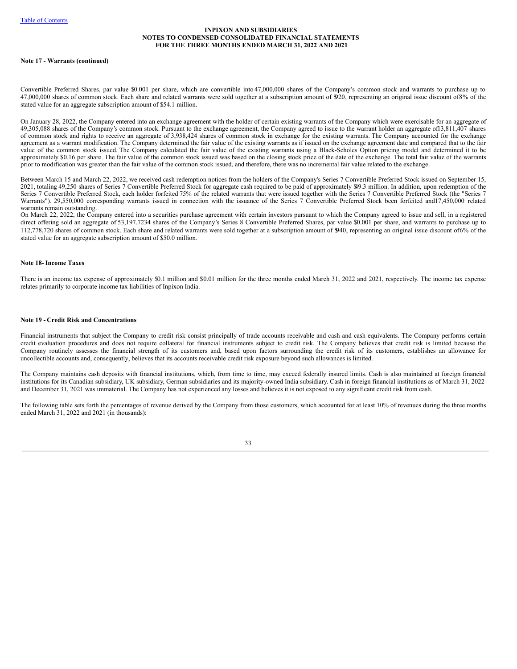### **Note 17 - Warrants (continued)**

Convertible Preferred Shares, par value \$0.001 per share, which are convertible into 47,000,000 shares of the Company's common stock and warrants to purchase up to 47,000,000 shares of common stock. Each share and related warrants were sold together at a subscription amount of \$920, representing an original issue discount of8% of the stated value for an aggregate subscription amount of \$54.1 million.

On January 28, 2022, the Company entered into an exchange agreement with the holder of certain existing warrants of the Company which were exercisable for an aggregate of 49,305,088 shares of the Company's common stock. Pursuant to the exchange agreement, the Company agreed to issue to the warrant holder an aggregate of13,811,407 shares of common stock and rights to receive an aggregate of 3,938,424 shares of common stock in exchange for the existing warrants. The Company accounted for the exchange agreement as a warrant modification. The Company determined the fair value of the existing warrants as if issued on the exchange agreement date and compared that to the fair value of the common stock issued. The Company calculated the fair value of the existing warrants using a Black-Scholes Option pricing model and determined it to be approximately \$0.16 per share. The fair value of the common stock issued was based on the closing stock price of the date of the exchange. The total fair value of the warrants prior to modification was greater than the fair value of the common stock issued, and therefore, there was no incremental fair value related to the exchange.

Between March 15 and March 22, 2022, we received cash redemption notices from the holders of the Company's Series 7 Convertible Preferred Stock issued on September 15, 2021, totaling 49,250 shares of Series 7 Convertible Preferred Stock for aggregate cash required to be paid of approximately \$49.3 million. In addition, upon redemption of the Series 7 Convertible Preferred Stock, each holder forfeited 75% of the related warrants that were issued together with the Series 7 Convertible Preferred Stock (the "Series 7 Warrants"). 29,550,000 corresponding warrants issued in connection with the issuance of the Series 7 Convertible Preferred Stock been forfeited and17,450,000 related warrants remain outstanding.

On March 22, 2022, the Company entered into a securities purchase agreement with certain investors pursuant to which the Company agreed to issue and sell, in a registered direct offering sold an aggregate of 53,197.7234 shares of the Company's Series 8 Convertible Preferred Shares, par value \$0.001 per share, and warrants to purchase up to 112,778,720 shares of common stock. Each share and related warrants were sold together at a subscription amount of \$940, representing an original issue discount of6% of the stated value for an aggregate subscription amount of \$50.0 million.

### **Note 18-Income Taxes**

There is an income tax expense of approximately \$0.1 million and \$0.01 million for the three months ended March 31, 2022 and 2021, respectively. The income tax expense relates primarily to corporate income tax liabilities of Inpixon India.

### **Note 19 - Credit Risk and Concentrations**

Financial instruments that subject the Company to credit risk consist principally of trade accounts receivable and cash and cash equivalents. The Company performs certain credit evaluation procedures and does not require collateral for financial instruments subject to credit risk. The Company believes that credit risk is limited because the Company routinely assesses the financial strength of its customers and, based upon factors surrounding the credit risk of its customers, establishes an allowance for uncollectible accounts and, consequently, believes that its accounts receivable credit risk exposure beyond such allowances is limited.

The Company maintains cash deposits with financial institutions, which, from time to time, may exceed federally insured limits. Cash is also maintained at foreign financial institutions for its Canadian subsidiary, UK subsidiary, German subsidiaries and its majority-owned India subsidiary. Cash in foreign financial institutions as of March 31, 2022 and December 31, 2021 was immaterial. The Company has not experienced any losses and believes it is not exposed to any significant credit risk from cash.

The following table sets forth the percentages of revenue derived by the Company from those customers, which accounted for at least 10% of revenues during the three months ended March 31, 2022 and 2021 (in thousands):

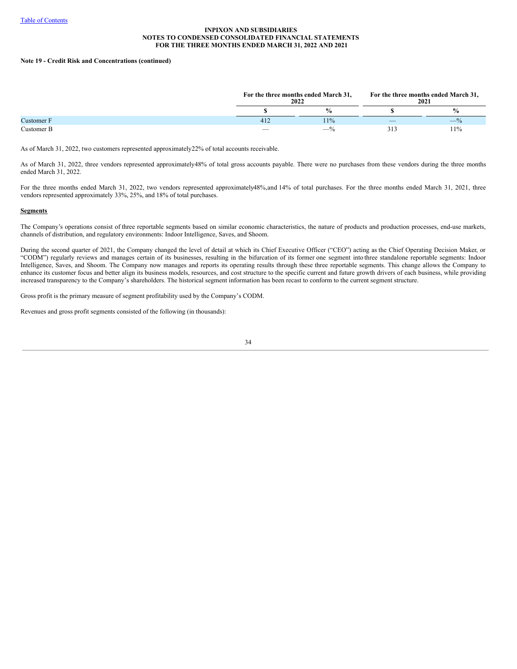# **Note 19 - Credit Risk and Concentrations (continued)**

|            |     | For the three months ended March 31,<br>2022 |     | For the three months ended March 31,<br>2021 |
|------------|-----|----------------------------------------------|-----|----------------------------------------------|
|            |     | $\frac{6}{6}$                                |     | $\frac{0}{0}$                                |
| Customer F | 412 | 11%                                          | $-$ | $- \%$                                       |
| Customer B |     | $-$ %                                        | 51. | 11%                                          |

As of March 31, 2022, two customers represented approximately22% of total accounts receivable.

As of March 31, 2022, three vendors represented approximately48% of total gross accounts payable. There were no purchases from these vendors during the three months ended March 31, 2022.

For the three months ended March 31, 2022, two vendors represented approximately48%,and 14% of total purchases. For the three months ended March 31, 2021, three vendors represented approximately 33%, 25%, and 18% of total purchases.

### **Segments**

The Company's operations consist of three reportable segments based on similar economic characteristics, the nature of products and production processes, end-use markets, channels of distribution, and regulatory environments: Indoor Intelligence, Saves, and Shoom.

During the second quarter of 2021, the Company changed the level of detail at which its Chief Executive Officer ("CEO") acting as the Chief Operating Decision Maker, or "CODM") regularly reviews and manages certain of its businesses, resulting in the bifurcation of its former one segment into three standalone reportable segments: Indoor Intelligence, Saves, and Shoom. The Company now manages and reports its operating results through these three reportable segments. This change allows the Company to enhance its customer focus and better align its business models, resources, and cost structure to the specific current and future growth drivers of each business, while providing increased transparency to the Company's shareholders. The historical segment information has been recast to conform to the current segment structure.

Gross profit is the primary measure of segment profitability used by the Company's CODM.

Revenues and gross profit segments consisted of the following (in thousands):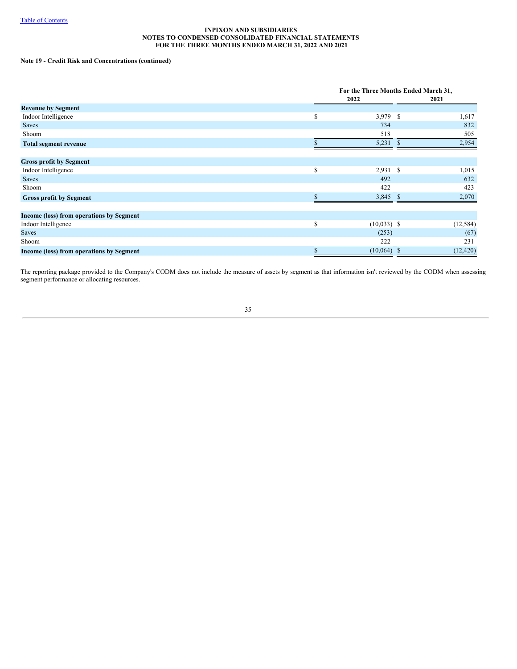# **Note 19 - Credit Risk and Concentrations (continued)**

|                                          | For the Three Months Ended March 31, |      |           |  |  |
|------------------------------------------|--------------------------------------|------|-----------|--|--|
|                                          | 2022                                 |      | 2021      |  |  |
| <b>Revenue by Segment</b>                |                                      |      |           |  |  |
| Indoor Intelligence                      | \$<br>3,979 \$                       |      | 1,617     |  |  |
| <b>Saves</b>                             | 734                                  |      | 832       |  |  |
| Shoom                                    | 518                                  |      | 505       |  |  |
| <b>Total segment revenue</b>             | 5,231                                | - \$ | 2,954     |  |  |
| <b>Gross profit by Segment</b>           |                                      |      |           |  |  |
| Indoor Intelligence                      | \$<br>$2,931$ \$                     |      | 1,015     |  |  |
| <b>Saves</b>                             | 492                                  |      | 632       |  |  |
| Shoom                                    | 422                                  |      | 423       |  |  |
| <b>Gross profit by Segment</b>           | 3,845 \$                             |      | 2,070     |  |  |
| Income (loss) from operations by Segment |                                      |      |           |  |  |
| Indoor Intelligence                      | \$<br>$(10,033)$ \$                  |      | (12, 584) |  |  |
| <b>Saves</b>                             | (253)                                |      | (67)      |  |  |
| Shoom                                    | 222                                  |      | 231       |  |  |
| Income (loss) from operations by Segment | $(10,064)$ \$                        |      | (12, 420) |  |  |

The reporting package provided to the Company's CODM does not include the measure of assets by segment as that information isn't reviewed by the CODM when assessing segment performance or allocating resources.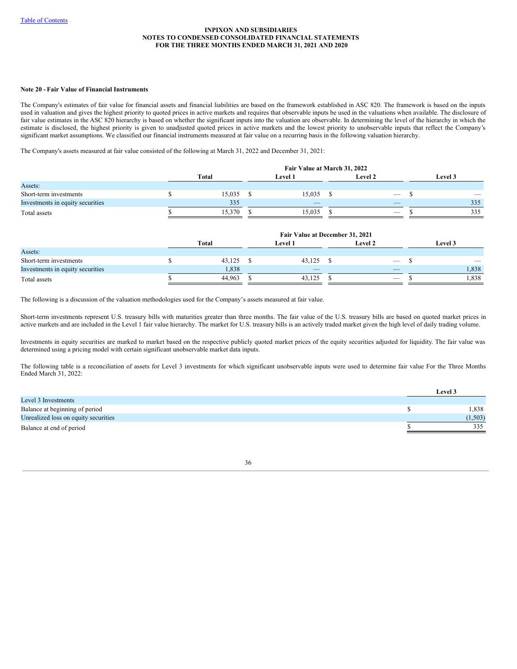## **Note 20 - Fair Value of Financial Instruments**

The Company's estimates of fair value for financial assets and financial liabilities are based on the framework established in ASC 820. The framework is based on the inputs used in valuation and gives the highest priority to quoted prices in active markets and requires that observable inputs be used in the valuations when available. The disclosure of fair value estimates in the ASC 820 hierarchy is based on whether the significant inputs into the valuation are observable. In determining the level of the hierarchy in which the estimate is disclosed, the highest priority is given to unadjusted quoted prices in active markets and the lowest priority to unobservable inputs that reflect the Company's significant market assumptions. We classified our financial instruments measured at fair value on a recurring basis in the following valuation hierarchy.

The Company's assets measured at fair value consisted of the following at March 31, 2022 and December 31, 2021:

|                                  | Fair Value at March 31, 2022 |  |                |  |                                 |  |         |                          |  |  |
|----------------------------------|------------------------------|--|----------------|--|---------------------------------|--|---------|--------------------------|--|--|
|                                  | Total                        |  | <b>Level 1</b> |  | <b>Level 2</b>                  |  | Level 3 |                          |  |  |
| Assets:                          |                              |  |                |  |                                 |  |         |                          |  |  |
| Short-term investments           | 15,035                       |  | 15,035         |  | $\hspace{0.1mm}-\hspace{0.1mm}$ |  |         | $\overline{\phantom{a}}$ |  |  |
| Investments in equity securities | 335                          |  | $-$            |  | $\overline{\phantom{a}}$        |  |         | 335                      |  |  |
| Total assets                     | 15.370                       |  | 15.035         |  | $\hspace{0.1mm}-\hspace{0.1mm}$ |  |         | 335                      |  |  |

|                                  |        | Fair Value at December 31, 2021 |                                 |                          |
|----------------------------------|--------|---------------------------------|---------------------------------|--------------------------|
|                                  | Total  | <b>Level 1</b>                  | <b>Level 2</b>                  | Level 3                  |
| Assets:                          |        |                                 |                                 |                          |
| Short-term investments           | 43,125 | $43,125$ \$                     | $\hspace{0.1mm}-\hspace{0.1mm}$ | $\overline{\phantom{a}}$ |
| Investments in equity securities | 1,838  | $\overline{\phantom{a}}$        | $\overline{\phantom{a}}$        | 1,838                    |
| Total assets                     | 44,963 | 43.125                          |                                 | .838                     |

The following is a discussion of the valuation methodologies used for the Company's assets measured at fair value.

Short-term investments represent U.S. treasury bills with maturities greater than three months. The fair value of the U.S. treasury bills are based on quoted market prices in active markets and are included in the Level 1 fair value hierarchy. The market for U.S. treasury bills is an actively traded market given the high level of daily trading volume.

Investments in equity securities are marked to market based on the respective publicly quoted market prices of the equity securities adjusted for liquidity. The fair value was determined using a pricing model with certain significant unobservable market data inputs.

The following table is a reconciliation of assets for Level 3 investments for which significant unobservable inputs were used to determine fair value For the Three Months Ended March 31, 2022:

|                                      | Level 3 |
|--------------------------------------|---------|
| Level 3 Investments                  |         |
| Balance at beginning of period       | 1,838   |
| Unrealized loss on equity securities | (1,503) |
| Balance at end of period             | 335     |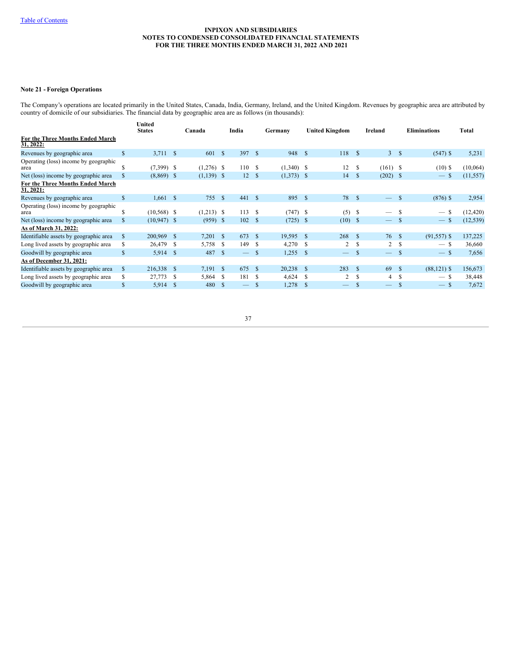# **Note 21 - Foreign Operations**

The Company's operations are located primarily in the United States, Canada, India, Germany, Ireland, and the United Kingdom. Revenues by geographic area are attributed by country of domicile of our subsidiaries. The financial data by geographic area are as follows (in thousands):

|                                               |               | United<br><b>States</b> |            | Canada       |               | India             |               | Germany      |              | <b>United Kingdom</b>    | Ireland       |                                 | <b>Eliminations</b> |                | Total     |
|-----------------------------------------------|---------------|-------------------------|------------|--------------|---------------|-------------------|---------------|--------------|--------------|--------------------------|---------------|---------------------------------|---------------------|----------------|-----------|
| For the Three Months Ended March<br>31, 2022: |               |                         |            |              |               |                   |               |              |              |                          |               |                                 |                     |                |           |
| Revenues by geographic area                   | $\mathbb{S}$  | $3,711$ \$              |            | 601          | $\mathbf{s}$  | 397S              |               | 948          | <sup>S</sup> | 118                      | <sup>\$</sup> | $\mathbf{3}$                    | <b>S</b>            | $(547)$ \$     | 5,231     |
| Operating (loss) income by geographic<br>area | \$            | $(7,399)$ \$            |            | $(1,276)$ \$ |               | 110 \$            |               | $(1,340)$ \$ |              | 12                       | S             | $(161)$ \$                      |                     | $(10)$ \$      | (10,064)  |
| Net (loss) income by geographic area          | \$            | $(8,869)$ \$            |            | $(1,139)$ \$ |               | 12 <sup>2</sup>   | -S            | $(1,373)$ \$ |              | 14                       | <sup>S</sup>  | (202)                           | -S                  | $-$ \$         | (11, 557) |
| For the Three Months Ended March<br>31, 2021: |               |                         |            |              |               |                   |               |              |              |                          |               |                                 |                     |                |           |
| Revenues by geographic area                   | $\mathbb{S}$  | 1,661                   | $^{\circ}$ | 755          | <sup>\$</sup> | $441 \quad$       |               | 895          | <sup>S</sup> | 78                       | $\mathbb{S}$  | $\equiv$                        | <sup>\$</sup>       | $(876)$ \$     | 2,954     |
| Operating (loss) income by geographic<br>area | \$            | $(10,568)$ \$           |            | $(1,213)$ \$ |               | 113S              |               | $(747)$ \$   |              | (5)                      | S             | $\overline{\phantom{0}}$        | -S                  | $-$ \$         | (12, 420) |
| Net (loss) income by geographic area          | $\mathbb{S}$  | $(10,947)$ \$           |            | $(959)$ \$   |               | 102               | -S            | $(725)$ \$   |              | (10)                     | -S            | $\frac{1}{2}$                   | <sup>\$</sup>       | $-$ \$         | (12, 539) |
| As of March 31, 2022:                         |               |                         |            |              |               |                   |               |              |              |                          |               |                                 |                     |                |           |
| Identifiable assets by geographic area        | <sup>\$</sup> | 200,969 \$              |            | 7,201        | - \$          | 673               | -S            | 19,595       | <sup>S</sup> | 268                      | $\mathbf{s}$  | 76 \$                           |                     | $(91, 557)$ \$ | 137,225   |
| Long lived assets by geographic area          | S             | 26,479                  | -S         | 5,758        | -S            | 149               | £.            | 4,270        | S            | 2                        | S             | 2                               | -S                  | $-$ \$         | 36,660    |
| Goodwill by geographic area                   | \$            | $5,914$ \$              |            | 487          | - \$          | $\qquad \qquad -$ | <sup>\$</sup> | 1,255        | <sup>S</sup> | $\overline{\phantom{m}}$ | <sup>\$</sup> | $\hspace{0.1mm}-\hspace{0.1mm}$ | <sup>\$</sup>       | $-$ \$         | 7,656     |
| As of December 31, 2021:                      |               |                         |            |              |               |                   |               |              |              |                          |               |                                 |                     |                |           |
| Identifiable assets by geographic area        | <sup>\$</sup> | 216,338 \$              |            | 7,191        | - \$          | 675               | - \$          | 20,238       | <sup>S</sup> | 283                      | $\mathbf S$   | 69                              | -8                  | $(88, 121)$ \$ | 156,673   |
| Long lived assets by geographic area          | S             | 27,773                  | -S         | 5,864        | - \$          | 181               | -S            | 4,624        | S            | 2                        | S             | 4                               | \$.                 | $-$ \$         | 38,448    |
| Goodwill by geographic area                   | \$            | $5,914$ \$              |            | 480          | - \$          |                   | <b>S</b>      | 1,278        | <sup>S</sup> | $\overline{\phantom{0}}$ | S             | $\overline{\phantom{0}}$        | S                   | $-$ \$         | 7,672     |
|                                               |               |                         |            |              |               |                   |               |              |              |                          |               |                                 |                     |                |           |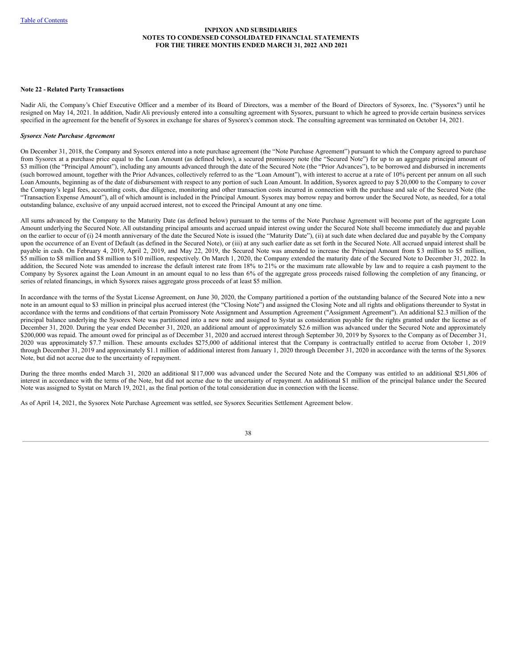## **Note 22 - Related Party Transactions**

Nadir Ali, the Company's Chief Executive Officer and a member of its Board of Directors, was a member of the Board of Directors of Sysorex, Inc. ("Sysorex") until he resigned on May 14, 2021. In addition, Nadir Ali previously entered into a consulting agreement with Sysorex, pursuant to which he agreed to provide certain business services specified in the agreement for the benefit of Sysorex in exchange for shares of Sysorex's common stock. The consulting agreement was terminated on October 14, 2021.

### *Sysorex Note Purchase Agreement*

On December 31, 2018, the Company and Sysorex entered into a note purchase agreement (the "Note Purchase Agreement") pursuant to which the Company agreed to purchase from Sysorex at a purchase price equal to the Loan Amount (as defined below), a secured promissory note (the "Secured Note") for up to an aggregate principal amount of \$3 million (the "Principal Amount"), including any amounts advanced through the date of the Secured Note (the "Prior Advances"), to be borrowed and disbursed in increments (such borrowed amount, together with the Prior Advances, collectively referred to as the "Loan Amount"), with interest to accrue at a rate of 10% percent per annum on all such Loan Amounts, beginning as of the date of disbursement with respect to any portion of such Loan Amount. In addition, Sysorex agreed to pay \$ 20,000 to the Company to cover the Company's legal fees, accounting costs, due diligence, monitoring and other transaction costs incurred in connection with the purchase and sale of the Secured Note (the "Transaction Expense Amount"), all of which amount is included in the Principal Amount. Sysorex may borrow repay and borrow under the Secured Note, as needed, for a total outstanding balance, exclusive of any unpaid accrued interest, not to exceed the Principal Amount at any one time.

All sums advanced by the Company to the Maturity Date (as defined below) pursuant to the terms of the Note Purchase Agreement will become part of the aggregate Loan Amount underlying the Secured Note. All outstanding principal amounts and accrued unpaid interest owing under the Secured Note shall become immediately due and payable on the earlier to occur of (i) 24 month anniversary of the date the Secured Note is issued (the "Maturity Date"), (ii) at such date when declared due and payable by the Company upon the occurrence of an Event of Default (as defined in the Secured Note), or (iii) at any such earlier date as set forth in the Secured Note. All accrued unpaid interest shall be payable in cash. On February 4, 2019, April 2, 2019, and May 22, 2019, the Secured Note was amended to increase the Principal Amount from \$3 million to \$5 million, \$5 million to \$8 million and \$8 million to \$10 million, respectively. On March 1, 2020, the Company extended the maturity date of the Secured Note to December 31, 2022. In addition, the Secured Note was amended to increase the default interest rate from 18% to 21% or the maximum rate allowable by law and to require a cash payment to the Company by Sysorex against the Loan Amount in an amount equal to no less than 6% of the aggregate gross proceeds raised following the completion of any financing, or series of related financings, in which Sysorex raises aggregate gross proceeds of at least \$5 million.

In accordance with the terms of the Systat License Agreement, on June 30, 2020, the Company partitioned a portion of the outstanding balance of the Secured Note into a new note in an amount equal to \$3 million in principal plus accrued interest (the "Closing Note") and assigned the Closing Note and all rights and obligations thereunder to Systat in accordance with the terms and conditions of that certain Promissory Note Assignment and Assumption Agreement ("Assignment Agreement"). An additional \$2.3 million of the principal balance underlying the Sysorex Note was partitioned into a new note and assigned to Systat as consideration payable for the rights granted under the license as of December 31, 2020. During the year ended December 31, 2020, an additional amount of approximately \$2.6 million was advanced under the Secured Note and approximately \$200,000 was repaid. The amount owed for principal as of December 31, 2020 and accrued interest through September 30, 2019 by Sysorex to the Company as of December 31, 2020 was approximately \$7.7 million. These amounts excludes \$275,000 of additional interest that the Company is contractually entitled to accrue from October 1, 2019 through December 31, 2019 and approximately \$1.1 million of additional interest from January 1, 2020 through December 31, 2020 in accordance with the terms of the Sysorex Note, but did not accrue due to the uncertainty of repayment.

During the three months ended March 31, 2020 an additional \$117,000 was advanced under the Secured Note and the Company was entitled to an additional \$251,806 of interest in accordance with the terms of the Note, but did not accrue due to the uncertainty of repayment. An additional \$1 million of the principal balance under the Secured Note was assigned to Systat on March 19, 2021, as the final portion of the total consideration due in connection with the license.

As of April 14, 2021, the Sysorex Note Purchase Agreement was settled, see Sysorex Securities Settlement Agreement below.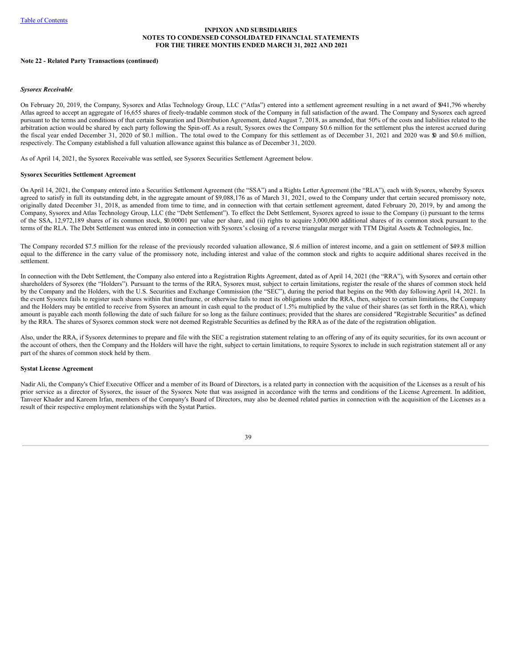### **Note 22 - Related Party Transactions (continued)**

#### *Sysorex Receivable*

On February 20, 2019, the Company, Sysorex and Atlas Technology Group, LLC ("Atlas") entered into a settlement agreement resulting in a net award of \$941,796 whereby Atlas agreed to accept an aggregate of 16,655 shares of freely-tradable common stock of the Company in full satisfaction of the award. The Company and Sysorex each agreed pursuant to the terms and conditions of that certain Separation and Distribution Agreement, dated August 7, 2018, as amended, that 50% of the costs and liabilities related to the arbitration action would be shared by each party following the Spin-off. As a result, Sysorex owes the Company \$0.6 million for the settlement plus the interest accrued during the fiscal year ended December 31, 2020 of \$0.1 million.. The total owed to the Company for this settlement as of December 31, 2021 and 2020 was \$0 and \$0.6 million, respectively. The Company established a full valuation allowance against this balance as of December 31, 2020.

As of April 14, 2021, the Sysorex Receivable was settled, see Sysorex Securities Settlement Agreement below.

#### **Sysorex Securities Settlement Agreement**

On April 14, 2021, the Company entered into a Securities Settlement Agreement (the "SSA") and a Rights Letter Agreement (the "RLA"), each with Sysorex, whereby Sysorex agreed to satisfy in full its outstanding debt, in the aggregate amount of \$9,088,176 as of March 31, 2021, owed to the Company under that certain secured promissory note, originally dated December 31, 2018, as amended from time to time, and in connection with that certain settlement agreement, dated February 20, 2019, by and among the Company, Sysorex and Atlas Technology Group, LLC (the "Debt Settlement"). To effect the Debt Settlement, Sysorex agreed to issue to the Company (i) pursuant to the terms of the SSA, 12,972,189 shares of its common stock, \$0.00001 par value per share, and (ii) rights to acquire 3,000,000 additional shares of its common stock pursuant to the terms of the RLA. The Debt Settlement was entered into in connection with Sysorex's closing of a reverse triangular merger with TTM Digital Assets & Technologies, Inc.

The Company recorded \$7.5 million for the release of the previously recorded valuation allowance, \$1.6 million of interest income, and a gain on settlement of \$49.8 million equal to the difference in the carry value of the promissory note, including interest and value of the common stock and rights to acquire additional shares received in the settlement.

In connection with the Debt Settlement, the Company also entered into a Registration Rights Agreement, dated as of April 14, 2021 (the "RRA"), with Sysorex and certain other shareholders of Sysorex (the "Holders"). Pursuant to the terms of the RRA, Sysorex must, subject to certain limitations, register the resale of the shares of common stock held by the Company and the Holders, with the U.S. Securities and Exchange Commission (the "SEC"), during the period that begins on the 90th day following April 14, 2021. In the event Sysorex fails to register such shares within that timeframe, or otherwise fails to meet its obligations under the RRA, then, subject to certain limitations, the Company and the Holders may be entitled to receive from Sysorex an amount in cash equal to the product of 1.5% multiplied by the value of their shares (as set forth in the RRA), which amount is payable each month following the date of such failure for so long as the failure continues; provided that the shares are considered "Registrable Securities" as defined by the RRA. The shares of Sysorex common stock were not deemed Registrable Securities as defined by the RRA as of the date of the registration obligation.

Also, under the RRA, if Sysorex determines to prepare and file with the SEC a registration statement relating to an offering of any of its equity securities, for its own account or the account of others, then the Company and the Holders will have the right, subject to certain limitations, to require Sysorex to include in such registration statement all or any part of the shares of common stock held by them.

#### **Systat License Agreement**

Nadir Ali, the Company's Chief Executive Officer and a member of its Board of Directors, is a related party in connection with the acquisition of the Licenses as a result of his prior service as a director of Sysorex, the issuer of the Sysorex Note that was assigned in accordance with the terms and conditions of the License Agreement. In addition, Tanveer Khader and Kareem Irfan, members of the Company's Board of Directors, may also be deemed related parties in connection with the acquisition of the Licenses as a result of their respective employment relationships with the Systat Parties.

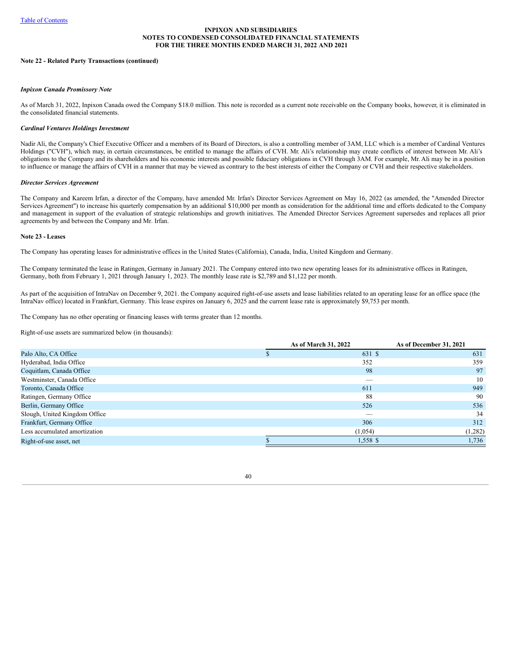### **Note 22 - Related Party Transactions (continued)**

## *Inpixon Canada Promissory Note*

As of March 31, 2022, Inpixon Canada owed the Company \$18.0 million. This note is recorded as a current note receivable on the Company books, however, it is eliminated in the consolidated financial statements.

#### *Cardinal Ventures Holdings Investment*

Nadir Ali, the Company's Chief Executive Officer and a members of its Board of Directors, is also a controlling member of 3AM, LLC which is a member of Cardinal Ventures Holdings ("CVH"), which may, in certain circumstances, be entitled to manage the affairs of CVH. Mr. Ali's relationship may create conflicts of interest between Mr. Ali's obligations to the Company and its shareholders and his economic interests and possible fiduciary obligations in CVH through 3AM. For example, Mr. Ali may be in a position to influence or manage the affairs of CVH in a manner that may be viewed as contrary to the best interests of either the Company or CVH and their respective stakeholders.

#### *Director Services Agreement*

The Company and Kareem Irfan, a director of the Company, have amended Mr. Irfan's Director Services Agreement on May 16, 2022 (as amended, the "Amended Director Services Agreement") to increase his quarterly compensation by an additional \$10,000 per month as consideration for the additional time and efforts dedicated to the Company and management in support of the evaluation of strategic relationships and growth initiatives. The Amended Director Services Agreement supersedes and replaces all prior agreements by and between the Company and Mr. Irfan.

### **Note 23 - Leases**

The Company has operating leases for administrative offices in the United States (California), Canada, India, United Kingdom and Germany.

The Company terminated the lease in Ratingen, Germany in January 2021. The Company entered into two new operating leases for its administrative offices in Ratingen, Germany, both from February 1, 2021 through January 1, 2023. The monthly lease rate is \$2,789 and \$1,122 per month.

As part of the acquisition of IntraNav on December 9, 2021. the Company acquired right-of-use assets and lease liabilities related to an operating lease for an office space (the IntraNav office) located in Frankfurt, Germany. This lease expires on January 6, 2025 and the current lease rate is approximately \$9,753 per month.

The Company has no other operating or financing leases with terms greater than 12 months.

Right-of-use assets are summarized below (in thousands):

|                               | As of March 31, 2022     | As of December 31, 2021 |
|-------------------------------|--------------------------|-------------------------|
| Palo Alto, CA Office          | 631 \$                   | 631                     |
| Hyderabad, India Office       | 352                      | 359                     |
| Coquitlam, Canada Office      | 98                       | 97                      |
| Westminster, Canada Office    | _                        | 10                      |
| Toronto, Canada Office        | 611                      | 949                     |
| Ratingen, Germany Office      | 88                       | 90                      |
| Berlin, Germany Office        | 526                      | 536                     |
| Slough, United Kingdom Office | $\overline{\phantom{a}}$ | 34                      |
| Frankfurt, Germany Office     | 306                      | 312                     |
| Less accumulated amortization | (1,054)                  | (1,282)                 |
| Right-of-use asset, net       | 1,558 \$                 | 1,736                   |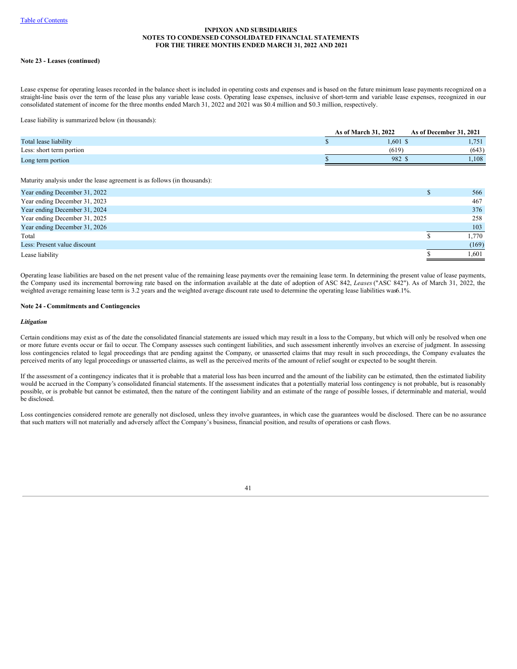## **Note 23 - Leases (continued)**

Lease expense for operating leases recorded in the balance sheet is included in operating costs and expenses and is based on the future minimum lease payments recognized on a straight-line basis over the term of the lease plus any variable lease costs. Operating lease expenses, inclusive of short-term and variable lease expenses, recognized in our consolidated statement of income for the three months ended March 31, 2022 and 2021 was \$0.4 million and \$0.3 million, respectively.

Lease liability is summarized below (in thousands):

|                          | As of March 31, 2022 | As of December 31, 2021 |
|--------------------------|----------------------|-------------------------|
| Total lease liability    | $1.601$ \$           | 751<br>1,791            |
| Less: short term portion | (619)                | (643)                   |
| Long term portion        | 982 <sub>1</sub>     | .108                    |

Maturity analysis under the lease agreement is as follows (in thousands):

| Year ending December 31, 2022 | 566    |
|-------------------------------|--------|
| Year ending December 31, 2023 | 467    |
| Year ending December 31, 2024 | 376    |
| Year ending December 31, 2025 | 258    |
| Year ending December 31, 2026 | 103    |
| Total                         | l.770  |
| Less: Present value discount  | (169)  |
| Lease liability               | l ,601 |
|                               |        |

Operating lease liabilities are based on the net present value of the remaining lease payments over the remaining lease term. In determining the present value of lease payments, the Company used its incremental borrowing rate based on the information available at the date of adoption of ASC 842, *Leases* ("ASC 842"). As of March 31, 2022, the weighted average remaining lease term is 3.2 years and the weighted average discount rate used to determine the operating lease liabilities was6.1%.

## **Note 24 - Commitments and Contingencies**

#### *Litigation*

Certain conditions may exist as of the date the consolidated financial statements are issued which may result in a loss to the Company, but which will only be resolved when one or more future events occur or fail to occur. The Company assesses such contingent liabilities, and such assessment inherently involves an exercise of judgment. In assessing loss contingencies related to legal proceedings that are pending against the Company, or unasserted claims that may result in such proceedings, the Company evaluates the perceived merits of any legal proceedings or unasserted claims, as well as the perceived merits of the amount of relief sought or expected to be sought therein.

If the assessment of a contingency indicates that it is probable that a material loss has been incurred and the amount of the liability can be estimated, then the estimated liability would be accrued in the Company's consolidated financial statements. If the assessment indicates that a potentially material loss contingency is not probable, but is reasonably possible, or is probable but cannot be estimated, then the nature of the contingent liability and an estimate of the range of possible losses, if determinable and material, would be disclosed.

Loss contingencies considered remote are generally not disclosed, unless they involve guarantees, in which case the guarantees would be disclosed. There can be no assurance that such matters will not materially and adversely affect the Company's business, financial position, and results of operations or cash flows.

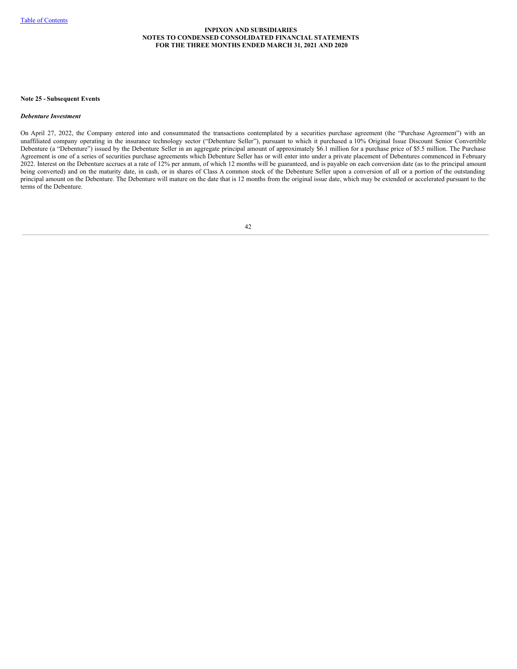#### **Note 25 - Subsequent Events**

### *Debenture Investment*

On April 27, 2022, the Company entered into and consummated the transactions contemplated by a securities purchase agreement (the "Purchase Agreement") with an unaffiliated company operating in the insurance technology sector ("Debenture Seller"), pursuant to which it purchased a 10% Original Issue Discount Senior Convertible Debenture (a "Debenture") issued by the Debenture Seller in an aggregate principal amount of approximately \$6.1 million for a purchase price of \$5.5 million. The Purchase Agreement is one of a series of securities purchase agreements which Debenture Seller has or will enter into under a private placement of Debentures commenced in February 2022. Interest on the Debenture accrues at a rate of 12% per annum, of which 12 months will be guaranteed, and is payable on each conversion date (as to the principal amount being converted) and on the maturity date, in cash, or in shares of Class A common stock of the Debenture Seller upon a conversion of all or a portion of the outstanding principal amount on the Debenture. The Debenture will mature on the date that is 12 months from the original issue date, which may be extended or accelerated pursuant to the terms of the Debenture.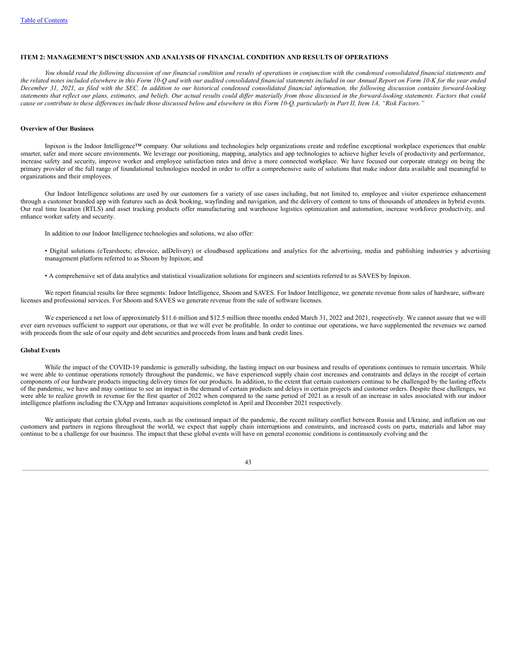### **ITEM 2: MANAGEMENT'S DISCUSSION AND ANALYSIS OF FINANCIAL CONDITION AND RESULTS OF OPERATIONS**

You should read the following discussion of our financial condition and results of operations in conjunction with the condensed consolidated financial statements and the related notes included elsewhere in this Form 10-O and with our audited consolidated financial statements included in our Annual Report on Form 10-K for the year ended December 31, 2021, as filed with the SEC. In addition to our historical condensed consolidated financial information, the following discussion contains forward-looking statements that reflect our plans, estimates, and beliefs. Our actual results could differ materially from those discussed in the forward-looking statements. Factors that could cause or contribute to these differences include those discussed below and elsewhere in this Form 10-O, particularly in Part II, Item 1A, "Risk Factors."

### **Overview of Our Business**

Inpixon is the Indoor Intelligence™ company. Our solutions and technologies help organizations create and redefine exceptional workplace experiences that enable smarter, safer and more secure environments. We leverage our positioning, mapping, analytics and app technologies to achieve higher levels of productivity and performance, increase safety and security, improve worker and employee satisfaction rates and drive a more connected workplace. We have focused our corporate strategy on being the primary provider of the full range of foundational technologies needed in order to offer a comprehensive suite of solutions that make indoor data available and meaningful to organizations and their employees.

Our Indoor Intelligence solutions are used by our customers for a variety of use cases including, but not limited to, employee and visitor experience enhancement through a customer branded app with features such as desk booking, wayfinding and navigation, and the delivery of content to tens of thousands of attendees in hybrid events. Our real time location (RTLS) and asset tracking products offer manufacturing and warehouse logistics optimization and automation, increase workforce productivity, and enhance worker safety and security.

In addition to our Indoor Intelligence technologies and solutions, we also offer:

• Digital solutions (eTearsheets; eInvoice, adDelivery) or cloudbased applications and analytics for the advertising, media and publishing industries y advertising management platform referred to as Shoom by Inpixon; and

• A comprehensive set of data analytics and statistical visualization solutions for engineers and scientists referred to as SAVES by Inpixon.

We report financial results for three segments: Indoor Intelligence, Shoom and SAVES. For Indoor Intelligence, we generate revenue from sales of hardware, software licenses and professional services. For Shoom and SAVES we generate revenue from the sale of software licenses.

We experienced a net loss of approximately \$11.6 million and \$12.5 million three months ended March 31, 2022 and 2021, respectively. We cannot assure that we will ever earn revenues sufficient to support our operations, or that we will ever be profitable. In order to continue our operations, we have supplemented the revenues we earned with proceeds from the sale of our equity and debt securities and proceeds from loans and bank credit lines.

#### **Global Events**

While the impact of the COVID-19 pandemic is generally subsiding, the lasting impact on our business and results of operations continues to remain uncertain. While we were able to continue operations remotely throughout the pandemic, we have experienced supply chain cost increases and constraints and delays in the receipt of certain components of our hardware products impacting delivery times for our products. In addition, to the extent that certain customers continue to be challenged by the lasting effects of the pandemic, we have and may continue to see an impact in the demand of certain products and delays in certain projects and customer orders. Despite these challenges, we were able to realize growth in revenue for the first quarter of 2022 when compared to the same period of 2021 as a result of an increase in sales associated with our indoor intelligence platform including the CXApp and Intranav acquisitions completed in April and December 2021 respectively.

We anticipate that certain global events, such as the continued impact of the pandemic, the recent military conflict between Russia and Ukraine, and inflation on our customers and partners in regions throughout the world, we expect that supply chain interruptions and constraints, and increased costs on parts, materials and labor may continue to be a challenge for our business. The impact that these global events will have on general economic conditions is continuously evolving and the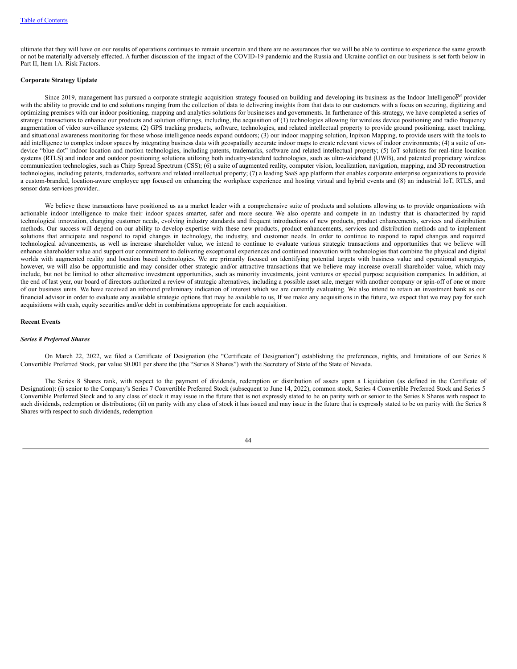ultimate that they will have on our results of operations continues to remain uncertain and there are no assurances that we will be able to continue to experience the same growth or not be materially adversely effected. A further discussion of the impact of the COVID-19 pandemic and the Russia and Ukraine conflict on our business is set forth below in Part II, Item 1A. Risk Factors.

# **Corporate Strategy Update**

Since 2019, management has pursued a corporate strategic acquisition strategy focused on building and developing its business as the Indoor Intelligence<sup>M</sup> provider with the ability to provide end to end solutions ranging from the collection of data to delivering insights from that data to our customers with a focus on securing, digitizing and optimizing premises with our indoor positioning, mapping and analytics solutions for businesses and governments. In furtherance of this strategy, we have completed a series of strategic transactions to enhance our products and solution offerings, including, the acquisition of (1) technologies allowing for wireless device positioning and radio frequency augmentation of video surveillance systems; (2) GPS tracking products, software, technologies, and related intellectual property to provide ground positioning, asset tracking, and situational awareness monitoring for those whose intelligence needs expand outdoors; (3) our indoor mapping solution, Inpixon Mapping, to provide users with the tools to add intelligence to complex indoor spaces by integrating business data with geospatially accurate indoor maps to create relevant views of indoor environments; (4) a suite of ondevice "blue dot" indoor location and motion technologies, including patents, trademarks, software and related intellectual property; (5) IoT solutions for real-time location systems (RTLS) and indoor and outdoor positioning solutions utilizing both industry-standard technologies, such as ultra-wideband (UWB), and patented proprietary wireless communication technologies, such as Chirp Spread Spectrum (CSS); (6) a suite of augmented reality, computer vision, localization, navigation, mapping, and 3D reconstruction technologies, including patents, trademarks, software and related intellectual property; (7) a leading SaaS app platform that enables corporate enterprise organizations to provide a custom-branded, location-aware employee app focused on enhancing the workplace experience and hosting virtual and hybrid events and (8) an industrial IoT, RTLS, and sensor data services provider..

We believe these transactions have positioned us as a market leader with a comprehensive suite of products and solutions allowing us to provide organizations with actionable indoor intelligence to make their indoor spaces smarter, safer and more secure. We also operate and compete in an industry that is characterized by rapid technological innovation, changing customer needs, evolving industry standards and frequent introductions of new products, product enhancements, services and distribution methods. Our success will depend on our ability to develop expertise with these new products, product enhancements, services and distribution methods and to implement solutions that anticipate and respond to rapid changes in technology, the industry, and customer needs. In order to continue to respond to rapid changes and required technological advancements, as well as increase shareholder value, we intend to continue to evaluate various strategic transactions and opportunities that we believe will enhance shareholder value and support our commitment to delivering exceptional experiences and continued innovation with technologies that combine the physical and digital worlds with augmented reality and location based technologies. We are primarily focused on identifying potential targets with business value and operational synergies, however, we will also be opportunistic and may consider other strategic and/or attractive transactions that we believe may increase overall shareholder value, which may include, but not be limited to other alternative investment opportunities, such as minority investments, joint ventures or special purpose acquisition companies. In addition, at the end of last year, our board of directors authorized a review of strategic alternatives, including a possible asset sale, merger with another company or spin-off of one or more of our business units. We have received an inbound preliminary indication of interest which we are currently evaluating. We also intend to retain an investment bank as our financial advisor in order to evaluate any available strategic options that may be available to us, If we make any acquisitions in the future, we expect that we may pay for such acquisitions with cash, equity securities and/or debt in combinations appropriate for each acquisition.

#### **Recent Events**

### *Series 8 Preferred Shares*

On March 22, 2022, we filed a Certificate of Designation (the "Certificate of Designation") establishing the preferences, rights, and limitations of our Series 8 Convertible Preferred Stock, par value \$0.001 per share the (the "Series 8 Shares") with the Secretary of State of the State of Nevada.

The Series 8 Shares rank, with respect to the payment of dividends, redemption or distribution of assets upon a Liquidation (as defined in the Certificate of Designation): (i) senior to the Company's Series 7 Convertible Preferred Stock (subsequent to June 14, 2022), common stock, Series 4 Convertible Preferred Stock and Series 5 Convertible Preferred Stock and to any class of stock it may issue in the future that is not expressly stated to be on parity with or senior to the Series 8 Shares with respect to such dividends, redemption or distributions; (ii) on parity with any class of stock it has issued and may issue in the future that is expressly stated to be on parity with the Series 8 Shares with respect to such dividends, redemption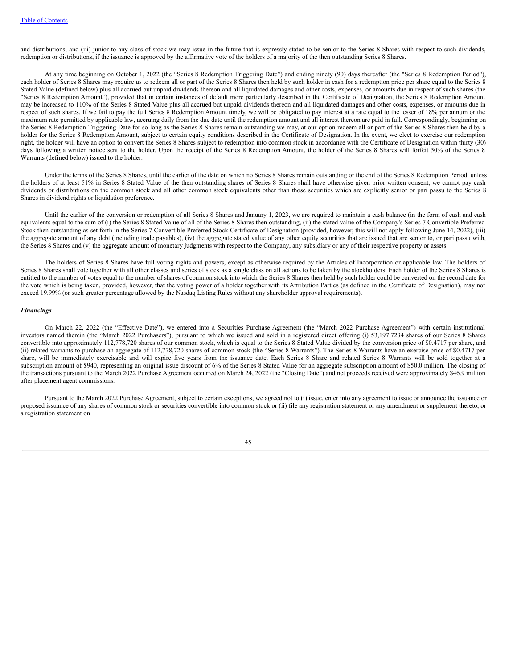and distributions; and (iii) junior to any class of stock we may issue in the future that is expressly stated to be senior to the Series 8 Shares with respect to such dividends, redemption or distributions, if the issuance is approved by the affirmative vote of the holders of a majority of the then outstanding Series 8 Shares.

At any time beginning on October 1, 2022 (the "Series 8 Redemption Triggering Date") and ending ninety (90) days thereafter (the "Series 8 Redemption Period"), each holder of Series 8 Shares may require us to redeem all or part of the Series 8 Shares then held by such holder in cash for a redemption price per share equal to the Series 8 Stated Value (defined below) plus all accrued but unpaid dividends thereon and all liquidated damages and other costs, expenses, or amounts due in respect of such shares (the "Series 8 Redemption Amount"), provided that in certain instances of default more particularly described in the Certificate of Designation, the Series 8 Redemption Amount may be increased to 110% of the Series 8 Stated Value plus all accrued but unpaid dividends thereon and all liquidated damages and other costs, expenses, or amounts due in respect of such shares. If we fail to pay the full Series 8 Redemption Amount timely, we will be obligated to pay interest at a rate equal to the lesser of 18% per annum or the maximum rate permitted by applicable law, accruing daily from the due date until the redemption amount and all interest thereon are paid in full. Correspondingly, beginning on the Series 8 Redemption Triggering Date for so long as the Series 8 Shares remain outstanding we may, at our option redeem all or part of the Series 8 Shares then held by a holder for the Series 8 Redemption Amount, subject to certain equity conditions described in the Certificate of Designation. In the event, we elect to exercise our redemption right, the holder will have an option to convert the Series 8 Shares subject to redemption into common stock in accordance with the Certificate of Designation within thirty (30) days following a written notice sent to the holder. Upon the receipt of the Series 8 Redemption Amount, the holder of the Series 8 Shares will forfeit 50% of the Series 8 Warrants (defined below) issued to the holder.

Under the terms of the Series 8 Shares, until the earlier of the date on which no Series 8 Shares remain outstanding or the end of the Series 8 Redemption Period, unless the holders of at least 51% in Series 8 Stated Value of the then outstanding shares of Series 8 Shares shall have otherwise given prior written consent, we cannot pay cash dividends or distributions on the common stock and all other common stock equivalents other than those securities which are explicitly senior or pari passu to the Series 8 Shares in dividend rights or liquidation preference.

Until the earlier of the conversion or redemption of all Series 8 Shares and January 1, 2023, we are required to maintain a cash balance (in the form of cash and cash equivalents equal to the sum of (i) the Series 8 Stated Value of all of the Series 8 Shares then outstanding, (ii) the stated value of the Company's Series 7 Convertible Preferred Stock then outstanding as set forth in the Series 7 Convertible Preferred Stock Certificate of Designation (provided, however, this will not apply following June 14, 2022), (iii) the aggregate amount of any debt (including trade payables), (iv) the aggregate stated value of any other equity securities that are issued that are senior to, or pari passu with, the Series 8 Shares and (v) the aggregate amount of monetary judgments with respect to the Company, any subsidiary or any of their respective property or assets.

The holders of Series 8 Shares have full voting rights and powers, except as otherwise required by the Articles of Incorporation or applicable law. The holders of Series 8 Shares shall vote together with all other classes and series of stock as a single class on all actions to be taken by the stockholders. Each holder of the Series 8 Shares is entitled to the number of votes equal to the number of shares of common stock into which the Series 8 Shares then held by such holder could be converted on the record date for the vote which is being taken, provided, however, that the voting power of a holder together with its Attribution Parties (as defined in the Certificate of Designation), may not exceed 19.99% (or such greater percentage allowed by the Nasdaq Listing Rules without any shareholder approval requirements).

# *Financings*

On March 22, 2022 (the "Effective Date"), we entered into a Securities Purchase Agreement (the "March 2022 Purchase Agreement") with certain institutional investors named therein (the "March 2022 Purchasers"), pursuant to which we issued and sold in a registered direct offering (i) 53,197.7234 shares of our Series 8 Shares convertible into approximately 112,778,720 shares of our common stock, which is equal to the Series 8 Stated Value divided by the conversion price of \$0.4717 per share, and (ii) related warrants to purchase an aggregate of 112,778,720 shares of common stock (the "Series 8 Warrants"). The Series 8 Warrants have an exercise price of \$0.4717 per share, will be immediately exercisable and will expire five years from the issuance date. Each Series 8 Share and related Series 8 Warrants will be sold together at a subscription amount of \$940, representing an original issue discount of 6% of the Series 8 Stated Value for an aggregate subscription amount of \$50.0 million. The closing of the transactions pursuant to the March 2022 Purchase Agreement occurred on March 24, 2022 (the "Closing Date") and net proceeds received were approximately \$46.9 million after placement agent commissions.

Pursuant to the March 2022 Purchase Agreement, subject to certain exceptions, we agreed not to (i) issue, enter into any agreement to issue or announce the issuance or proposed issuance of any shares of common stock or securities convertible into common stock or (ii) file any registration statement or any amendment or supplement thereto, or a registration statement on

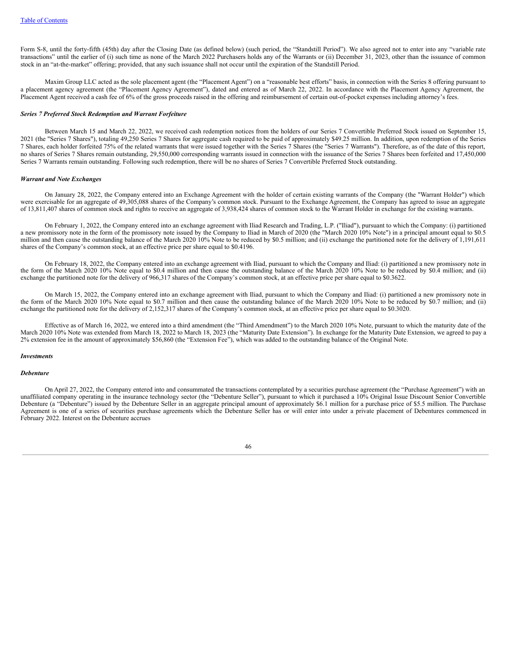Form S-8, until the forty-fifth (45th) day after the Closing Date (as defined below) (such period, the "Standstill Period"). We also agreed not to enter into any "variable rate transactions" until the earlier of (i) such time as none of the March 2022 Purchasers holds any of the Warrants or (ii) December 31, 2023, other than the issuance of common stock in an "at-the-market" offering; provided, that any such issuance shall not occur until the expiration of the Standstill Period.

Maxim Group LLC acted as the sole placement agent (the "Placement Agent") on a "reasonable best efforts" basis, in connection with the Series 8 offering pursuant to a placement agency agreement (the "Placement Agency Agreement"), dated and entered as of March 22, 2022. In accordance with the Placement Agency Agreement, the Placement Agent received a cash fee of 6% of the gross proceeds raised in the offering and reimbursement of certain out-of-pocket expenses including attorney's fees.

#### *Series 7 Preferred Stock Redemption and Warrant Forfeiture*

Between March 15 and March 22, 2022, we received cash redemption notices from the holders of our Series 7 Convertible Preferred Stock issued on September 15, 2021 (the "Series 7 Shares"), totaling 49,250 Series 7 Shares for aggregate cash required to be paid of approximately \$49.25 million. In addition, upon redemption of the Series 7 Shares, each holder forfeited 75% of the related warrants that were issued together with the Series 7 Shares (the "Series 7 Warrants"). Therefore, as of the date of this report, no shares of Series 7 Shares remain outstanding, 29,550,000 corresponding warrants issued in connection with the issuance of the Series 7 Shares been forfeited and 17,450,000 Series 7 Warrants remain outstanding. Following such redemption, there will be no shares of Series 7 Convertible Preferred Stock outstanding.

#### *Warrant and Note Exchanges*

On January 28, 2022, the Company entered into an Exchange Agreement with the holder of certain existing warrants of the Company (the "Warrant Holder") which were exercisable for an aggregate of 49,305,088 shares of the Company's common stock. Pursuant to the Exchange Agreement, the Company has agreed to issue an aggregate of 13,811,407 shares of common stock and rights to receive an aggregate of 3,938,424 shares of common stock to the Warrant Holder in exchange for the existing warrants.

On February 1, 2022, the Company entered into an exchange agreement with Iliad Research and Trading, L.P. ("Iliad"), pursuant to which the Company: (i) partitioned a new promissory note in the form of the promissory note issued by the Company to Iliad in March of 2020 (the "March 2020 10% Note") in a principal amount equal to \$0.5 million and then cause the outstanding balance of the March 2020 10% Note to be reduced by \$0.5 million; and (ii) exchange the partitioned note for the delivery of 1,191,611 shares of the Company's common stock, at an effective price per share equal to \$0.4196.

On February 18, 2022, the Company entered into an exchange agreement with Iliad, pursuant to which the Company and Iliad: (i) partitioned a new promissory note in the form of the March 2020 10% Note equal to \$0.4 million and then cause the outstanding balance of the March 2020 10% Note to be reduced by \$0.4 million; and (ii) exchange the partitioned note for the delivery of 966,317 shares of the Company's common stock, at an effective price per share equal to \$0.3622.

On March 15, 2022, the Company entered into an exchange agreement with Iliad, pursuant to which the Company and Iliad: (i) partitioned a new promissory note in the form of the March 2020 10% Note equal to \$0.7 million and then cause the outstanding balance of the March 2020 10% Note to be reduced by \$0.7 million; and (ii) exchange the partitioned note for the delivery of 2,152,317 shares of the Company's common stock, at an effective price per share equal to \$0.3020.

Effective as of March 16, 2022, we entered into a third amendment (the "Third Amendment") to the March 2020 10% Note, pursuant to which the maturity date of the March 2020 10% Note was extended from March 18, 2022 to March 18, 2023 (the "Maturity Date Extension"). In exchange for the Maturity Date Extension, we agreed to pay a 2% extension fee in the amount of approximately \$56,860 (the "Extension Fee"), which was added to the outstanding balance of the Original Note.

#### *Investments*

### *Debenture*

On April 27, 2022, the Company entered into and consummated the transactions contemplated by a securities purchase agreement (the "Purchase Agreement") with an unaffiliated company operating in the insurance technology sector (the "Debenture Seller"), pursuant to which it purchased a 10% Original Issue Discount Senior Convertible Debenture (a "Debenture") issued by the Debenture Seller in an aggregate principal amount of approximately \$6.1 million for a purchase price of \$5.5 million. The Purchase Agreement is one of a series of securities purchase agreements which the Debenture Seller has or will enter into under a private placement of Debentures commenced in February 2022. Interest on the Debenture accrues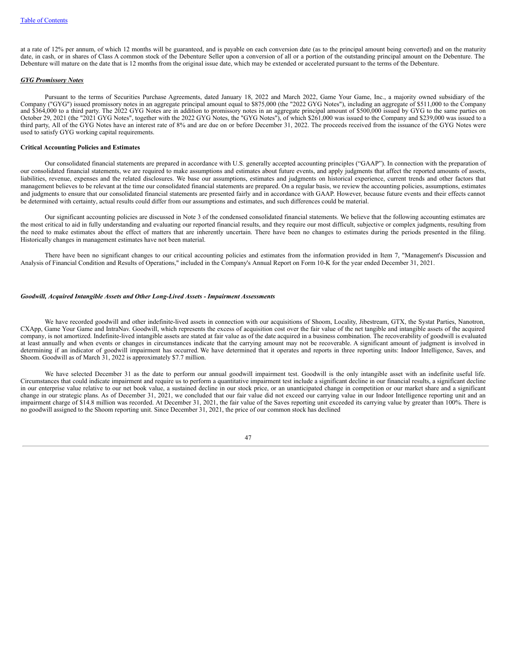at a rate of 12% per annum, of which 12 months will be guaranteed, and is payable on each conversion date (as to the principal amount being converted) and on the maturity date, in cash, or in shares of Class A common stock of the Debenture Seller upon a conversion of all or a portion of the outstanding principal amount on the Debenture. The Debenture will mature on the date that is 12 months from the original issue date, which may be extended or accelerated pursuant to the terms of the Debenture.

#### *GYG Promissory Notes*

Pursuant to the terms of Securities Purchase Agreements, dated January 18, 2022 and March 2022, Game Your Game, Inc., a majority owned subsidiary of the Company ("GYG") issued promissory notes in an aggregate principal amount equal to \$875,000 (the "2022 GYG Notes"), including an aggregate of \$511,000 to the Company and \$364,000 to a third party. The 2022 GYG Notes are in addition to promissory notes in an aggregate principal amount of \$500,000 issued by GYG to the same parties on October 29, 2021 (the "2021 GYG Notes", together with the 2022 GYG Notes, the "GYG Notes"), of which \$261,000 was issued to the Company and \$239,000 was issued to a third party, All of the GYG Notes have an interest rate of 8% and are due on or before December 31, 2022. The proceeds received from the issuance of the GYG Notes were used to satisfy GYG working capital requirements.

# **Critical Accounting Policies and Estimates**

Our consolidated financial statements are prepared in accordance with U.S. generally accepted accounting principles ("GAAP"). In connection with the preparation of our consolidated financial statements, we are required to make assumptions and estimates about future events, and apply judgments that affect the reported amounts of assets, liabilities, revenue, expenses and the related disclosures. We base our assumptions, estimates and judgments on historical experience, current trends and other factors that management believes to be relevant at the time our consolidated financial statements are prepared. On a regular basis, we review the accounting policies, assumptions, estimates and judgments to ensure that our consolidated financial statements are presented fairly and in accordance with GAAP. However, because future events and their effects cannot be determined with certainty, actual results could differ from our assumptions and estimates, and such differences could be material.

Our significant accounting policies are discussed in Note 3 of the condensed consolidated financial statements. We believe that the following accounting estimates are the most critical to aid in fully understanding and evaluating our reported financial results, and they require our most difficult, subjective or complex judgments, resulting from the need to make estimates about the effect of matters that are inherently uncertain. There have been no changes to estimates during the periods presented in the filing. Historically changes in management estimates have not been material.

There have been no significant changes to our critical accounting policies and estimates from the information provided in Item 7, "Management's Discussion and Analysis of Financial Condition and Results of Operations," included in the Company's Annual Report on Form 10-K for the year ended December 31, 2021.

# *Goodwill, Acquired Intangible Assets and Other Long-Lived Assets - Impairment Assessments*

We have recorded goodwill and other indefinite-lived assets in connection with our acquisitions of Shoom, Locality, Jibestream, GTX, the Systat Parties, Nanotron, CXApp, Game Your Game and IntraNav. Goodwill, which represents the excess of acquisition cost over the fair value of the net tangible and intangible assets of the acquired company, is not amortized. Indefinite-lived intangible assets are stated at fair value as of the date acquired in a business combination. The recoverability of goodwill is evaluated at least annually and when events or changes in circumstances indicate that the carrying amount may not be recoverable. A significant amount of judgment is involved in determining if an indicator of goodwill impairment has occurred. We have determined that it operates and reports in three reporting units: Indoor Intelligence, Saves, and Shoom. Goodwill as of March 31, 2022 is approximately \$7.7 million.

We have selected December 31 as the date to perform our annual goodwill impairment test. Goodwill is the only intangible asset with an indefinite useful life. Circumstances that could indicate impairment and require us to perform a quantitative impairment test include a significant decline in our financial results, a significant decline in our enterprise value relative to our net book value, a sustained decline in our stock price, or an unanticipated change in competition or our market share and a significant change in our strategic plans. As of December 31, 2021, we concluded that our fair value did not exceed our carrying value in our Indoor Intelligence reporting unit and an impairment charge of \$14.8 million was recorded. At December 31, 2021, the fair value of the Saves reporting unit exceeded its carrying value by greater than 100%. There is no goodwill assigned to the Shoom reporting unit. Since December 31, 2021, the price of our common stock has declined

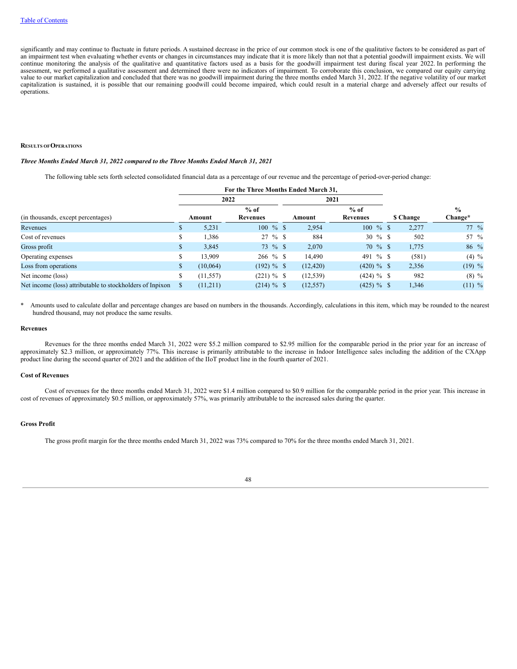significantly and may continue to fluctuate in future periods. A sustained decrease in the price of our common stock is one of the qualitative factors to be considered as part of an impairment test when evaluating whether events or changes in circumstances may indicate that it is more likely than not that a potential goodwill impairment exists. We will continue monitoring the analysis of the qualitative and quantitative factors used as a basis for the goodwill impairment test during fiscal year 2022. In performing the assessment, we performed a qualitative assessment and determined there were no indicators of impairment. To corroborate this conclusion, we compared our equity carrying value to our market capitalization and concluded that there was no goodwill impairment during the three months ended March 31, 2022. If the negative volatility of our market capitalization is sustained, it is possible that our remaining goodwill could become impaired, which could result in a material charge and adversely affect our results of operations.

### **RESULTS OFOPERATIONS**

# *Three Months Ended March 31, 2022 compared to the Three Months Ended March 31, 2021*

The following table sets forth selected consolidated financial data as a percentage of our revenue and the percentage of period-over-period change:

|                                    |     |           | For the Three Months Ended March 31. |           |                           |           |                          |
|------------------------------------|-----|-----------|--------------------------------------|-----------|---------------------------|-----------|--------------------------|
|                                    |     |           | 2022                                 | 2021      |                           |           |                          |
| (in thousands, except percentages) |     | Amount    | $%$ of<br>Revenues                   | Amount    | $%$ of<br><b>Revenues</b> | \$ Change | $\frac{0}{0}$<br>Change* |
| Revenues                           | P.  | 5,231     | $100 \%$ \$                          | 2,954     | $100\%$ \$                | 2,277     | $77 \frac{9}{6}$         |
| Cost of revenues                   | D.  | 1,386     | $27 \%$ \$                           | 884       | $30 \%$ \$                | 502       | 57 %                     |
| Gross profit                       | \$. | 3,845     | 73 % \$                              | 2,070     | $70 \%$ \$                | 1,775     | 86 %                     |
| Operating expenses                 |     | 13.909    | $266 \%$ \$                          | 14,490    | 491 % \$                  | (581)     | $(4) \%$                 |
| Loss from operations               | \$  | (10,064)  | $(192) \%$ \$                        | (12, 420) | $(420) \%$ \$             | 2,356     | $(19)$ %                 |
| Net income (loss)                  | \$  | (11, 557) | $(221) \%$ \$                        | (12, 539) | $(424) \%$ \$             | 982       | $(8) \%$                 |
|                                    |     | (11,211)  | $(214) \%$ \$                        | (12, 557) | $(425) \%$ \$             | 1,346     | $(11)$ %                 |

Amounts used to calculate dollar and percentage changes are based on numbers in the thousands. Accordingly, calculations in this item, which may be rounded to the nearest hundred thousand, may not produce the same results.

## **Revenues**

Revenues for the three months ended March 31, 2022 were \$5.2 million compared to \$2.95 million for the comparable period in the prior year for an increase of approximately \$2.3 million, or approximately 77%. This increase is primarily attributable to the increase in Indoor Intelligence sales including the addition of the CXApp product line during the second quarter of 2021 and the addition of the IIoT product line in the fourth quarter of 2021.

# **Cost of Revenues**

Cost of revenues for the three months ended March 31, 2022 were \$1.4 million compared to \$0.9 million for the comparable period in the prior year. This increase in cost of revenues of approximately \$0.5 million, or approximately 57%, was primarily attributable to the increased sales during the quarter.

### **Gross Profit**

The gross profit margin for the three months ended March 31, 2022 was 73% compared to 70% for the three months ended March 31, 2021.

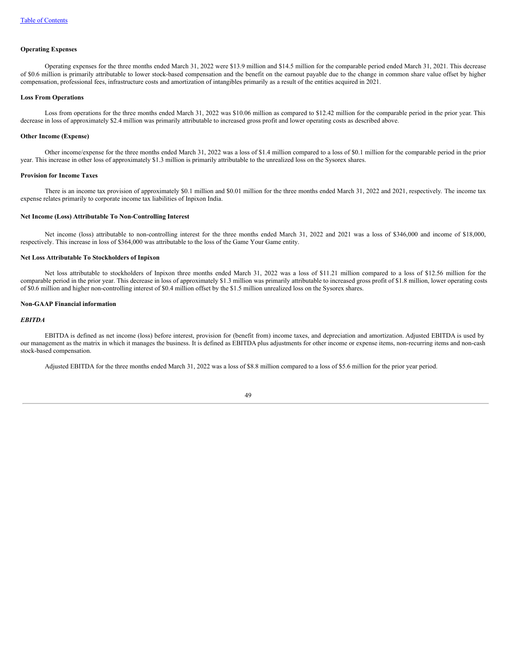#### **Operating Expenses**

Operating expenses for the three months ended March 31, 2022 were \$13.9 million and \$14.5 million for the comparable period ended March 31, 2021. This decrease of \$0.6 million is primarily attributable to lower stock-based compensation and the benefit on the earnout payable due to the change in common share value offset by higher compensation, professional fees, infrastructure costs and amortization of intangibles primarily as a result of the entities acquired in 2021.

## **Loss From Operations**

Loss from operations for the three months ended March 31, 2022 was \$10.06 million as compared to \$12.42 million for the comparable period in the prior year. This decrease in loss of approximately \$2.4 million was primarily attributable to increased gross profit and lower operating costs as described above.

#### **Other Income (Expense)**

Other income/expense for the three months ended March 31, 2022 was a loss of \$1.4 million compared to a loss of \$0.1 million for the comparable period in the prior year. This increase in other loss of approximately \$1.3 million is primarily attributable to the unrealized loss on the Sysorex shares.

### **Provision for Income Taxes**

There is an income tax provision of approximately \$0.1 million and \$0.01 million for the three months ended March 31, 2022 and 2021, respectively. The income tax expense relates primarily to corporate income tax liabilities of Inpixon India.

#### **Net Income (Loss) Attributable To Non-Controlling Interest**

Net income (loss) attributable to non-controlling interest for the three months ended March 31, 2022 and 2021 was a loss of \$346,000 and income of \$18,000, respectively. This increase in loss of \$364,000 was attributable to the loss of the Game Your Game entity.

#### **Net Loss Attributable To Stockholders of Inpixon**

Net loss attributable to stockholders of Inpixon three months ended March 31, 2022 was a loss of \$11.21 million compared to a loss of \$12.56 million for the comparable period in the prior year. This decrease in loss of approximately \$1.3 million was primarily attributable to increased gross profit of \$1.8 million, lower operating costs of \$0.6 million and higher non-controlling interest of \$0.4 million offset by the \$1.5 million unrealized loss on the Sysorex shares.

#### **Non-GAAP Financial information**

# *EBITDA*

EBITDA is defined as net income (loss) before interest, provision for (benefit from) income taxes, and depreciation and amortization. Adjusted EBITDA is used by our management as the matrix in which it manages the business. It is defined as EBITDA plus adjustments for other income or expense items, non-recurring items and non-cash stock-based compensation.

Adjusted EBITDA for the three months ended March 31, 2022 was a loss of \$8.8 million compared to a loss of \$5.6 million for the prior year period.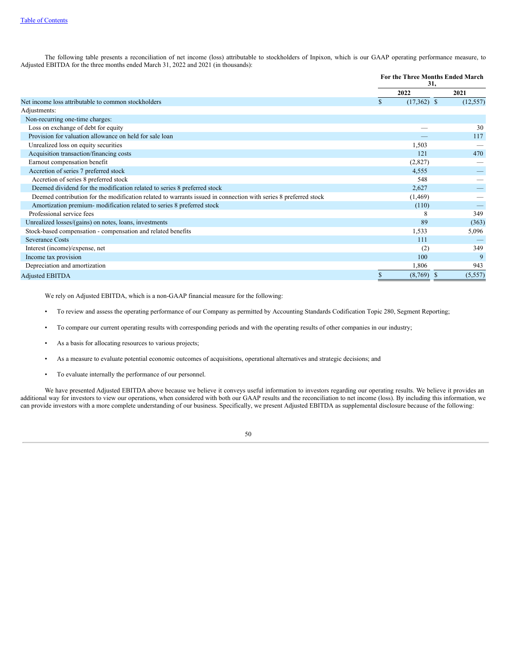The following table presents a reconciliation of net income (loss) attributable to stockholders of Inpixon, which is our GAAP operating performance measure, to Adjusted EBITDA for the three months ended March 31, 2022 and 2021 (in thousands):

|                                                                                                                 |   | 31,           | <b>For the Three Months Ended March</b> |
|-----------------------------------------------------------------------------------------------------------------|---|---------------|-----------------------------------------|
|                                                                                                                 |   | 2022          | 2021                                    |
| Net income loss attributable to common stockholders                                                             | S | $(17,362)$ \$ | (12, 557)                               |
| Adjustments:                                                                                                    |   |               |                                         |
| Non-recurring one-time charges:                                                                                 |   |               |                                         |
| Loss on exchange of debt for equity                                                                             |   |               | 30                                      |
| Provision for valuation allowance on held for sale loan                                                         |   |               | 117                                     |
| Unrealized loss on equity securities                                                                            |   | 1,503         |                                         |
| Acquisition transaction/financing costs                                                                         |   | 121           | 470                                     |
| Earnout compensation benefit                                                                                    |   | (2,827)       |                                         |
| Accretion of series 7 preferred stock                                                                           |   | 4,555         |                                         |
| Accretion of series 8 preferred stock                                                                           |   | 548           |                                         |
| Deemed dividend for the modification related to series 8 preferred stock                                        |   | 2,627         |                                         |
| Deemed contribution for the modification related to warrants issued in connection with series 8 preferred stock |   | (1, 469)      |                                         |
| Amortization premium-modification related to series 8 preferred stock                                           |   | (110)         |                                         |
| Professional service fees                                                                                       |   | 8             | 349                                     |
| Unrealized losses/(gains) on notes, loans, investments                                                          |   | 89            | (363)                                   |
| Stock-based compensation - compensation and related benefits                                                    |   | 1,533         | 5,096                                   |
| <b>Severance Costs</b>                                                                                          |   | 111           |                                         |
| Interest (income)/expense, net                                                                                  |   | (2)           | 349                                     |
| Income tax provision                                                                                            |   | 100           | 9                                       |
| Depreciation and amortization                                                                                   |   | 1,806         | 943                                     |
| <b>Adjusted EBITDA</b>                                                                                          |   | $(8,769)$ \$  | (5, 557)                                |

We rely on Adjusted EBITDA, which is a non-GAAP financial measure for the following:

- To review and assess the operating performance of our Company as permitted by Accounting Standards Codification Topic 280, Segment Reporting;
- To compare our current operating results with corresponding periods and with the operating results of other companies in our industry;
- As a basis for allocating resources to various projects;
- As a measure to evaluate potential economic outcomes of acquisitions, operational alternatives and strategic decisions; and
- To evaluate internally the performance of our personnel.

We have presented Adjusted EBITDA above because we believe it conveys useful information to investors regarding our operating results. We believe it provides an additional way for investors to view our operations, when considered with both our GAAP results and the reconciliation to net income (loss). By including this information, we can provide investors with a more complete understanding of our business. Specifically, we present Adjusted EBITDA as supplemental disclosure because of the following:

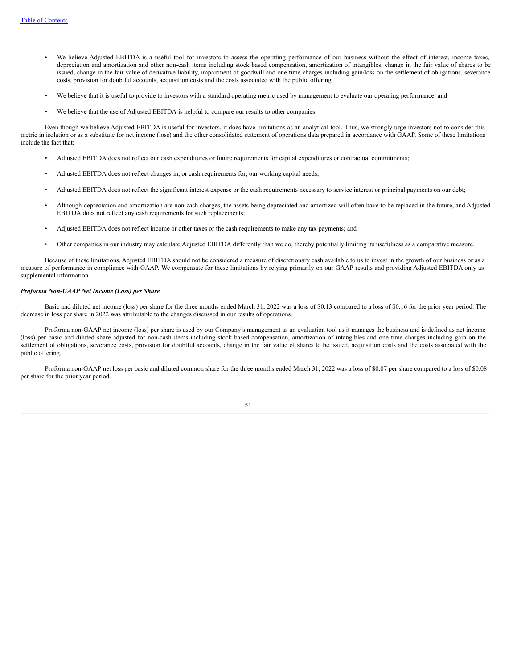- We believe Adjusted EBITDA is a useful tool for investors to assess the operating performance of our business without the effect of interest, income taxes, depreciation and amortization and other non-cash items including stock based compensation, amortization of intangibles, change in the fair value of shares to be issued, change in the fair value of derivative liability, impairment of goodwill and one time charges including gain/loss on the settlement of obligations, severance costs, provision for doubtful accounts, acquisition costs and the costs associated with the public offering.
- We believe that it is useful to provide to investors with a standard operating metric used by management to evaluate our operating performance; and
- We believe that the use of Adjusted EBITDA is helpful to compare our results to other companies.

Even though we believe Adjusted EBITDA is useful for investors, it does have limitations as an analytical tool. Thus, we strongly urge investors not to consider this metric in isolation or as a substitute for net income (loss) and the other consolidated statement of operations data prepared in accordance with GAAP. Some of these limitations include the fact that:

- Adjusted EBITDA does not reflect our cash expenditures or future requirements for capital expenditures or contractual commitments;
- Adjusted EBITDA does not reflect changes in, or cash requirements for, our working capital needs;
- Adjusted EBITDA does not reflect the significant interest expense or the cash requirements necessary to service interest or principal payments on our debt;
- Although depreciation and amortization are non-cash charges, the assets being depreciated and amortized will often have to be replaced in the future, and Adjusted EBITDA does not reflect any cash requirements for such replacements;
- Adjusted EBITDA does not reflect income or other taxes or the cash requirements to make any tax payments; and
- Other companies in our industry may calculate Adjusted EBITDA differently than we do, thereby potentially limiting its usefulness as a comparative measure.

Because of these limitations, Adjusted EBITDA should not be considered a measure of discretionary cash available to us to invest in the growth of our business or as a measure of performance in compliance with GAAP. We compensate for these limitations by relying primarily on our GAAP results and providing Adjusted EBITDA only as supplemental information.

## *Proforma Non-GAAP Net Income (Loss) per Share*

Basic and diluted net income (loss) per share for the three months ended March 31, 2022 was a loss of \$0.13 compared to a loss of \$0.16 for the prior year period. The decrease in loss per share in 2022 was attributable to the changes discussed in our results of operations.

Proforma non-GAAP net income (loss) per share is used by our Company's management as an evaluation tool as it manages the business and is defined as net income (loss) per basic and diluted share adjusted for non-cash items including stock based compensation, amortization of intangibles and one time charges including gain on the settlement of obligations, severance costs, provision for doubtful accounts, change in the fair value of shares to be issued, acquisition costs and the costs associated with the public offering.

Proforma non-GAAP net loss per basic and diluted common share for the three months ended March 31, 2022 was a loss of \$0.07 per share compared to a loss of \$0.08 per share for the prior year period.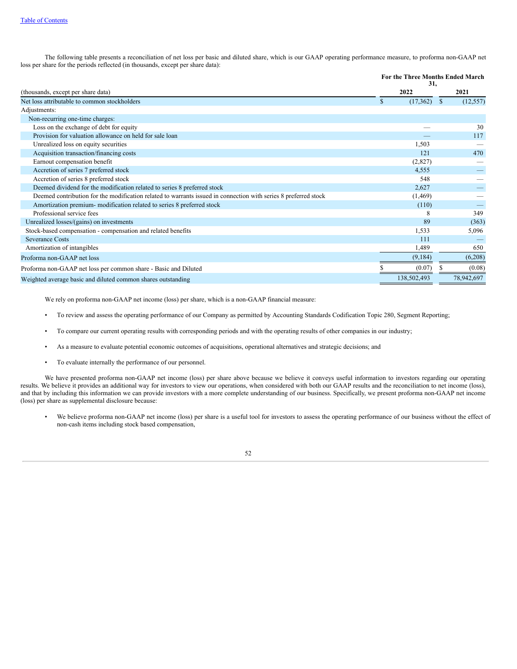The following table presents a reconciliation of net loss per basic and diluted share, which is our GAAP operating performance measure, to proforma non-GAAP net loss per share for the periods reflected (in thousands, except per share data):

|                                                                                                                 | For the Three Months Ended March<br>31, |              |            |
|-----------------------------------------------------------------------------------------------------------------|-----------------------------------------|--------------|------------|
| (thousands, except per share data)                                                                              | 2022                                    |              | 2021       |
| Net loss attributable to common stockholders                                                                    | \$<br>(17,362)                          | <sup>S</sup> | (12, 557)  |
| Adjustments:                                                                                                    |                                         |              |            |
| Non-recurring one-time charges:                                                                                 |                                         |              |            |
| Loss on the exchange of debt for equity                                                                         |                                         |              | 30         |
| Provision for valuation allowance on held for sale loan                                                         |                                         |              | 117        |
| Unrealized loss on equity securities                                                                            | 1,503                                   |              |            |
| Acquisition transaction/financing costs                                                                         | 121                                     |              | 470        |
| Earnout compensation benefit                                                                                    | (2,827)                                 |              |            |
| Accretion of series 7 preferred stock                                                                           | 4,555                                   |              |            |
| Accretion of series 8 preferred stock                                                                           | 548                                     |              |            |
| Deemed dividend for the modification related to series 8 preferred stock                                        | 2,627                                   |              |            |
| Deemed contribution for the modification related to warrants issued in connection with series 8 preferred stock | (1, 469)                                |              |            |
| Amortization premium- modification related to series 8 preferred stock                                          | (110)                                   |              |            |
| Professional service fees                                                                                       | 8                                       |              | 349        |
| Unrealized losses/(gains) on investments                                                                        | 89                                      |              | (363)      |
| Stock-based compensation - compensation and related benefits                                                    | 1,533                                   |              | 5,096      |
| <b>Severance Costs</b>                                                                                          | 111                                     |              |            |
| Amortization of intangibles                                                                                     | 1,489                                   |              | 650        |
| Proforma non-GAAP net loss                                                                                      | (9,184)                                 |              | (6,208)    |
| Proforma non-GAAP net loss per common share - Basic and Diluted                                                 | (0.07)                                  |              | (0.08)     |
| Weighted average basic and diluted common shares outstanding                                                    | 138,502,493                             |              | 78,942,697 |

We rely on proforma non-GAAP net income (loss) per share, which is a non-GAAP financial measure:

- To review and assess the operating performance of our Company as permitted by Accounting Standards Codification Topic 280, Segment Reporting;
- To compare our current operating results with corresponding periods and with the operating results of other companies in our industry;
- As a measure to evaluate potential economic outcomes of acquisitions, operational alternatives and strategic decisions; and
- To evaluate internally the performance of our personnel.

We have presented proforma non-GAAP net income (loss) per share above because we believe it conveys useful information to investors regarding our operating results. We believe it provides an additional way for investors to view our operations, when considered with both our GAAP results and the reconciliation to net income (loss), and that by including this information we can provide investors with a more complete understanding of our business. Specifically, we present proforma non-GAAP net income (loss) per share as supplemental disclosure because:

• We believe proforma non-GAAP net income (loss) per share is a useful tool for investors to assess the operating performance of our business without the effect of non-cash items including stock based compensation,

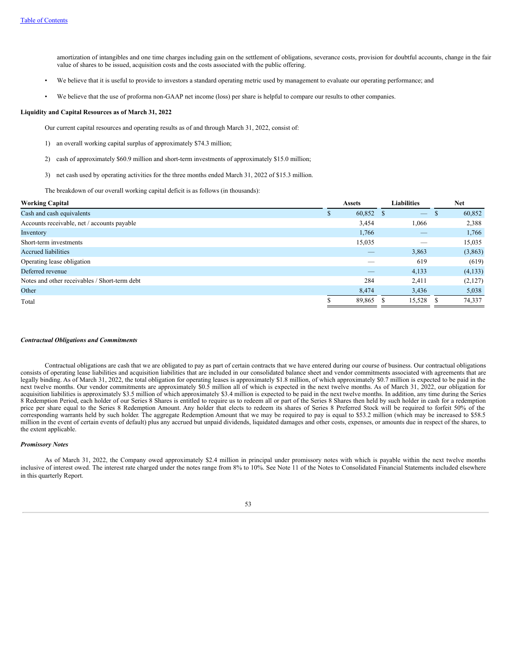amortization of intangibles and one time charges including gain on the settlement of obligations, severance costs, provision for doubtful accounts, change in the fair value of shares to be issued, acquisition costs and the costs associated with the public offering.

- We believe that it is useful to provide to investors a standard operating metric used by management to evaluate our operating performance; and
- We believe that the use of proforma non-GAAP net income (loss) per share is helpful to compare our results to other companies.

# **Liquidity and Capital Resources as of March 31, 2022**

Our current capital resources and operating results as of and through March 31, 2022, consist of:

- 1) an overall working capital surplus of approximately \$74.3 million;
- 2) cash of approximately \$60.9 million and short-term investments of approximately \$15.0 million;
- 3) net cash used by operating activities for the three months ended March 31, 2022 of \$15.3 million.

The breakdown of our overall working capital deficit is as follows (in thousands):

| <b>Working Capital</b>                        | <b>Assets</b>  |                          | Liabilities              |    | <b>Net</b> |
|-----------------------------------------------|----------------|--------------------------|--------------------------|----|------------|
| Cash and cash equivalents                     | 60,852 \$<br>Ф |                          | $\overline{\phantom{m}}$ | D  | 60,852     |
| Accounts receivable, net / accounts payable   | 3,454          |                          | 1,066                    |    | 2,388      |
| Inventory                                     | 1,766          |                          |                          |    | 1,766      |
| Short-term investments                        | 15,035         |                          |                          |    | 15,035     |
| <b>Accrued liabilities</b>                    |                | $\overline{\phantom{a}}$ | 3,863                    |    | (3,863)    |
| Operating lease obligation                    |                |                          | 619                      |    | (619)      |
| Deferred revenue                              |                | _                        | 4,133                    |    | (4,133)    |
| Notes and other receivables / Short-term debt | 284            |                          | 2,411                    |    | (2,127)    |
| Other                                         | 8,474          |                          | 3,436                    |    | 5,038      |
| Total                                         | 89,865 \$      |                          | 15,528                   | -8 | 74,337     |
|                                               |                |                          |                          |    |            |

#### *Contractual Obligations and Commitments*

Contractual obligations are cash that we are obligated to pay as part of certain contracts that we have entered during our course of business. Our contractual obligations consists of operating lease liabilities and acquisition liabilities that are included in our consolidated balance sheet and vendor commitments associated with agreements that are legally binding. As of March 31, 2022, the total obligation for operating leases is approximately \$1.8 million, of which approximately \$0.7 million is expected to be paid in the next twelve months. Our vendor commitments are approximately \$0.5 million all of which is expected in the next twelve months. As of March 31, 2022, our obligation for acquisition liabilities is approximately \$3.5 million of which approximately \$3.4 million is expected to be paid in the next twelve months. In addition, any time during the Series 8 Redemption Period, each holder of our Series 8 Shares is entitled to require us to redeem all or part of the Series 8 Shares then held by such holder in cash for a redemption price per share equal to the Series 8 Redemption Amount. Any holder that elects to redeem its shares of Series 8 Preferred Stock will be required to forfeit 50% of the corresponding warrants held by such holder. The aggregate Redemption Amount that we may be required to pay is equal to \$53.2 million (which may be increased to \$58.5 million in the event of certain events of default) plus any accrued but unpaid dividends, liquidated damages and other costs, expenses, or amounts due in respect of the shares, to the extent applicable.

# *Promissory Notes*

As of March 31, 2022, the Company owed approximately \$2.4 million in principal under promissory notes with which is payable within the next twelve months inclusive of interest owed. The interest rate charged under the notes range from 8% to 10%. See Note 11 of the Notes to Consolidated Financial Statements included elsewhere in this quarterly Report.

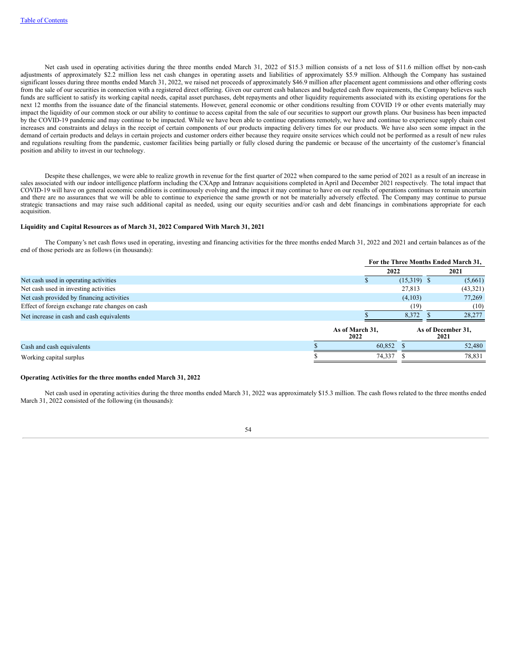Net cash used in operating activities during the three months ended March 31, 2022 of \$15.3 million consists of a net loss of \$11.6 million offset by non-cash adjustments of approximately \$2.2 million less net cash changes in operating assets and liabilities of approximately \$5.9 million. Although the Company has sustained significant losses during three months ended March 31, 2022, we raised net proceeds of approximately \$46.9 million after placement agent commissions and other offering costs from the sale of our securities in connection with a registered direct offering. Given our current cash balances and budgeted cash flow requirements, the Company believes such funds are sufficient to satisfy its working capital needs, capital asset purchases, debt repayments and other liquidity requirements associated with its existing operations for the next 12 months from the issuance date of the financial statements. However, general economic or other conditions resulting from COVID 19 or other events materially may impact the liquidity of our common stock or our ability to continue to access capital from the sale of our securities to support our growth plans. Our business has been impacted by the COVID-19 pandemic and may continue to be impacted. While we have been able to continue operations remotely, we have and continue to experience supply chain cost increases and constraints and delays in the receipt of certain components of our products impacting delivery times for our products. We have also seen some impact in the demand of certain products and delays in certain projects and customer orders either because they require onsite services which could not be performed as a result of new rules and regulations resulting from the pandemic, customer facilities being partially or fully closed during the pandemic or because of the uncertainty of the customer's financial position and ability to invest in our technology.

Despite these challenges, we were able to realize growth in revenue for the first quarter of 2022 when compared to the same period of 2021 as a result of an increase in sales associated with our indoor intelligence platform including the CXApp and Intranav acquisitions completed in April and December 2021 respectively. The total impact that COVID-19 will have on general economic conditions is continuously evolving and the impact it may continue to have on our results of operations continues to remain uncertain and there are no assurances that we will be able to continue to experience the same growth or not be materially adversely effected. The Company may continue to pursue strategic transactions and may raise such additional capital as needed, using our equity securities and/or cash and debt financings in combinations appropriate for each acquisition.

### **Liquidity and Capital Resources as of March 31, 2022 Compared With March 31, 2021**

The Company's net cash flows used in operating, investing and financing activities for the three months ended March 31, 2022 and 2021 and certain balances as of the end of those periods are as follows (in thousands):

|                                                 |                         | For the Three Months Ended March 31, |  |                            |  |
|-------------------------------------------------|-------------------------|--------------------------------------|--|----------------------------|--|
|                                                 | 2022                    |                                      |  | 2021                       |  |
| Net cash used in operating activities           |                         | $(15,319)$ \$                        |  | (5,661)                    |  |
| Net cash used in investing activities           |                         | 27.813                               |  | (43,321)                   |  |
| Net cash provided by financing activities       |                         | (4,103)                              |  | 77,269                     |  |
| Effect of foreign exchange rate changes on cash |                         | (19)                                 |  | (10)                       |  |
| Net increase in cash and cash equivalents       |                         | 8.372                                |  | 28,277                     |  |
|                                                 | As of March 31,<br>2022 |                                      |  | As of December 31,<br>2021 |  |
| Cash and cash equivalents                       | 60,852                  |                                      |  | 52,480                     |  |
| Working capital surplus                         | 74,337                  |                                      |  | 78,831                     |  |

#### **Operating Activities for the three months ended March 31, 2022**

Net cash used in operating activities during the three months ended March 31, 2022 was approximately \$15.3 million. The cash flows related to the three months ended March 31, 2022 consisted of the following (in thousands):

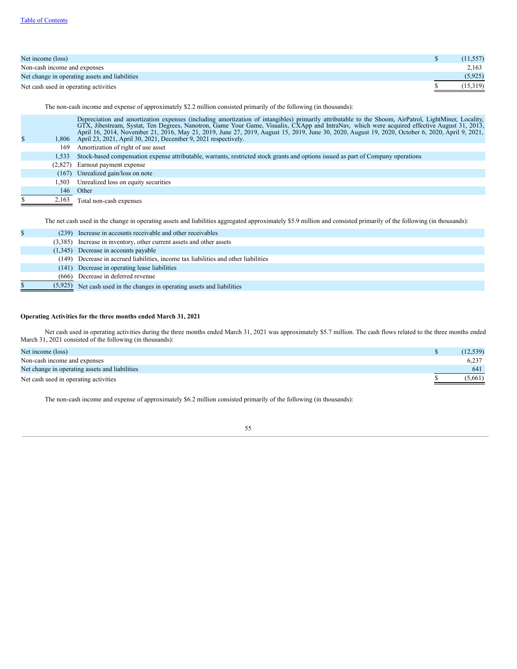| Net income (loss)                              | (11, 557) |
|------------------------------------------------|-----------|
| Non-cash income and expenses                   | 2,163     |
| Net change in operating assets and liabilities | (5, 925)  |
| Net cash used in operating activities          | (15,319)  |

The non-cash income and expense of approximately \$2.2 million consisted primarily of the following (in thousands):

| $\mathbb{S}$ |       | Depreciation and amortization expenses (including amortization of intangibles) primarily attributable to the Shoom, AirPatrol, LightMiner, Locality,<br>GTX, Jibestream, Systat, Ten Degrees, Nanotron, Game Your Game, Visualix, CXApp and IntraNav, which were acquired effective August 31, 2013,<br>April 16, 2014, November 21, 2016, May 21, 2019, June 27, 2019, August 15, 2019, June 30, 2020, August 19, 2020, October 6, 2020, April 9, 2021,<br>1,806 April 23, 2021, April 30, 2021, December 9, 2021 respectively. |
|--------------|-------|----------------------------------------------------------------------------------------------------------------------------------------------------------------------------------------------------------------------------------------------------------------------------------------------------------------------------------------------------------------------------------------------------------------------------------------------------------------------------------------------------------------------------------|
|              | 169   | Amortization of right of use asset                                                                                                                                                                                                                                                                                                                                                                                                                                                                                               |
|              | 1.533 | Stock-based compensation expense attributable, warrants, restricted stock grants and options issued as part of Company operations                                                                                                                                                                                                                                                                                                                                                                                                |
|              |       | (2,827) Earnout payment expense                                                                                                                                                                                                                                                                                                                                                                                                                                                                                                  |
|              |       | (167) Unrealized gain/loss on note                                                                                                                                                                                                                                                                                                                                                                                                                                                                                               |
|              | 1.503 | Unrealized loss on equity securities                                                                                                                                                                                                                                                                                                                                                                                                                                                                                             |
|              | 146   | Other                                                                                                                                                                                                                                                                                                                                                                                                                                                                                                                            |
|              | 2,163 | Total non-cash expenses                                                                                                                                                                                                                                                                                                                                                                                                                                                                                                          |

The net cash used in the change in operating assets and liabilities aggregated approximately \$5.9 million and consisted primarily of the following (in thousands):

|         | (239) Increase in accounts receivable and other receivables                         |
|---------|-------------------------------------------------------------------------------------|
|         | (3,385) Increase in inventory, other current assets and other assets                |
|         | $(1,345)$ Decrease in accounts payable                                              |
|         | (149) Decrease in accrued liabilities, income tax liabilities and other liabilities |
|         | (141) Decrease in operating lease liabilities                                       |
|         | (666) Decrease in deferred revenue                                                  |
| (5,925) | Net cash used in the changes in operating assets and liabilities                    |

# **Operating Activities for the three months ended March 31, 2021**

Net cash used in operating activities during the three months ended March 31, 2021 was approximately \$5.7 million. The cash flows related to the three months ended March 31, 2021 consisted of the following (in thousands):

| Net income (loss)                              | (12, 539) |
|------------------------------------------------|-----------|
| Non-cash income and expenses                   | 6.237     |
| Net change in operating assets and liabilities | 641       |
| Net cash used in operating activities          | (5,661)   |

The non-cash income and expense of approximately \$6.2 million consisted primarily of the following (in thousands):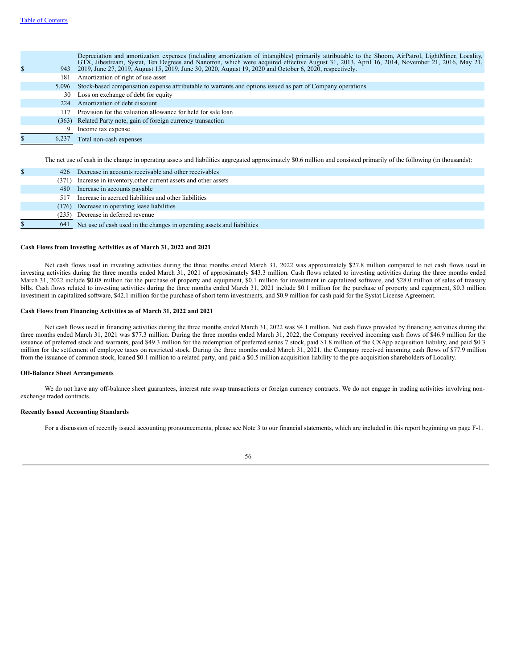|       | Depreciation and amortization expenses (including amortization of intangibles) primarily attributable to the Shoom, AirPatrol, LightMiner, Locality,<br>GTX, Jibestream, Systat, Ten Degrees and Nanotron, which were acquired effective August 31, 2013, April 16, 2014, November 21, 2016, May 21,<br>943 2019, June 27, 2019, August 15, 2019, June 30, 2020, August 19, 2020 and October 6, 2020, respectively. |
|-------|---------------------------------------------------------------------------------------------------------------------------------------------------------------------------------------------------------------------------------------------------------------------------------------------------------------------------------------------------------------------------------------------------------------------|
| 181   | Amortization of right of use asset                                                                                                                                                                                                                                                                                                                                                                                  |
|       | 5,096 Stock-based compensation expense attributable to warrants and options issued as part of Company operations                                                                                                                                                                                                                                                                                                    |
| 30    | Loss on exchange of debt for equity                                                                                                                                                                                                                                                                                                                                                                                 |
| 224   | Amortization of debt discount                                                                                                                                                                                                                                                                                                                                                                                       |
| 117   | Provision for the valuation allowance for held for sale loan                                                                                                                                                                                                                                                                                                                                                        |
|       | (363) Related Party note, gain of foreign currency transaction                                                                                                                                                                                                                                                                                                                                                      |
|       | Income tax expense                                                                                                                                                                                                                                                                                                                                                                                                  |
| 6,237 | Total non-cash expenses                                                                                                                                                                                                                                                                                                                                                                                             |

The net use of cash in the change in operating assets and liabilities aggregated approximately \$0.6 million and consisted primarily of the following (in thousands):

|     | 426 Decrease in accounts receivable and other receivables               |
|-----|-------------------------------------------------------------------------|
|     | (371) Increase in inventory, other current assets and other assets      |
|     | 480 Increase in accounts payable                                        |
| 517 | Increase in accrued liabilities and other liabilities                   |
|     | (176) Decrease in operating lease liabilities                           |
|     | (235) Decrease in deferred revenue                                      |
| 641 | Net use of cash used in the changes in operating assets and liabilities |

# **Cash Flows from Investing Activities as of March 31, 2022 and 2021**

Net cash flows used in investing activities during the three months ended March 31, 2022 was approximately \$27.8 million compared to net cash flows used in investing activities during the three months ended March 31, 2021 of approximately \$43.3 million. Cash flows related to investing activities during the three months ended March 31, 2022 include \$0.08 million for the purchase of property and equipment, \$0.1 million for investment in capitalized software, and \$28.0 million of sales of treasury bills. Cash flows related to investing activities during the three months ended March 31, 2021 include \$0.1 million for the purchase of property and equipment, \$0.3 million investment in capitalized software, \$42.1 million for the purchase of short term investments, and \$0.9 million for cash paid for the Systat License Agreement.

#### **Cash Flows from Financing Activities as of March 31, 2022 and 2021**

Net cash flows used in financing activities during the three months ended March 31, 2022 was \$4.1 million. Net cash flows provided by financing activities during the three months ended March 31, 2021 was \$77.3 million. During the three months ended March 31, 2022, the Company received incoming cash flows of \$46.9 million for the issuance of preferred stock and warrants, paid \$49.3 million for the redemption of preferred series 7 stock, paid \$1.8 million of the CXApp acquisition liability, and paid \$0.3 million for the settlement of employee taxes on restricted stock. During the three months ended March 31, 2021, the Company received incoming cash flows of \$77.9 million from the issuance of common stock, loaned \$0.1 million to a related party, and paid a \$0.5 million acquisition liability to the pre-acquisition shareholders of Locality.

# **Off-Balance Sheet Arrangements**

We do not have any off-balance sheet guarantees, interest rate swap transactions or foreign currency contracts. We do not engage in trading activities involving nonexchange traded contracts.

# **Recently Issued Accounting Standards**

For a discussion of recently issued accounting pronouncements, please see Note 3 to our financial statements, which are included in this report beginning on page F-1.

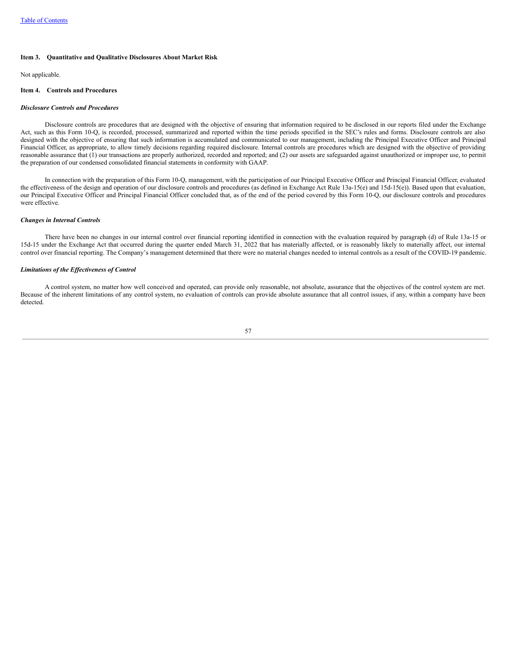#### **Item 3. Quantitative and Qualitative Disclosures About Market Risk**

Not applicable.

# **Item 4. Controls and Procedures**

## *Disclosure Controls and Procedures*

Disclosure controls are procedures that are designed with the objective of ensuring that information required to be disclosed in our reports filed under the Exchange Act, such as this Form 10-Q, is recorded, processed, summarized and reported within the time periods specified in the SEC's rules and forms. Disclosure controls are also designed with the objective of ensuring that such information is accumulated and communicated to our management, including the Principal Executive Officer and Principal Financial Officer, as appropriate, to allow timely decisions regarding required disclosure. Internal controls are procedures which are designed with the objective of providing reasonable assurance that (1) our transactions are properly authorized, recorded and reported; and (2) our assets are safeguarded against unauthorized or improper use, to permit the preparation of our condensed consolidated financial statements in conformity with GAAP.

In connection with the preparation of this Form 10-Q, management, with the participation of our Principal Executive Officer and Principal Financial Officer, evaluated the effectiveness of the design and operation of our disclosure controls and procedures (as defined in Exchange Act Rule 13a-15(e) and 15d-15(e)). Based upon that evaluation, our Principal Executive Officer and Principal Financial Officer concluded that, as of the end of the period covered by this Form 10-Q, our disclosure controls and procedures were effective.

#### *Changes in Internal Controls*

There have been no changes in our internal control over financial reporting identified in connection with the evaluation required by paragraph (d) of Rule 13a-15 or 15d-15 under the Exchange Act that occurred during the quarter ended March 31, 2022 that has materially affected, or is reasonably likely to materially affect, our internal control over financial reporting. The Company's management determined that there were no material changes needed to internal controls as a result of the COVID-19 pandemic.

## *Limitations of the Ef ectiveness of Control*

A control system, no matter how well conceived and operated, can provide only reasonable, not absolute, assurance that the objectives of the control system are met. Because of the inherent limitations of any control system, no evaluation of controls can provide absolute assurance that all control issues, if any, within a company have been detected.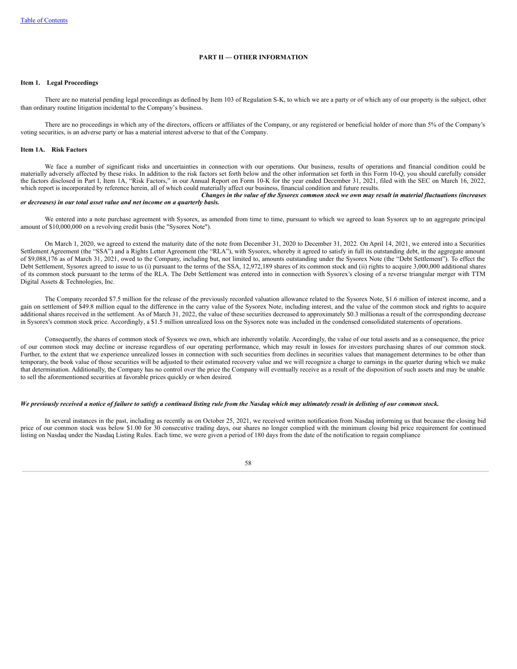#### **PART II — OTHER INFORMATION**

# **Item 1. Legal Proceedings**

There are no material pending legal proceedings as defined by Item 103 of Regulation S-K, to which we are a party or of which any of our property is the subject, other than ordinary routine litigation incidental to the Company's business.

There are no proceedings in which any of the directors, officers or affiliates of the Company, or any registered or beneficial holder of more than 5% of the Company's voting securities, is an adverse party or has a material interest adverse to that of the Company.

### **Item 1A. Risk Factors**

We face a number of significant risks and uncertainties in connection with our operations. Our business, results of operations and financial condition could be materially adversely affected by these risks. In addition to the risk factors set forth below and the other information set forth in this Form 10-Q, you should carefully consider the factors disclosed in Part I, Item 1A, "Risk Factors," in our Annual Report on Form 10-K for the year ended December 31, 2021, filed with the SEC on March 16, 2022, which report is incorporated by reference herein, all of which could materially affect our business, financial condition and future results. *Changes in the value of the Sysorex common stock we own may result in material fluctuations (increases*

#### *or decreases) in our total asset value and net income on a quarterly basis.*

We entered into a note purchase agreement with Sysorex, as amended from time to time, pursuant to which we agreed to loan Sysorex up to an aggregate principal amount of \$10,000,000 on a revolving credit basis (the "Sysorex Note").

On March 1, 2020, we agreed to extend the maturity date of the note from December 31, 2020 to December 31, 2022. On April 14, 2021, we entered into a Securities Settlement Agreement (the "SSA") and a Rights Letter Agreement (the "RLA"), with Sysorex, whereby it agreed to satisfy in full its outstanding debt, in the aggregate amount of \$9,088,176 as of March 31, 2021, owed to the Company, including but, not limited to, amounts outstanding under the Sysorex Note (the "Debt Settlement"). To effect the Debt Settlement, Sysorex agreed to issue to us (i) pursuant to the terms of the SSA, 12,972,189 shares of its common stock and (ii) rights to acquire 3,000,000 additional shares of its common stock pursuant to the terms of the RLA. The Debt Settlement was entered into in connection with Sysorex's closing of a reverse triangular merger with TTM Digital Assets & Technologies, Inc.

The Company recorded \$7.5 million for the release of the previously recorded valuation allowance related to the Sysorex Note, \$1.6 million of interest income, and a gain on settlement of \$49.8 million equal to the difference in the carry value of the Sysorex Note, including interest, and the value of the common stock and rights to acquire additional shares received in the settlement. As of March 31, 2022, the value of these securities decreased to approximately \$0.3 millionas a result of the corresponding decrease in Sysorex's common stock price. Accordingly, a \$1.5 million unrealized loss on the Sysorex note was included in the condensed consolidated statements of operations.

Consequently, the shares of common stock of Sysorex we own, which are inherently volatile. Accordingly, the value of our total assets and as a consequence, the price of our common stock may decline or increase regardless of our operating performance, which may result in losses for investors purchasing shares of our common stock. Further, to the extent that we experience unrealized losses in connection with such securities from declines in securities values that management determines to be other than temporary, the book value of those securities will be adjusted to their estimated recovery value and we will recognize a charge to earnings in the quarter during which we make that determination. Additionally, the Company has no control over the price the Company will eventually receive as a result of the disposition of such assets and may be unable to sell the aforementioned securities at favorable prices quickly or when desired.

### We previously received a notice of failure to satisfy a continued listing rule from the Nasdaq which may ultimately result in delisting of our common stock.

In several instances in the past, including as recently as on October 25, 2021, we received written notification from Nasdaq informing us that because the closing bid price of our common stock was below \$1.00 for 30 consecutive trading days, our shares no longer complied with the minimum closing bid price requirement for continued listing on Nasdaq under the Nasdaq Listing Rules. Each time, we were given a period of 180 days from the date of the notification to regain compliance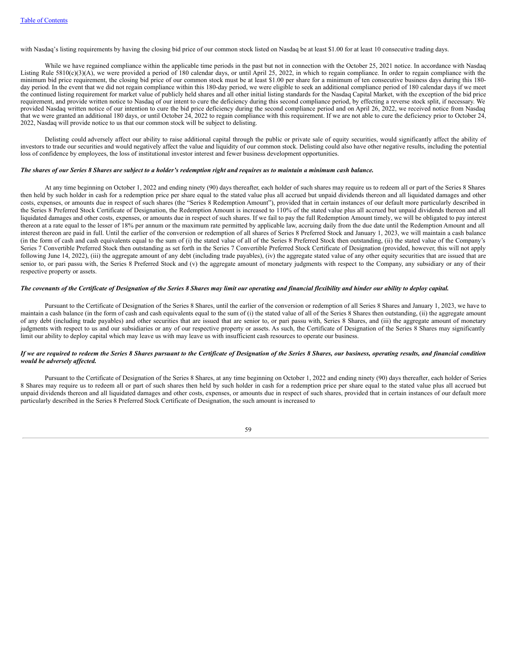with Nasdaq's listing requirements by having the closing bid price of our common stock listed on Nasdaq be at least \$1.00 for at least 10 consecutive trading days.

While we have regained compliance within the applicable time periods in the past but not in connection with the October 25, 2021 notice. In accordance with Nasdaq Listing Rule 5810(c)(3)(A), we were provided a period of 180 calendar days, or until April 25, 2022, in which to regain compliance. In order to regain compliance with the minimum bid price requirement, the closing bid price of our common stock must be at least \$1.00 per share for a minimum of ten consecutive business days during this 180 day period. In the event that we did not regain compliance within this 180-day period, we were eligible to seek an additional compliance period of 180 calendar days if we meet the continued listing requirement for market value of publicly held shares and all other initial listing standards for the Nasdaq Capital Market, with the exception of the bid price requirement, and provide written notice to Nasdaq of our intent to cure the deficiency during this second compliance period, by effecting a reverse stock split, if necessary. We provided Nasdaq written notice of our intention to cure the bid price deficiency during the second compliance period and on April 26, 2022, we received notice from Nasdaq that we were granted an additional 180 days, or until October 24, 2022 to regain compliance with this requirement. If we are not able to cure the deficiency prior to October 24, 2022, Nasdaq will provide notice to us that our common stock will be subject to delisting.

Delisting could adversely affect our ability to raise additional capital through the public or private sale of equity securities, would significantly affect the ability of investors to trade our securities and would negatively affect the value and liquidity of our common stock. Delisting could also have other negative results, including the potential loss of confidence by employees, the loss of institutional investor interest and fewer business development opportunities.

#### The shares of our Series 8 Shares are subject to a holder's redemption right and requires us to maintain a minimum cash balance.

At any time beginning on October 1, 2022 and ending ninety (90) days thereafter, each holder of such shares may require us to redeem all or part of the Series 8 Shares then held by such holder in cash for a redemption price per share equal to the stated value plus all accrued but unpaid dividends thereon and all liquidated damages and other costs, expenses, or amounts due in respect of such shares (the "Series 8 Redemption Amount"), provided that in certain instances of our default more particularly described in the Series 8 Preferred Stock Certificate of Designation, the Redemption Amount is increased to 110% of the stated value plus all accrued but unpaid dividends thereon and all liquidated damages and other costs, expenses, or amounts due in respect of such shares. If we fail to pay the full Redemption Amount timely, we will be obligated to pay interest thereon at a rate equal to the lesser of 18% per annum or the maximum rate permitted by applicable law, accruing daily from the due date until the Redemption Amount and all interest thereon are paid in full. Until the earlier of the conversion or redemption of all shares of Series 8 Preferred Stock and January 1, 2023, we will maintain a cash balance (in the form of cash and cash equivalents equal to the sum of (i) the stated value of all of the Series 8 Preferred Stock then outstanding, (ii) the stated value of the Company's Series 7 Convertible Preferred Stock then outstanding as set forth in the Series 7 Convertible Preferred Stock Certificate of Designation (provided, however, this will not apply following June 14, 2022), (iii) the aggregate amount of any debt (including trade payables), (iv) the aggregate stated value of any other equity securities that are issued that are senior to, or pari passu with, the Series 8 Preferred Stock and (v) the aggregate amount of monetary judgments with respect to the Company, any subsidiary or any of their respective property or assets.

## The covenants of the Certificate of Designation of the Series 8 Shares may limit our operating and financial flexibility and hinder our ability to deploy capital.

Pursuant to the Certificate of Designation of the Series 8 Shares, until the earlier of the conversion or redemption of all Series 8 Shares and January 1, 2023, we have to maintain a cash balance (in the form of cash and cash equivalents equal to the sum of (i) the stated value of all of the Series 8 Shares then outstanding, (ii) the aggregate amount of any debt (including trade payables) and other securities that are issued that are senior to, or pari passu with, Series 8 Shares, and (iii) the aggregate amount of monetary judgments with respect to us and our subsidiaries or any of our respective property or assets. As such, the Certificate of Designation of the Series 8 Shares may significantly limit our ability to deploy capital which may leave us with may leave us with insufficient cash resources to operate our business.

# If we are required to redeem the Series 8 Shares pursuant to the Certificate of Designation of the Series 8 Shares, our business, operating results, and financial condition *would be adversely af ected.*

Pursuant to the Certificate of Designation of the Series 8 Shares, at any time beginning on October 1, 2022 and ending ninety (90) days thereafter, each holder of Series 8 Shares may require us to redeem all or part of such shares then held by such holder in cash for a redemption price per share equal to the stated value plus all accrued but unpaid dividends thereon and all liquidated damages and other costs, expenses, or amounts due in respect of such shares, provided that in certain instances of our default more particularly described in the Series 8 Preferred Stock Certificate of Designation, the such amount is increased to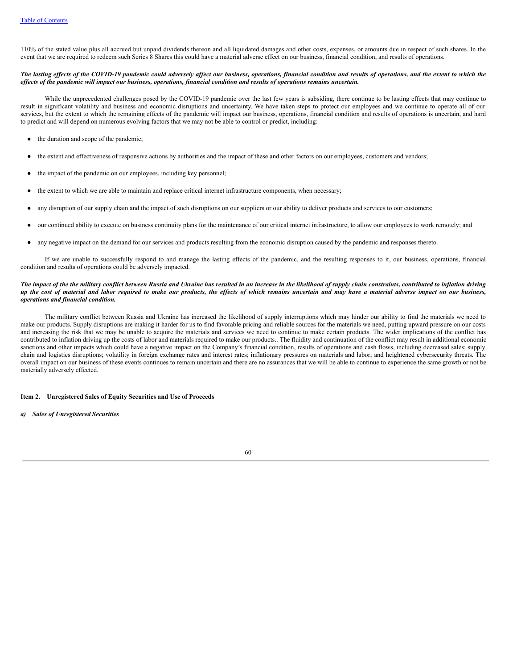110% of the stated value plus all accrued but unpaid dividends thereon and all liquidated damages and other costs, expenses, or amounts due in respect of such shares. In the event that we are required to redeem such Series 8 Shares this could have a material adverse effect on our business, financial condition, and results of operations.

## The lasting effects of the COVID-19 pandemic could adversely affect our business, operations, financial condition and results of operations, and the extent to which the effects of the pandemic will impact our business, operations, financial condition and results of operations remains uncertain.

While the unprecedented challenges posed by the COVID-19 pandemic over the last few years is subsiding, there continue to be lasting effects that may continue to result in significant volatility and business and economic disruptions and uncertainty. We have taken steps to protect our employees and we continue to operate all of our services, but the extent to which the remaining effects of the pandemic will impact our business, operations, financial condition and results of operations is uncertain, and hard to predict and will depend on numerous evolving factors that we may not be able to control or predict, including:

- the duration and scope of the pandemic;
- the extent and effectiveness of responsive actions by authorities and the impact of these and other factors on our employees, customers and vendors;
- the impact of the pandemic on our employees, including key personnel;
- the extent to which we are able to maintain and replace critical internet infrastructure components, when necessary;
- any disruption of our supply chain and the impact of such disruptions on our suppliers or our ability to deliver products and services to our customers;
- our continued ability to execute on business continuity plans for the maintenance of our critical internet infrastructure, to allow our employees to work remotely; and
- any negative impact on the demand for our services and products resulting from the economic disruption caused by the pandemic and responses thereto.

If we are unable to successfully respond to and manage the lasting effects of the pandemic, and the resulting responses to it, our business, operations, financial condition and results of operations could be adversely impacted.

# The impact of the the military conflict between Russia and Ukraine has resulted in an increase in the likelihood of supply chain constraints, contributed to inflation driving up the cost of material and labor required to make our products, the effects of which remains uncertain and may have a material adverse impact on our business, *operations and financial condition.*

The military conflict between Russia and Ukraine has increased the likelihood of supply interruptions which may hinder our ability to find the materials we need to make our products. Supply disruptions are making it harder for us to find favorable pricing and reliable sources for the materials we need, putting upward pressure on our costs and increasing the risk that we may be unable to acquire the materials and services we need to continue to make certain products. The wider implications of the conflict has contributed to inflation driving up the costs of labor and materials required to make our products.. The fluidity and continuation of the conflict may result in additional economic sanctions and other impacts which could have a negative impact on the Company's financial condition, results of operations and cash flows, including decreased sales; supply chain and logistics disruptions; volatility in foreign exchange rates and interest rates; inflationary pressures on materials and labor; and heightened cybersecurity threats. The overall impact on our business of these events continues to remain uncertain and there are no assurances that we will be able to continue to experience the same growth or not be materially adversely effected.

# **Item 2. Unregistered Sales of Equity Securities and Use of Proceeds**

*a) Sales of Unregistered Securities*

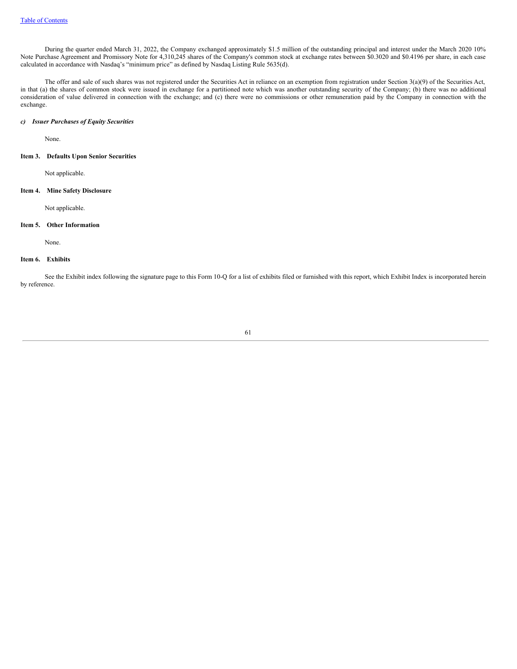During the quarter ended March 31, 2022, the Company exchanged approximately \$1.5 million of the outstanding principal and interest under the March 2020 10% Note Purchase Agreement and Promissory Note for 4,310,245 shares of the Company's common stock at exchange rates between \$0.3020 and \$0.4196 per share, in each case calculated in accordance with Nasdaq's "minimum price" as defined by Nasdaq Listing Rule 5635(d).

The offer and sale of such shares was not registered under the Securities Act in reliance on an exemption from registration under Section 3(a)(9) of the Securities Act, in that (a) the shares of common stock were issued in exchange for a partitioned note which was another outstanding security of the Company; (b) there was no additional consideration of value delivered in connection with the exchange; and (c) there were no commissions or other remuneration paid by the Company in connection with the exchange.

# *c) Issuer Purchases of Equity Securities*

None.

#### **Item 3. Defaults Upon Senior Securities**

Not applicable.

# **Item 4. Mine Safety Disclosure**

Not applicable.

## **Item 5. Other Information**

None.

# **Item 6. Exhibits**

See the Exhibit index following the signature page to this Form 10-Q for a list of exhibits filed or furnished with this report, which Exhibit Index is incorporated herein by reference.

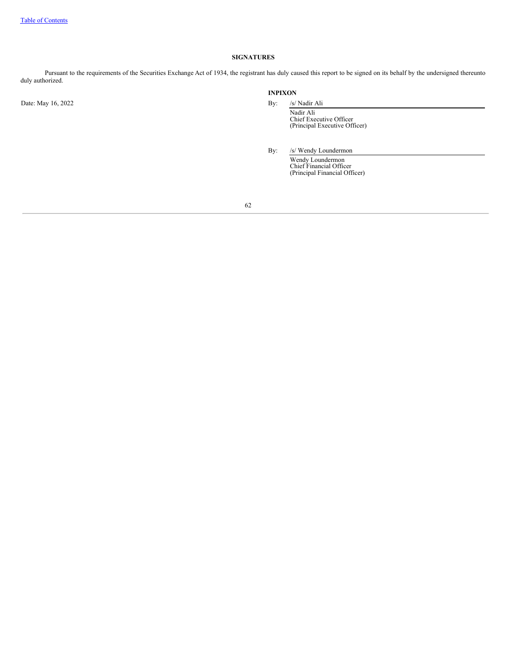# **SIGNATURES**

Pursuant to the requirements of the Securities Exchange Act of 1934, the registrant has duly caused this report to be signed on its behalf by the undersigned thereunto duly authorized.

Date: May 16, 2022 By: /s/ Nadir Ali

# **INPIXON**

Nadir Ali Chief Executive Officer (Principal Executive Officer)

By: /s/ Wendy Loundermon

Wendy Loundermon Chief Financial Officer (Principal Financial Officer)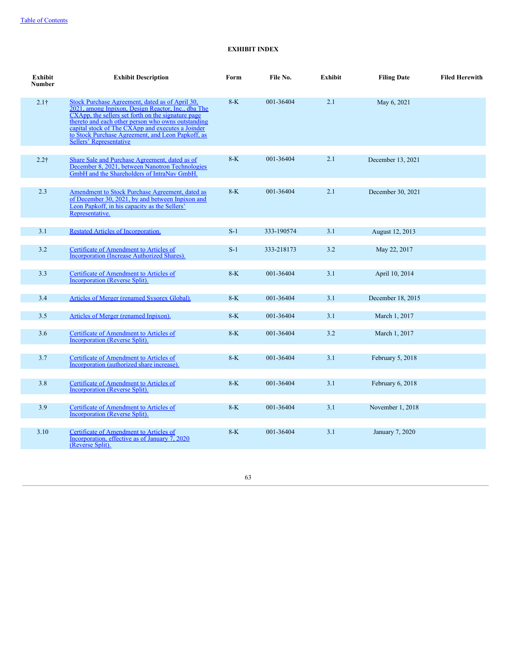# **EXHIBIT INDEX**

| Exhibit<br><b>Number</b> | <b>Exhibit Description</b>                                                                                                                                                                                                                                                                                                                                    | Form  | File No.   | Exhibit | <b>Filing Date</b> | <b>Filed Herewith</b> |
|--------------------------|---------------------------------------------------------------------------------------------------------------------------------------------------------------------------------------------------------------------------------------------------------------------------------------------------------------------------------------------------------------|-------|------------|---------|--------------------|-----------------------|
| $2.1\dagger$             | Stock Purchase Agreement, dated as of April 30,<br><u>2021, among Inpixon, Design Reactor, Inc., dba The</u><br>CXApp, the sellers set forth on the signature page<br>thereto and each other person who owns outstanding<br>capital stock of The CXApp and executes a Joinder<br>to Stock Purchase Agreement, and Leon Papkoff, as<br>Sellers' Representative | $8-K$ | 001-36404  | 2.1     | May 6, 2021        |                       |
| $2.2\dagger$             | Share Sale and Purchase Agreement, dated as of<br>December 8, 2021, between Nanotron Technologies<br>GmbH and the Shareholders of IntraNav GmbH.                                                                                                                                                                                                              | $8-K$ | 001-36404  | 2.1     | December 13, 2021  |                       |
| 2.3                      | Amendment to Stock Purchase Agreement, dated as<br>of December 30, 2021, by and between Inpixon and<br>Leon Papkoff, in his capacity as the Sellers'<br>Representative.                                                                                                                                                                                       | $8-K$ | 001-36404  | 2.1     | December 30, 2021  |                       |
| 3.1                      | <b>Restated Articles of Incorporation.</b>                                                                                                                                                                                                                                                                                                                    | $S-1$ | 333-190574 | 3.1     | August 12, 2013    |                       |
| 3.2                      | Certificate of Amendment to Articles of<br><b>Incorporation (Increase Authorized Shares).</b>                                                                                                                                                                                                                                                                 | $S-1$ | 333-218173 | 3.2     | May 22, 2017       |                       |
| 3.3                      | <b>Certificate of Amendment to Articles of</b><br><b>Incorporation (Reverse Split).</b>                                                                                                                                                                                                                                                                       | $8-K$ | 001-36404  | 3.1     | April 10, 2014     |                       |
| 3.4                      | Articles of Merger (renamed Sysorex Global).                                                                                                                                                                                                                                                                                                                  | $8-K$ | 001-36404  | 3.1     | December 18, 2015  |                       |
| 3.5                      | Articles of Merger (renamed Inpixon).                                                                                                                                                                                                                                                                                                                         | $8-K$ | 001-36404  | 3.1     | March 1, 2017      |                       |
| 3.6                      | Certificate of Amendment to Articles of<br>Incorporation (Reverse Split).                                                                                                                                                                                                                                                                                     | $8-K$ | 001-36404  | 3.2     | March 1, 2017      |                       |
| 3.7                      | Certificate of Amendment to Articles of<br>Incorporation (authorized share increase).                                                                                                                                                                                                                                                                         | $8-K$ | 001-36404  | 3.1     | February 5, 2018   |                       |
| 3.8                      | <b>Certificate of Amendment to Articles of</b><br><b>Incorporation (Reverse Split).</b>                                                                                                                                                                                                                                                                       | $8-K$ | 001-36404  | 3.1     | February 6, 2018   |                       |
| 3.9                      | Certificate of Amendment to Articles of<br>Incorporation (Reverse Split).                                                                                                                                                                                                                                                                                     | $8-K$ | 001-36404  | 3.1     | November 1, 2018   |                       |
| 3.10                     | Certificate of Amendment to Articles of<br>Incorporation, effective as of January 7, 2020<br>(Reverse Split).                                                                                                                                                                                                                                                 | $8-K$ | 001-36404  | 3.1     | January 7, 2020    |                       |
|                          |                                                                                                                                                                                                                                                                                                                                                               |       |            |         |                    |                       |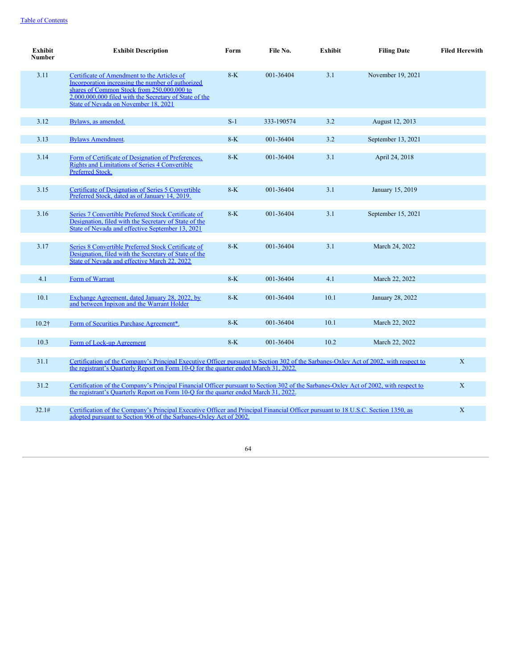| Exhibit<br><b>Number</b> | <b>Exhibit Description</b>                                                                                                                                                                                                                       | Form  | File No.   | Exhibit | <b>Filing Date</b> | <b>Filed Herewith</b> |  |  |
|--------------------------|--------------------------------------------------------------------------------------------------------------------------------------------------------------------------------------------------------------------------------------------------|-------|------------|---------|--------------------|-----------------------|--|--|
| 3.11                     | Certificate of Amendment to the Articles of<br>Incorporation increasing the number of authorized<br>shares of Common Stock from 250,000,000 to<br>2,000,000,000 filed with the Secretary of State of the<br>State of Nevada on November 18, 2021 | $8-K$ | 001-36404  | 3.1     | November 19, 2021  |                       |  |  |
| 3.12                     | Bylaws, as amended.                                                                                                                                                                                                                              | $S-1$ | 333-190574 | 3.2     | August 12, 2013    |                       |  |  |
| 3.13                     | <b>Bylaws Amendment.</b>                                                                                                                                                                                                                         | $8-K$ | 001-36404  | 3.2     | September 13, 2021 |                       |  |  |
| 3.14                     | Form of Certificate of Designation of Preferences,<br><b>Rights and Limitations of Series 4 Convertible</b><br><b>Preferred Stock.</b>                                                                                                           | $8-K$ | 001-36404  | 3.1     | April 24, 2018     |                       |  |  |
| 3.15                     | Certificate of Designation of Series 5 Convertible<br>Preferred Stock, dated as of January 14, 2019.                                                                                                                                             | $8-K$ | 001-36404  | 3.1     | January 15, 2019   |                       |  |  |
| 3.16                     | Series 7 Convertible Preferred Stock Certificate of<br>Designation, filed with the Secretary of State of the<br>State of Nevada and effective September 13, 2021                                                                                 | $8-K$ | 001-36404  | 3.1     | September 15, 2021 |                       |  |  |
| 3.17                     | Series 8 Convertible Preferred Stock Certificate of<br>Designation, filed with the Secretary of State of the<br>State of Nevada and effective March 22, 2022                                                                                     | $8-K$ | 001-36404  | 3.1     | March 24, 2022     |                       |  |  |
| 4.1                      | Form of Warrant                                                                                                                                                                                                                                  | $8-K$ | 001-36404  | 4.1     | March 22, 2022     |                       |  |  |
| 10.1                     | Exchange Agreement, dated January 28, 2022, by<br>and between Inpixon and the Warrant Holder                                                                                                                                                     | $8-K$ | 001-36404  | 10.1    | January 28, 2022   |                       |  |  |
| $10.2\dagger$            | Form of Securities Purchase Agreement*.                                                                                                                                                                                                          | $8-K$ | 001-36404  | 10.1    | March 22, 2022     |                       |  |  |
| 10.3                     | Form of Lock-up Agreement                                                                                                                                                                                                                        | $8-K$ | 001-36404  | 10.2    | March 22, 2022     |                       |  |  |
| 31.1                     | Certification of the Company's Principal Executive Officer pursuant to Section 302 of the Sarbanes-Oxley Act of 2002, with respect to<br>the registrant's Quarterly Report on Form 10-Q for the quarter ended March 31, 2022.                    |       |            |         |                    | X                     |  |  |
| 31.2                     | Certification of the Company's Principal Financial Officer pursuant to Section 302 of the Sarbanes-Oxley Act of 2002, with respect to<br>the registrant's Ouarterly Report on Form 10-O for the quarter ended March 31, 2022.                    |       |            |         |                    | X                     |  |  |
| 32.1#                    | Certification of the Company's Principal Executive Officer and Principal Financial Officer pursuant to 18 U.S.C. Section 1350, as<br>adopted pursuant to Section 906 of the Sarbanes-Oxley Act of 2002.                                          |       |            |         |                    |                       |  |  |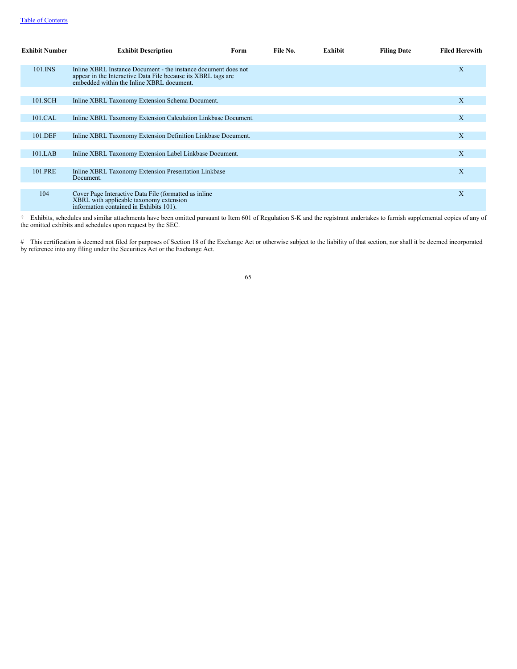| <b>Exhibit Number</b> | <b>Exhibit Description</b>                                                                                                                                                   | Form | File No. | Exhibit | <b>Filing Date</b> | <b>Filed Herewith</b> |
|-----------------------|------------------------------------------------------------------------------------------------------------------------------------------------------------------------------|------|----------|---------|--------------------|-----------------------|
| 101.INS               | Inline XBRL Instance Document - the instance document does not<br>appear in the Interactive Data File because its XBRL tags are<br>embedded within the Inline XBRL document. |      |          |         |                    | $\mathbf{X}$          |
| 101.SCH               | Inline XBRL Taxonomy Extension Schema Document.                                                                                                                              |      |          |         |                    | X                     |
| 101.CAL               | Inline XBRL Taxonomy Extension Calculation Linkbase Document.                                                                                                                |      |          |         |                    | X                     |
| 101.DEF               | Inline XBRL Taxonomy Extension Definition Linkbase Document.                                                                                                                 |      |          |         |                    | X                     |
| 101.LAB               | Inline XBRL Taxonomy Extension Label Linkbase Document.                                                                                                                      |      |          |         |                    | $\mathbf{X}$          |
| 101.PRE               | Inline XBRL Taxonomy Extension Presentation Linkbase<br>Document.                                                                                                            |      |          |         |                    | $\mathbf{X}$          |
| 104                   | Cover Page Interactive Data File (formatted as inline<br>XBRL with applicable taxonomy extension<br>information contained in Exhibits 101).                                  |      |          |         |                    | $\mathbf{X}$          |

† Exhibits, schedules and similar attachments have been omitted pursuant to Item 601 of Regulation S-K and the registrant undertakes to furnish supplemental copies of any of the omitted exhibits and schedules upon request by the SEC.

# This certification is deemed not filed for purposes of Section 18 of the Exchange Act or otherwise subject to the liability of that section, nor shall it be deemed incorporated by reference into any filing under the Securities Act or the Exchange Act.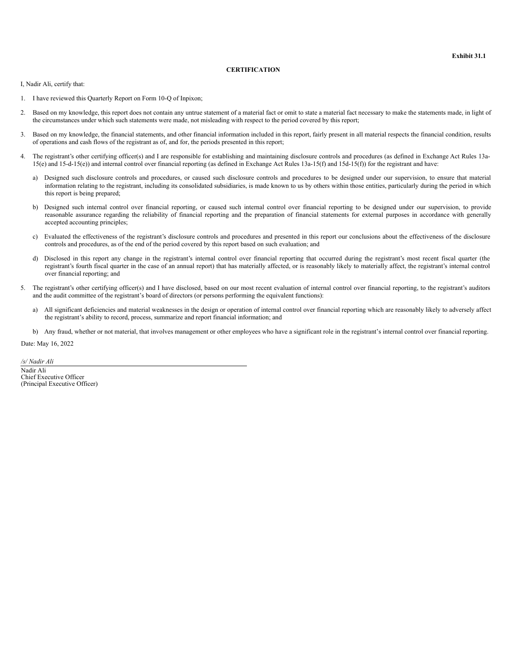# **CERTIFICATION**

<span id="page-70-0"></span>I, Nadir Ali, certify that:

- 1. I have reviewed this Quarterly Report on Form 10-Q of Inpixon;
- 2. Based on my knowledge, this report does not contain any untrue statement of a material fact or omit to state a material fact necessary to make the statements made, in light of the circumstances under which such statements were made, not misleading with respect to the period covered by this report;
- 3. Based on my knowledge, the financial statements, and other financial information included in this report, fairly present in all material respects the financial condition, results of operations and cash flows of the registrant as of, and for, the periods presented in this report;
- 4. The registrant's other certifying officer(s) and I are responsible for establishing and maintaining disclosure controls and procedures (as defined in Exchange Act Rules 13a-15(e) and 15-d-15(e)) and internal control over financial reporting (as defined in Exchange Act Rules 13a-15(f) and 15d-15(f)) for the registrant and have:
	- a) Designed such disclosure controls and procedures, or caused such disclosure controls and procedures to be designed under our supervision, to ensure that material information relating to the registrant, including its consolidated subsidiaries, is made known to us by others within those entities, particularly during the period in which this report is being prepared;
	- b) Designed such internal control over financial reporting, or caused such internal control over financial reporting to be designed under our supervision, to provide reasonable assurance regarding the reliability of financial reporting and the preparation of financial statements for external purposes in accordance with generally accepted accounting principles;
	- c) Evaluated the effectiveness of the registrant's disclosure controls and procedures and presented in this report our conclusions about the effectiveness of the disclosure controls and procedures, as of the end of the period covered by this report based on such evaluation; and
	- d) Disclosed in this report any change in the registrant's internal control over financial reporting that occurred during the registrant's most recent fiscal quarter (the registrant's fourth fiscal quarter in the case of an annual report) that has materially affected, or is reasonably likely to materially affect, the registrant's internal control over financial reporting; and
- 5. The registrant's other certifying officer(s) and I have disclosed, based on our most recent evaluation of internal control over financial reporting, to the registrant's auditors and the audit committee of the registrant's board of directors (or persons performing the equivalent functions):
	- a) All significant deficiencies and material weaknesses in the design or operation of internal control over financial reporting which are reasonably likely to adversely affect the registrant's ability to record, process, summarize and report financial information; and
	- b) Any fraud, whether or not material, that involves management or other employees who have a significant role in the registrant's internal control over financial reporting.

Date: May 16, 2022

*/s/ Nadir Ali* Nadir Ali Chief Executive Officer (Principal Executive Officer)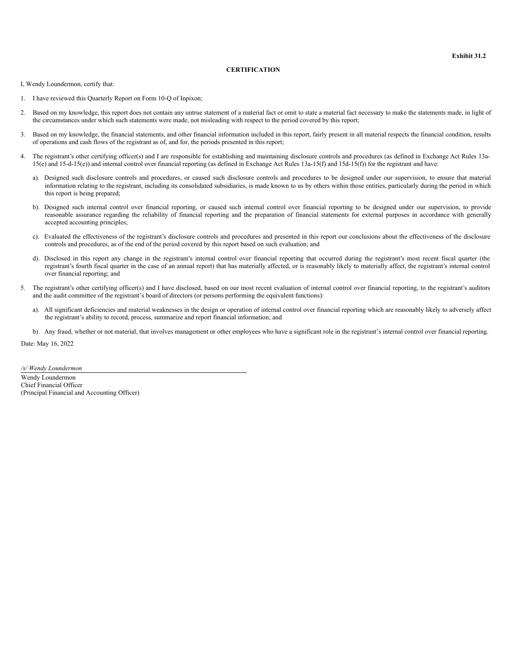# **CERTIFICATION**

<span id="page-71-0"></span>I, Wendy Loundermon, certify that:

- 1. I have reviewed this Quarterly Report on Form 10-Q of Inpixon;
- 2. Based on my knowledge, this report does not contain any untrue statement of a material fact or omit to state a material fact necessary to make the statements made, in light of the circumstances under which such statements were made, not misleading with respect to the period covered by this report;
- 3. Based on my knowledge, the financial statements, and other financial information included in this report, fairly present in all material respects the financial condition, results of operations and cash flows of the registrant as of, and for, the periods presented in this report;
- 4. The registrant's other certifying officer(s) and I are responsible for establishing and maintaining disclosure controls and procedures (as defined in Exchange Act Rules 13a-15(e) and 15-d-15(e)) and internal control over financial reporting (as defined in Exchange Act Rules 13a-15(f) and 15d-15(f)) for the registrant and have:
	- a). Designed such disclosure controls and procedures, or caused such disclosure controls and procedures to be designed under our supervision, to ensure that material information relating to the registrant, including its consolidated subsidiaries, is made known to us by others within those entities, particularly during the period in which this report is being prepared;
	- b). Designed such internal control over financial reporting, or caused such internal control over financial reporting to be designed under our supervision, to provide reasonable assurance regarding the reliability of financial reporting and the preparation of financial statements for external purposes in accordance with generally accepted accounting principles;
	- c). Evaluated the effectiveness of the registrant's disclosure controls and procedures and presented in this report our conclusions about the effectiveness of the disclosure controls and procedures, as of the end of the period covered by this report based on such evaluation; and
	- d). Disclosed in this report any change in the registrant's internal control over financial reporting that occurred during the registrant's most recent fiscal quarter (the registrant's fourth fiscal quarter in the case of an annual report) that has materially affected, or is reasonably likely to materially affect, the registrant's internal control over financial reporting; and
- 5. The registrant's other certifying officer(s) and I have disclosed, based on our most recent evaluation of internal control over financial reporting, to the registrant's auditors and the audit committee of the registrant's board of directors (or persons performing the equivalent functions):
	- a). All significant deficiencies and material weaknesses in the design or operation of internal control over financial reporting which are reasonably likely to adversely affect the registrant's ability to record, process, summarize and report financial information; and
	- b). Any fraud, whether or not material, that involves management or other employees who have a significant role in the registrant's internal control over financial reporting.

Date: May 16, 2022

*/s/ Wendy Loundermon*

Wendy Loundermon Chief Financial Officer (Principal Financial and Accounting Officer)